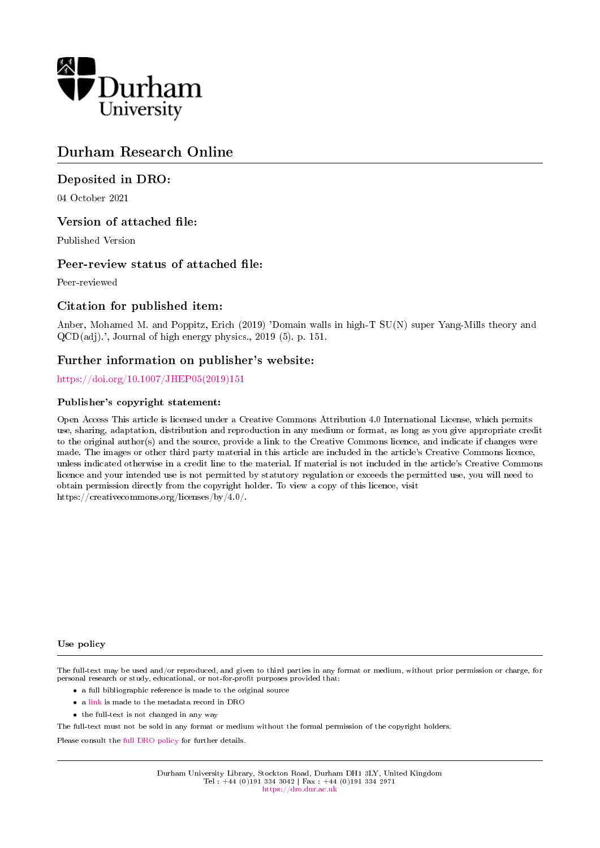

## Durham Research Online

## Deposited in DRO:

04 October 2021

## Version of attached file:

Published Version

## Peer-review status of attached file:

Peer-reviewed

## Citation for published item:

Anber, Mohamed M. and Poppitz, Erich (2019) 'Domain walls in high-T SU(N) super Yang-Mills theory and QCD(adj).', Journal of high energy physics., 2019 (5). p. 151.

## Further information on publisher's website:

[https://doi.org/10.1007/JHEP05\(2019\)151](https://doi.org/10.1007/JHEP05(2019)151)

## Publisher's copyright statement:

Open Access This article is licensed under a Creative Commons Attribution 4.0 International License, which permits use, sharing, adaptation, distribution and reproduction in any medium or format, as long as you give appropriate credit to the original author(s) and the source, provide a link to the Creative Commons licence, and indicate if changes were made. The images or other third party material in this article are included in the article's Creative Commons licence, unless indicated otherwise in a credit line to the material. If material is not included in the article's Creative Commons licence and your intended use is not permitted by statutory regulation or exceeds the permitted use, you will need to obtain permission directly from the copyright holder. To view a copy of this licence, visit https://creativecommons.org/licenses/by/4.0/.

#### Use policy

The full-text may be used and/or reproduced, and given to third parties in any format or medium, without prior permission or charge, for personal research or study, educational, or not-for-profit purposes provided that:

- a full bibliographic reference is made to the original source
- a [link](http://dro.dur.ac.uk/34029/) is made to the metadata record in DRO
- the full-text is not changed in any way

The full-text must not be sold in any format or medium without the formal permission of the copyright holders.

Please consult the [full DRO policy](https://dro.dur.ac.uk/policies/usepolicy.pdf) for further details.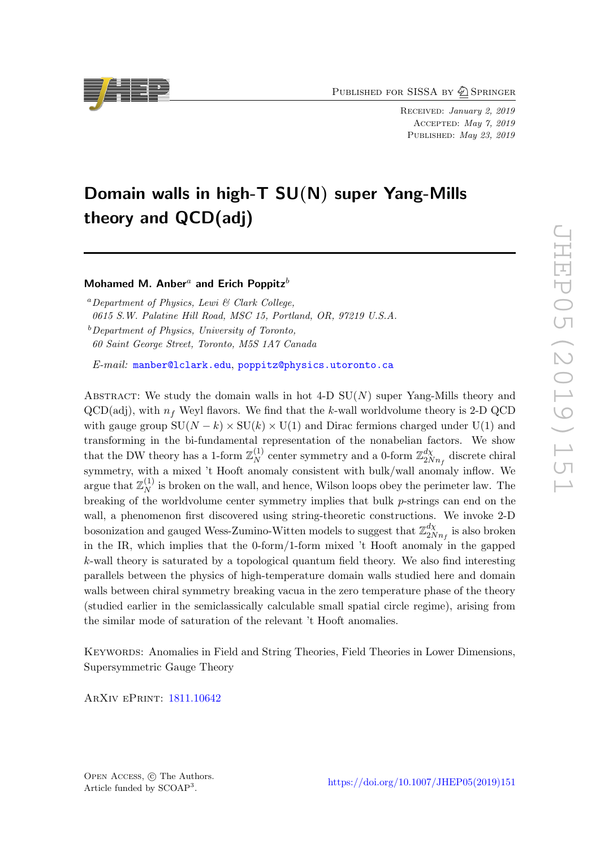PUBLISHED FOR SISSA BY 2 SPRINGER

Received: January 2, 2019 Accepted: May 7, 2019 PUBLISHED: May 23, 2019

# Domain walls in high-T SU(N) super Yang-Mills theory and QCD(adj)

## Mohamed M. Anber<sup>a</sup> and Erich Poppitz<sup>b</sup>

 ${}^a$  Department of Physics, Lewi & Clark College, 0615 S.W. Palatine Hill Road, MSC 15, Portland, OR, 97219 U.S.A.  $b$ Department of Physics, University of Toronto,

60 Saint George Street, Toronto, M5S 1A7 Canada

E-mail: [manber@lclark.edu](mailto:manber@lclark.edu), [poppitz@physics.utoronto.ca](mailto:poppitz@physics.utoronto.ca)

ABSTRACT: We study the domain walls in hot 4-D  $SU(N)$  super Yang-Mills theory and  $QCD(adj)$ , with  $n_f$  Weyl flavors. We find that the k-wall worldvolume theory is 2-D QCD with gauge group  $SU(N - k) \times SU(k) \times U(1)$  and Dirac fermions charged under  $U(1)$  and transforming in the bi-fundamental representation of the nonabelian factors. We show that the DW theory has a 1-form  $\mathbb{Z}_N^{(1)}$  $N \choose N$  center symmetry and a 0-form  $\mathbb{Z}_{2N}^{d\chi}$  $\frac{dX}{2Nn_f}$  discrete chiral symmetry, with a mixed 't Hooft anomaly consistent with bulk/wall anomaly inflow. We argue that  $\mathbb{Z}_N^{(1)}$  $_N^{(1)}$  is broken on the wall, and hence, Wilson loops obey the perimeter law. The breaking of the worldvolume center symmetry implies that bulk  $p$ -strings can end on the wall, a phenomenon first discovered using string-theoretic constructions. We invoke 2-D bosonization and gauged Wess-Zumino-Witten models to suggest that  $\mathbb{Z}_{2N}^{d\chi}$  $\frac{a\chi}{2Nn_f}$  is also broken in the IR, which implies that the 0-form/1-form mixed 't Hooft anomaly in the gapped k-wall theory is saturated by a topological quantum field theory. We also find interesting parallels between the physics of high-temperature domain walls studied here and domain walls between chiral symmetry breaking vacua in the zero temperature phase of the theory (studied earlier in the semiclassically calculable small spatial circle regime), arising from the similar mode of saturation of the relevant 't Hooft anomalies.

Keywords: Anomalies in Field and String Theories, Field Theories in Lower Dimensions, Supersymmetric Gauge Theory

ArXiv ePrint: [1811.10642](https://arxiv.org/abs/1811.10642)



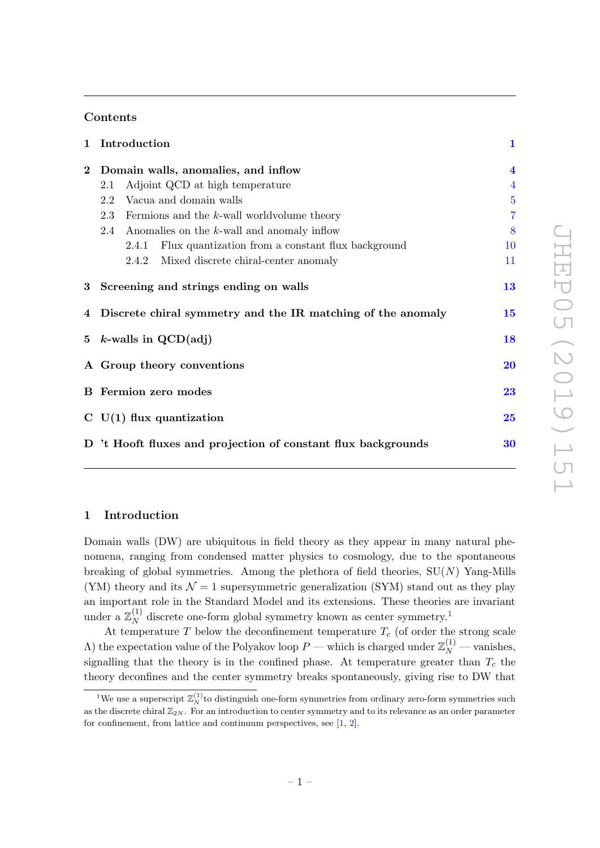## Contents

| $\mathbf{1}$ | Introduction                                                  |                                                         |                |  |  |
|--------------|---------------------------------------------------------------|---------------------------------------------------------|----------------|--|--|
| $\bf{2}$     | Domain walls, anomalies, and inflow                           |                                                         |                |  |  |
|              | Adjoint QCD at high temperature<br>2.1                        |                                                         | $\overline{4}$ |  |  |
|              | Vacua and domain walls<br>2.2                                 |                                                         | $\overline{5}$ |  |  |
|              | 2.3<br>Fermions and the $k$ -wall worldvolume theory          |                                                         |                |  |  |
|              | Anomalies on the $k$ -wall and anomaly inflow<br>2.4          |                                                         |                |  |  |
|              |                                                               | 2.4.1 Flux quantization from a constant flux background | 10             |  |  |
|              |                                                               | 2.4.2 Mixed discrete chiral-center anomaly              | 11             |  |  |
|              | 13<br>3 Screening and strings ending on walls                 |                                                         |                |  |  |
|              | 4 Discrete chiral symmetry and the IR matching of the anomaly |                                                         |                |  |  |
|              | 5 $k$ -walls in QCD(adj)                                      |                                                         |                |  |  |
|              | A Group theory conventions                                    |                                                         |                |  |  |
|              | <b>B</b> Fermion zero modes                                   |                                                         |                |  |  |
|              | $C$ U(1) flux quantization                                    |                                                         |                |  |  |
|              | D 't Hooft fluxes and projection of constant flux backgrounds |                                                         |                |  |  |
|              |                                                               |                                                         |                |  |  |

## <span id="page-2-0"></span>1 Introduction

Domain walls (DW) are ubiquitous in field theory as they appear in many natural phenomena, ranging from condensed matter physics to cosmology, due to the spontaneous breaking of global symmetries. Among the plethora of field theories,  $SU(N)$  Yang-Mills (YM) theory and its  $\mathcal{N} = 1$  supersymmetric generalization (SYM) stand out as they play an important role in the Standard Model and its extensions. These theories are invariant under a  $\mathbb{Z}_N^{(1)}$  $N<sub>N</sub><sup>(1)</sup>$  $N<sub>N</sub><sup>(1)</sup>$  $N<sub>N</sub><sup>(1)</sup>$  discrete one-form global symmetry known as center symmetry.<sup>1</sup>

At temperature  $T$  below the deconfinement temperature  $T_c$  (of order the strong scale A) the expectation value of the Polyakov loop  $P$  — which is charged under  $\mathbb{Z}_N^{(1)}$  — vanishes, signalling that the theory is in the confined phase. At temperature greater than  $T_c$  the theory deconfines and the center symmetry breaks spontaneously, giving rise to DW that

<span id="page-2-1"></span><sup>&</sup>lt;sup>1</sup>We use a superscript  $\mathbb{Z}_N^{(1)}$  to distinguish one-form symmetries from ordinary zero-form symmetries such as the discrete chiral  $\mathbb{Z}_{2N}$ . For an introduction to center symmetry and to its relevance as an order parameter for confinement, from lattice and continuum perspectives, see [\[1,](#page-33-0) [2\]](#page-33-1).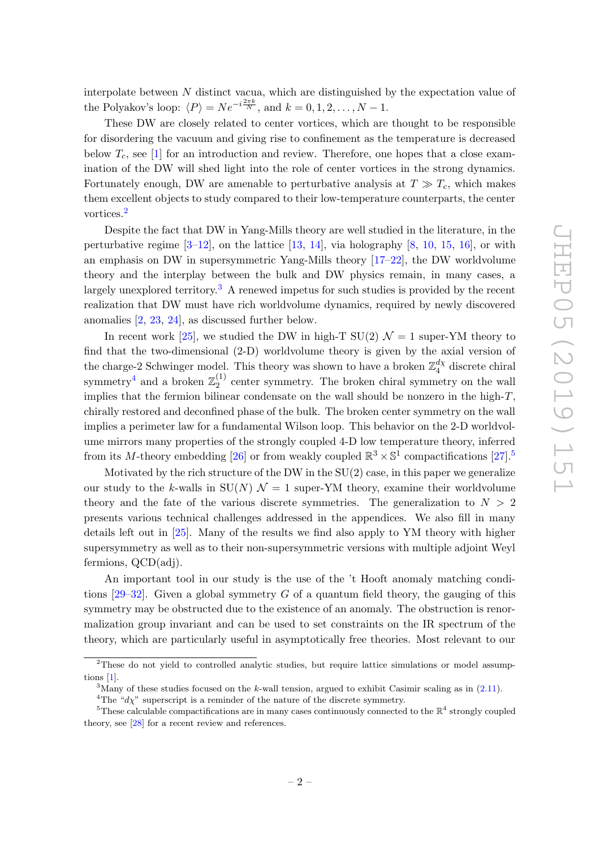interpolate between N distinct vacua, which are distinguished by the expectation value of the Polyakov's loop:  $\langle P \rangle = N e^{-i\frac{2\pi k}{N}}$ , and  $k = 0, 1, 2, ..., N - 1$ .

These DW are closely related to center vortices, which are thought to be responsible for disordering the vacuum and giving rise to confinement as the temperature is decreased below  $T_c$ , see [\[1\]](#page-33-0) for an introduction and review. Therefore, one hopes that a close examination of the DW will shed light into the role of center vortices in the strong dynamics. Fortunately enough, DW are amenable to perturbative analysis at  $T \gg T_c$ , which makes them excellent objects to study compared to their low-temperature counterparts, the center vortices.[2](#page-3-0)

Despite the fact that DW in Yang-Mills theory are well studied in the literature, in the perturbative regime  $[3-12]$  $[3-12]$ , on the lattice  $[13, 14]$  $[13, 14]$  $[13, 14]$ , via holography  $[8, 10, 15, 16]$  $[8, 10, 15, 16]$  $[8, 10, 15, 16]$  $[8, 10, 15, 16]$  $[8, 10, 15, 16]$  $[8, 10, 15, 16]$  $[8, 10, 15, 16]$ , or with an emphasis on DW in supersymmetric Yang-Mills theory [\[17–](#page-34-6)[22\]](#page-34-7), the DW worldvolume theory and the interplay between the bulk and DW physics remain, in many cases, a largely unexplored territory.[3](#page-3-1) A renewed impetus for such studies is provided by the recent realization that DW must have rich worldvolume dynamics, required by newly discovered anomalies [\[2,](#page-33-1) [23,](#page-34-8) [24\]](#page-34-9), as discussed further below.

In recent work [\[25\]](#page-34-10), we studied the DW in high-T  $SU(2)$   $\mathcal{N}=1$  super-YM theory to find that the two-dimensional (2-D) worldvolume theory is given by the axial version of the charge-2 Schwinger model. This theory was shown to have a broken  $\mathbb{Z}_4^{d\chi}$  $\frac{dX}{4}$  discrete chiral symmetry<sup>[4](#page-3-2)</sup> and a broken  $\mathbb{Z}_2^{(1)}$  $2^{(1)}$  center symmetry. The broken chiral symmetry on the wall implies that the fermion bilinear condensate on the wall should be nonzero in the high- $T$ , chirally restored and deconfined phase of the bulk. The broken center symmetry on the wall implies a perimeter law for a fundamental Wilson loop. This behavior on the 2-D worldvolume mirrors many properties of the strongly coupled 4-D low temperature theory, inferred from its M-theory embedding [\[26\]](#page-34-11) or from weakly coupled  $\mathbb{R}^3 \times \mathbb{S}^1$  compactifications [\[27\]](#page-34-12).<sup>[5](#page-3-3)</sup>

Motivated by the rich structure of the DW in the  $SU(2)$  case, in this paper we generalize our study to the k-walls in  $SU(N)$   $\mathcal{N}=1$  super-YM theory, examine their worldvolume theory and the fate of the various discrete symmetries. The generalization to  $N > 2$ presents various technical challenges addressed in the appendices. We also fill in many details left out in [\[25\]](#page-34-10). Many of the results we find also apply to YM theory with higher supersymmetry as well as to their non-supersymmetric versions with multiple adjoint Weyl fermions, QCD(adj).

An important tool in our study is the use of the 't Hooft anomaly matching conditions  $[29-32]$  $[29-32]$ . Given a global symmetry G of a quantum field theory, the gauging of this symmetry may be obstructed due to the existence of an anomaly. The obstruction is renormalization group invariant and can be used to set constraints on the IR spectrum of the theory, which are particularly useful in asymptotically free theories. Most relevant to our

<span id="page-3-0"></span><sup>&</sup>lt;sup>2</sup>These do not yield to controlled analytic studies, but require lattice simulations or model assumptions [\[1\]](#page-33-0).

<span id="page-3-1"></span><sup>&</sup>lt;sup>3</sup>Many of these studies focused on the k-wall tension, argued to exhibit Casimir scaling as in  $(2.11)$ .

<span id="page-3-3"></span><span id="page-3-2"></span><sup>&</sup>lt;sup>4</sup>The " $d\chi$ " superscript is a reminder of the nature of the discrete symmetry.

<sup>&</sup>lt;sup>5</sup>These calculable compactifications are in many cases continuously connected to the  $\mathbb{R}^4$  strongly coupled theory, see [\[28\]](#page-34-13) for a recent review and references.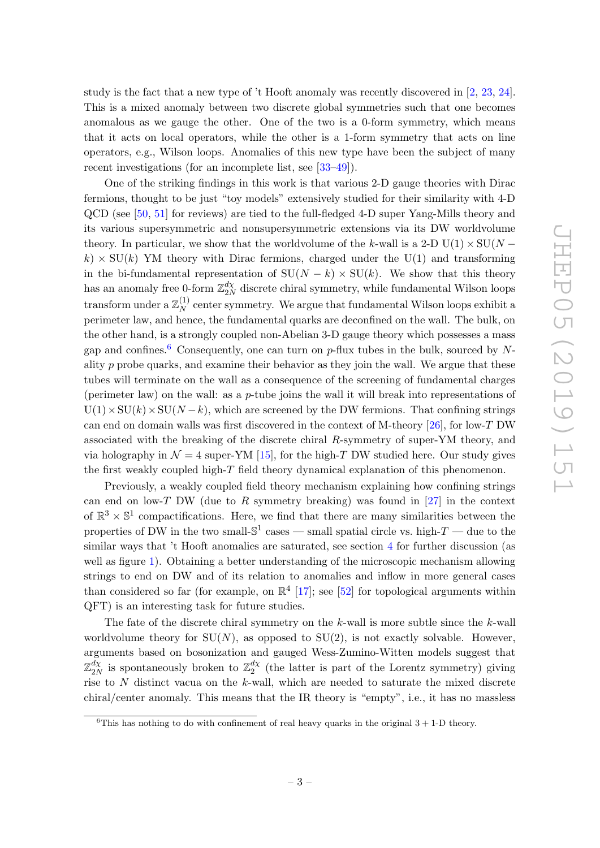study is the fact that a new type of 't Hooft anomaly was recently discovered in [\[2,](#page-33-1) [23,](#page-34-8) [24\]](#page-34-9). This is a mixed anomaly between two discrete global symmetries such that one becomes anomalous as we gauge the other. One of the two is a 0-form symmetry, which means that it acts on local operators, while the other is a 1-form symmetry that acts on line operators, e.g., Wilson loops. Anomalies of this new type have been the subject of many recent investigations (for an incomplete list, see [\[33–](#page-35-2)[49\]](#page-36-0)).

One of the striking findings in this work is that various 2-D gauge theories with Dirac fermions, thought to be just "toy models" extensively studied for their similarity with 4-D QCD (see [\[50,](#page-36-1) [51\]](#page-36-2) for reviews) are tied to the full-fledged 4-D super Yang-Mills theory and its various supersymmetric and nonsupersymmetric extensions via its DW worldvolume theory. In particular, we show that the worldvolume of the k-wall is a 2-D U(1)  $\times$  SU(N –  $k \geq \text{SU}(k)$  YM theory with Dirac fermions, charged under the U(1) and transforming in the bi-fundamental representation of  $SU(N - k) \times SU(k)$ . We show that this theory has an anomaly free 0-form  $\mathbb{Z}_{2\lambda}^{d\chi}$  $\frac{a_X}{2N}$  discrete chiral symmetry, while fundamental Wilson loops transform under a  $\mathbb{Z}_N^{(1)}$  $N<sub>N</sub>$  center symmetry. We argue that fundamental Wilson loops exhibit a perimeter law, and hence, the fundamental quarks are deconfined on the wall. The bulk, on the other hand, is a strongly coupled non-Abelian 3-D gauge theory which possesses a mass gap and confines.<sup>[6](#page-4-0)</sup> Consequently, one can turn on p-flux tubes in the bulk, sourced by Nality p probe quarks, and examine their behavior as they join the wall. We argue that these tubes will terminate on the wall as a consequence of the screening of fundamental charges (perimeter law) on the wall: as a *p*-tube joins the wall it will break into representations of  $U(1)\times SU(k)\times SU(N-k)$ , which are screened by the DW fermions. That confining strings can end on domain walls was first discovered in the context of M-theory  $[26]$ , for low-T DW associated with the breaking of the discrete chiral R-symmetry of super-YM theory, and via holography in  $\mathcal{N} = 4$  super-YM [\[15\]](#page-34-4), for the high-T DW studied here. Our study gives the first weakly coupled high-T field theory dynamical explanation of this phenomenon.

Previously, a weakly coupled field theory mechanism explaining how confining strings can end on low-T DW (due to R symmetry breaking) was found in  $[27]$  in the context of  $\mathbb{R}^3 \times \mathbb{S}^1$  compactifications. Here, we find that there are many similarities between the properties of DW in the two small- $\mathbb{S}^1$  cases — small spatial circle vs. high- $T$  — due to the similar ways that 't Hooft anomalies are saturated, see section [4](#page-16-0) for further discussion (as well as figure [1\)](#page-19-1). Obtaining a better understanding of the microscopic mechanism allowing strings to end on DW and of its relation to anomalies and inflow in more general cases than considered so far (for example, on  $\mathbb{R}^4$  [\[17\]](#page-34-6); see [\[52\]](#page-36-3) for topological arguments within QFT) is an interesting task for future studies.

The fate of the discrete chiral symmetry on the  $k$ -wall is more subtle since the  $k$ -wall worldvolume theory for  $SU(N)$ , as opposed to  $SU(2)$ , is not exactly solvable. However, arguments based on bosonization and gauged Wess-Zumino-Witten models suggest that  $\mathbb{Z}_p^{d\chi}$  $\frac{d\chi}{2N}$  is spontaneously broken to  $\mathbb{Z}_2^{d\chi}$  $_2^{a\chi}$  (the latter is part of the Lorentz symmetry) giving rise to  $N$  distinct vacua on the  $k$ -wall, which are needed to saturate the mixed discrete chiral/center anomaly. This means that the IR theory is "empty", i.e., it has no massless

<span id="page-4-0"></span><sup>&</sup>lt;sup>6</sup>This has nothing to do with confinement of real heavy quarks in the original  $3 + 1$ -D theory.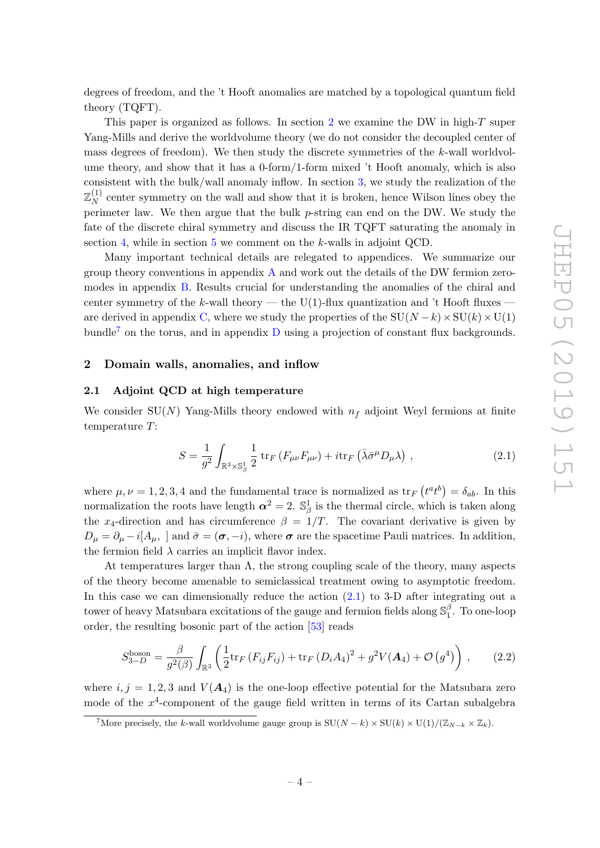degrees of freedom, and the 't Hooft anomalies are matched by a topological quantum field theory (TQFT).

This paper is organized as follows. In section [2](#page-5-0) we examine the DW in high- $T$  super Yang-Mills and derive the worldvolume theory (we do not consider the decoupled center of mass degrees of freedom). We then study the discrete symmetries of the k-wall worldvolume theory, and show that it has a 0-form/1-form mixed 't Hooft anomaly, which is also consistent with the bulk/wall anomaly inflow. In section [3,](#page-14-0) we study the realization of the  $\mathbb{Z}^{(1)}_{\scriptscriptstyle{\boldsymbol{\lambda}\boldsymbol{\tau}}}$  $N<sup>(1)</sup>$  center symmetry on the wall and show that it is broken, hence Wilson lines obey the perimeter law. We then argue that the bulk p-string can end on the DW. We study the fate of the discrete chiral symmetry and discuss the IR TQFT saturating the anomaly in section [4,](#page-16-0) while in section [5](#page-19-0) we comment on the k-walls in adjoint QCD.

Many important technical details are relegated to appendices. We summarize our group theory conventions in appendix  $A$  and work out the details of the DW fermion zeromodes in appendix [B.](#page-24-0) Results crucial for understanding the anomalies of the chiral and center symmetry of the k-wall theory — the U(1)-flux quantization and 't Hooft fluxes — are derived in appendix [C,](#page-26-0) where we study the properties of the  $SU(N-k)\times SU(k)\times U(1)$ bundle<sup>[7](#page-5-2)</sup> on the torus, and in appendix  $D$  using a projection of constant flux backgrounds.

#### <span id="page-5-0"></span>2 Domain walls, anomalies, and inflow

#### <span id="page-5-1"></span>2.1 Adjoint QCD at high temperature

We consider SU(N) Yang-Mills theory endowed with  $n_f$  adjoint Weyl fermions at finite temperature T:

<span id="page-5-3"></span>
$$
S = \frac{1}{g^2} \int_{\mathbb{R}^3 \times \mathbb{S}_\beta^1} \frac{1}{2} \operatorname{tr}_F \left( F_{\mu\nu} F_{\mu\nu} \right) + i \operatorname{tr}_F \left( \bar{\lambda} \bar{\sigma}^\mu D_\mu \lambda \right) , \qquad (2.1)
$$

where  $\mu, \nu = 1, 2, 3, 4$  and the fundamental trace is normalized as  $\text{tr}_F(t^a t^b) = \delta_{ab}$ . In this normalization the roots have length  $\alpha^2 = 2$ .  $\mathbb{S}^1_\beta$  is the thermal circle, which is taken along the x<sub>4</sub>-direction and has circumference  $\beta = 1/T$ . The covariant derivative is given by  $D_{\mu} = \partial_{\mu} - i[A_{\mu}, \,]$  and  $\bar{\sigma} = (\sigma, -i)$ , where  $\sigma$  are the spacetime Pauli matrices. In addition, the fermion field  $\lambda$  carries an implicit flavor index.

At temperatures larger than  $\Lambda$ , the strong coupling scale of the theory, many aspects of the theory become amenable to semiclassical treatment owing to asymptotic freedom. In this case we can dimensionally reduce the action  $(2.1)$  to 3-D after integrating out a tower of heavy Matsubara excitations of the gauge and fermion fields along  $\mathbb{S}^{\beta}_1$  $n_1^{\rho}$ . To one-loop order, the resulting bosonic part of the action [\[53\]](#page-36-4) reads

<span id="page-5-4"></span>
$$
S_{3-D}^{\text{boson}} = \frac{\beta}{g^2(\beta)} \int_{\mathbb{R}^3} \left( \frac{1}{2} \text{tr}_F \left( F_{ij} F_{ij} \right) + \text{tr}_F \left( D_i A_4 \right)^2 + g^2 V(A_4) + \mathcal{O} \left( g^4 \right) \right) , \tag{2.2}
$$

where  $i, j = 1, 2, 3$  and  $V(A_4)$  is the one-loop effective potential for the Matsubara zero mode of the  $x^4$ -component of the gauge field written in terms of its Cartan subalgebra

<span id="page-5-2"></span><sup>&</sup>lt;sup>7</sup>More precisely, the k-wall worldvolume gauge group is  $SU(N-k) \times SU(k) \times U(1)/(\mathbb{Z}_{N-k} \times \mathbb{Z}_k)$ .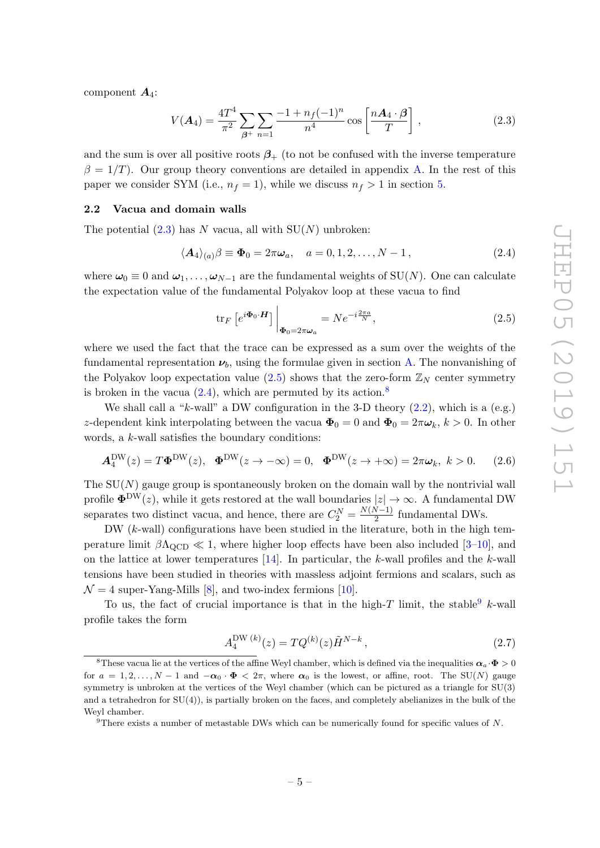component  $A_4$ :

<span id="page-6-1"></span>
$$
V(\mathbf{A}_4) = \frac{4T^4}{\pi^2} \sum_{\beta^+} \sum_{n=1} \frac{-1 + n_f(-1)^n}{n^4} \cos\left[\frac{n\mathbf{A}_4 \cdot \beta}{T}\right],
$$
 (2.3)

and the sum is over all positive roots  $\beta_+$  (to not be confused with the inverse temperature  $\beta = 1/T$ ). Our group theory conventions are detailed in appendix [A.](#page-21-0) In the rest of this paper we consider SYM (i.e.,  $n_f = 1$ ), while we discuss  $n_f > 1$  in section [5.](#page-19-0)

#### <span id="page-6-0"></span>2.2 Vacua and domain walls

The potential  $(2.3)$  has N vacua, all with  $SU(N)$  unbroken:

<span id="page-6-3"></span>
$$
\langle A_4 \rangle_{(a)} \beta \equiv \Phi_0 = 2\pi \omega_a, \quad a = 0, 1, 2, \dots, N - 1,
$$
\n(2.4)

where  $\omega_0 \equiv 0$  and  $\omega_1, \ldots, \omega_{N-1}$  are the fundamental weights of SU(N). One can calculate the expectation value of the fundamental Polyakov loop at these vacua to find

<span id="page-6-2"></span>
$$
\operatorname{tr}_{F}\left[e^{i\boldsymbol{\Phi}_{0}\cdot\boldsymbol{H}}\right]\Big|_{\boldsymbol{\Phi}_{0}=2\pi\boldsymbol{\omega}_{a}}=Ne^{-i\frac{2\pi a}{N}},\tag{2.5}
$$

where we used the fact that the trace can be expressed as a sum over the weights of the fundamental representation  $\nu_b$ , using the formulae given in section [A.](#page-21-0) The nonvanishing of the Polyakov loop expectation value  $(2.5)$  shows that the zero-form  $\mathbb{Z}_N$  center symmetry is broken in the vacua  $(2.4)$ , which are permuted by its action.<sup>[8](#page-6-4)</sup>

We shall call a "k-wall" a DW configuration in the 3-D theory  $(2.2)$ , which is a  $(e.g.)$ z-dependent kink interpolating between the vacua  $\Phi_0 = 0$  and  $\Phi_0 = 2\pi\omega_k$ ,  $k > 0$ . In other words, a k-wall satisfies the boundary conditions:

$$
\mathbf{A}_4^{\rm DW}(z) = T\mathbf{\Phi}^{\rm DW}(z), \quad \mathbf{\Phi}^{\rm DW}(z \to -\infty) = 0, \quad \mathbf{\Phi}^{\rm DW}(z \to +\infty) = 2\pi\omega_k, \ k > 0. \tag{2.6}
$$

The  $SU(N)$  gauge group is spontaneously broken on the domain wall by the nontrivial wall profile  $\Phi^{DW}(z)$ , while it gets restored at the wall boundaries  $|z| \to \infty$ . A fundamental DW separates two distinct vacua, and hence, there are  $C_2^N = \frac{N(N-1)}{2}$  $\frac{\sqrt{2}}{2}$  fundamental DWs.

DW (k-wall) configurations have been studied in the literature, both in the high temperature limit  $\beta \Lambda_{\text{QCD}} \ll 1$ , where higher loop effects have been also included [\[3](#page-33-2)[–10\]](#page-34-3), and on the lattice at lower temperatures  $[14]$ . In particular, the k-wall profiles and the k-wall tensions have been studied in theories with massless adjoint fermions and scalars, such as  $\mathcal{N} = 4$  super-Yang-Mills [\[8\]](#page-33-3), and two-index fermions [\[10\]](#page-34-3).

To us, the fact of crucial importance is that in the high-T limit, the stable  $k$ -wall profile takes the form

<span id="page-6-6"></span>
$$
A_4^{\text{DW}(k)}(z) = TQ^{(k)}(z)\tilde{H}^{N-k},\qquad(2.7)
$$

<span id="page-6-4"></span><sup>&</sup>lt;sup>8</sup>These vacua lie at the vertices of the affine Weyl chamber, which is defined via the inequalities  $\alpha_a \cdot \Phi > 0$ for  $a = 1, 2, \ldots, N - 1$  and  $-\alpha_0 \cdot \Phi < 2\pi$ , where  $\alpha_0$  is the lowest, or affine, root. The SU(N) gauge symmetry is unbroken at the vertices of the Weyl chamber (which can be pictured as a triangle for SU(3) and a tetrahedron for  $SU(4)$ , is partially broken on the faces, and completely abelianizes in the bulk of the Weyl chamber.

<span id="page-6-5"></span><sup>&</sup>lt;sup>9</sup>There exists a number of metastable DWs which can be numerically found for specific values of N.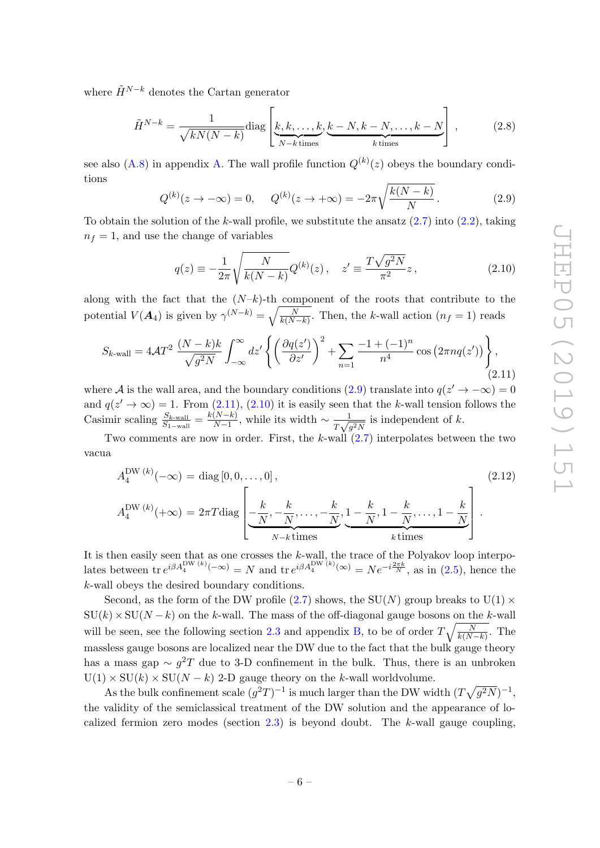where  $\tilde{H}^{N-k}$  denotes the Cartan generator

<span id="page-7-3"></span>
$$
\tilde{H}^{N-k} = \frac{1}{\sqrt{kN(N-k)}} \text{diag}\left[\underbrace{k, k, \dots, k}_{N-k \text{ times}}, \underbrace{k-N, k-N, \dots, k-N}_{k \text{ times}}\right],\tag{2.8}
$$

see also [\(A.8\)](#page-22-0) in appendix [A.](#page-21-0) The wall profile function  $Q^{(k)}(z)$  obeys the boundary conditions

<span id="page-7-1"></span>
$$
Q^{(k)}(z \to -\infty) = 0, \qquad Q^{(k)}(z \to +\infty) = -2\pi \sqrt{\frac{k(N-k)}{N}}.
$$
 (2.9)

To obtain the solution of the k-wall profile, we substitute the ansatz  $(2.7)$  into  $(2.2)$ , taking  $n_f = 1$ , and use the change of variables

<span id="page-7-2"></span>
$$
q(z) \equiv -\frac{1}{2\pi} \sqrt{\frac{N}{k(N-k)}} Q^{(k)}(z) \,, \quad z' \equiv \frac{T\sqrt{g^2 N}}{\pi^2} z \,, \tag{2.10}
$$

along with the fact that the  $(N-k)$ -th component of the roots that contribute to the potential  $V(A_4)$  is given by  $\gamma^{(N-k)} = \sqrt{\frac{N}{k(N-k)}}$ . Then, the k-wall action  $(n_f = 1)$  reads

<span id="page-7-0"></span>
$$
S_{k\text{-wall}} = 4\mathcal{A}T^2 \frac{(N-k)k}{\sqrt{g^2 N}} \int_{-\infty}^{\infty} dz' \left\{ \left( \frac{\partial q(z')}{\partial z'} \right)^2 + \sum_{n=1} \frac{-1 + (-1)^n}{n^4} \cos\left(2\pi n q(z')\right) \right\},\tag{2.11}
$$

where A is the wall area, and the boundary conditions [\(2.9\)](#page-7-1) translate into  $q(z' \to -\infty) = 0$ and  $q(z' \to \infty) = 1$ . From [\(2.11\)](#page-7-0), [\(2.10\)](#page-7-2) it is easily seen that the k-wall tension follows the Casimir scaling  $\frac{S_{k\text{-wall}}}{S_{1\text{-wall}}} = \frac{k(N-k)}{N-1}$  $\frac{(N-k)}{N-1}$ , while its width  $\sim \frac{1}{T\sqrt{N}}$  $\frac{1}{T\sqrt{g^2N}}$  is independent of k.

Two comments are now in order. First, the  $k$ -wall  $(2.7)$  interpolates between the two vacua

$$
A_4^{\text{DW}(k)}(-\infty) = \text{diag}[0, 0, \dots, 0],
$$
\n
$$
A_4^{\text{DW}(k)}(+\infty) = 2\pi T \text{diag}\left[\underbrace{-\frac{k}{N}, -\frac{k}{N}, \dots, -\frac{k}{N}}_{N-k \text{ times}}, \underbrace{1 - \frac{k}{N}, 1 - \frac{k}{N}, \dots, 1 - \frac{k}{N}}_{k \text{ times}}\right].
$$
\n(2.12)

It is then easily seen that as one crosses the  $k$ -wall, the trace of the Polyakov loop interpolates between  $\text{tr } e^{i\beta A_4^{\text{DW }(k)}(-\infty)} = N$  and  $\text{tr } e^{i\beta A_4^{\text{DW }(k)}(\infty)} = N e^{-i\frac{2\pi k}{N}}$ , as in [\(2.5\)](#page-6-2), hence the k-wall obeys the desired boundary conditions.

Second, as the form of the DW profile [\(2.7\)](#page-6-6) shows, the  $SU(N)$  group breaks to  $U(1)$   $\times$  $SU(k)\times SU(N-k)$  on the k-wall. The mass of the off-diagonal gauge bosons on the k-wall will be seen, see the following section [2.3](#page-8-0) and appendix [B,](#page-24-0) to be of order  $T\sqrt{\frac{N}{k(N-k)}}$ . The massless gauge bosons are localized near the DW due to the fact that the bulk gauge theory has a mass gap  $\sim g^2T$  due to 3-D confinement in the bulk. Thus, there is an unbroken  $U(1) \times SU(k) \times SU(N - k)$  2-D gauge theory on the k-wall worldvolume.

As the bulk confinement scale  $(g^2T)^{-1}$  is much larger than the DW width  $(T\sqrt{g^2N})^{-1}$ , the validity of the semiclassical treatment of the DW solution and the appearance of localized fermion zero modes (section  $2.3$ ) is beyond doubt. The k-wall gauge coupling,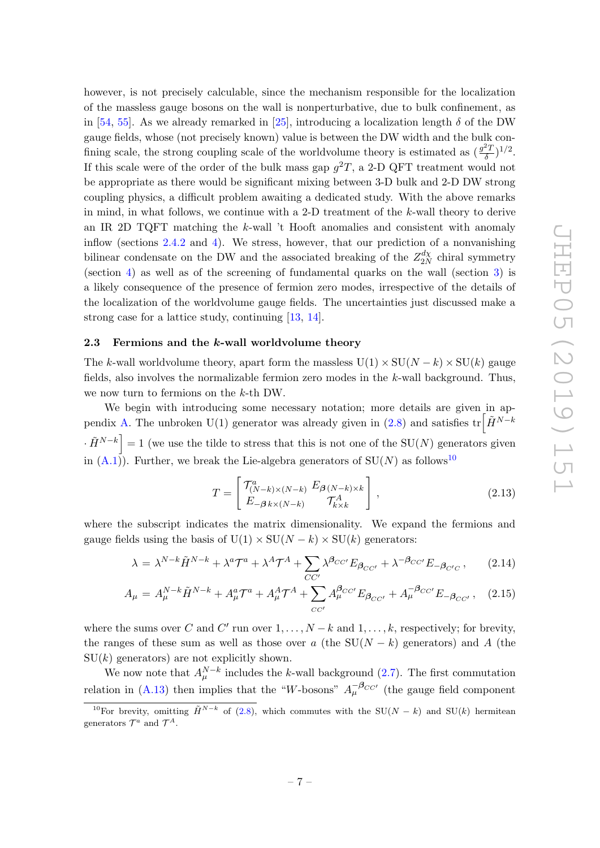however, is not precisely calculable, since the mechanism responsible for the localization of the massless gauge bosons on the wall is nonperturbative, due to bulk confinement, as in [\[54,](#page-36-5) [55\]](#page-36-6). As we already remarked in [\[25\]](#page-34-10), introducing a localization length  $\delta$  of the DW gauge fields, whose (not precisely known) value is between the DW width and the bulk confining scale, the strong coupling scale of the worldvolume theory is estimated as  $\left(\frac{g^2 T}{\delta}\right)$  $(\frac{2T}{\delta})^{1/2}.$ If this scale were of the order of the bulk mass gap  $g^2T$ , a 2-D QFT treatment would not be appropriate as there would be significant mixing between 3-D bulk and 2-D DW strong coupling physics, a difficult problem awaiting a dedicated study. With the above remarks in mind, in what follows, we continue with a 2-D treatment of the k-wall theory to derive an IR 2D TQFT matching the  $k$ -wall 't Hooft anomalies and consistent with anomaly inflow (sections [2.4.2](#page-12-0) and [4\)](#page-16-0). We stress, however, that our prediction of a nonvanishing bilinear condensate on the DW and the associated breaking of the  $Z_{2\lambda}^{d\chi}$  $\frac{dX}{2N}$  chiral symmetry (section [4\)](#page-16-0) as well as of the screening of fundamental quarks on the wall (section [3\)](#page-14-0) is a likely consequence of the presence of fermion zero modes, irrespective of the details of the localization of the worldvolume gauge fields. The uncertainties just discussed make a strong case for a lattice study, continuing [\[13,](#page-34-1) [14\]](#page-34-2).

#### <span id="page-8-0"></span>2.3 Fermions and the k-wall worldvolume theory

The k-wall worldvolume theory, apart form the massless  $U(1) \times SU(N - k) \times SU(k)$  gauge fields, also involves the normalizable fermion zero modes in the k-wall background. Thus, we now turn to fermions on the k-th DW.

We begin with introducing some necessary notation; more details are given in ap-pendix [A.](#page-21-0) The unbroken U(1) generator was already given in [\(2.8\)](#page-7-3) and satisfies  $\text{tr} \left[ \tilde{H}^{N-k} \right]$  $\cdot \tilde{H}^{N-k}$  = 1 (we use the tilde to stress that this is not one of the SU(N) generators given in [\(A.1\)](#page-21-1)). Further, we break the Lie-algebra generators of  $SU(N)$  as follows<sup>[10](#page-8-1)</sup>

<span id="page-8-3"></span>
$$
T = \begin{bmatrix} \mathcal{T}_{(N-k)\times(N-k)}^a & E_{\beta(N-k)\times k} \\ E_{-\beta k \times (N-k)} & \mathcal{T}_{k \times k}^A \end{bmatrix},\tag{2.13}
$$

where the subscript indicates the matrix dimensionality. We expand the fermions and gauge fields using the basis of  $U(1) \times SU(N - k) \times SU(k)$  generators:

<span id="page-8-2"></span>
$$
\lambda = \lambda^{N-k} \tilde{H}^{N-k} + \lambda^a \mathcal{T}^a + \lambda^A \mathcal{T}^A + \sum_{CC'} \lambda^{\beta_{CC'}} E_{\beta_{CC'}} + \lambda^{-\beta_{CC'}} E_{-\beta_{C'C}} ,\qquad(2.14)
$$

$$
A_{\mu} = A_{\mu}^{N-k} \tilde{H}^{N-k} + A_{\mu}^{a} \mathcal{T}^{a} + A_{\mu}^{A} \mathcal{T}^{A} + \sum_{CC'} A_{\mu}^{\beta_{CC'}} E_{\beta_{CC'}} + A_{\mu}^{-\beta_{CC'}} E_{-\beta_{CC'}}, \quad (2.15)
$$

where the sums over C and C' run over  $1, \ldots, N-k$  and  $1, \ldots, k$ , respectively; for brevity, the ranges of these sum as well as those over a (the  $SU(N - k)$ ) generators) and A (the  $SU(k)$  generators) are not explicitly shown.

We now note that  $A_{\mu}^{N-k}$  includes the k-wall background [\(2.7\)](#page-6-6). The first commutation relation in [\(A.13\)](#page-23-0) then implies that the "W-bosons"  $A_{\mu}^{-\beta_{CC'}}$  (the gauge field component

<span id="page-8-1"></span><sup>&</sup>lt;sup>10</sup>For brevity, omitting  $\tilde{H}^{N-k}$  of [\(2.8\)](#page-7-3), which commutes with the SU(N – k) and SU(k) hermitean generators  $\mathcal{T}^a$  and  $\mathcal{T}^A$ .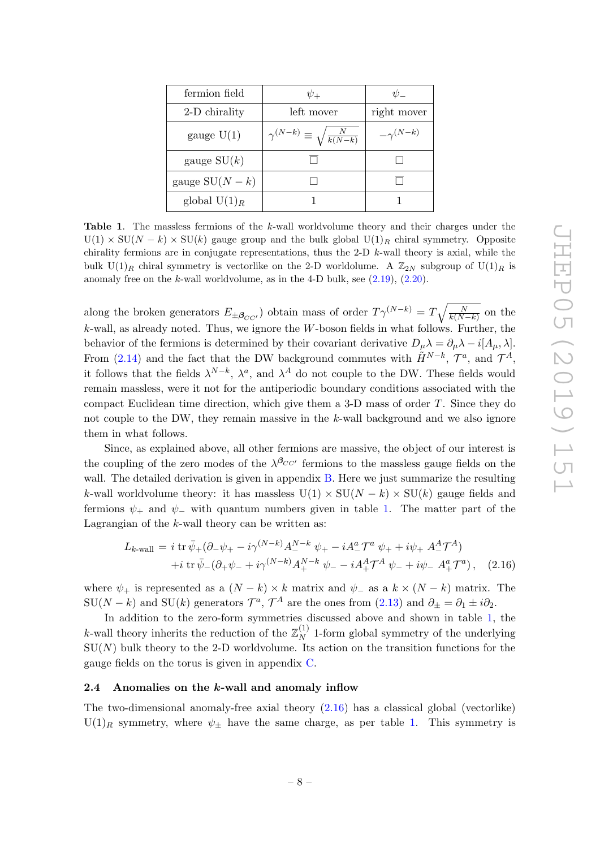| fermion field   | $\psi_{+}$                                    | $\psi_-$          |
|-----------------|-----------------------------------------------|-------------------|
| 2-D chirality   | left mover                                    | right mover       |
| gauge $U(1)$    | $\gamma^{(N-k)}\equiv\sqrt{\frac{N}{k(N-k)}}$ | $-\gamma^{(N-k)}$ |
| gauge $SU(k)$   |                                               |                   |
| gauge $SU(N-k)$ |                                               |                   |
| global $U(1)_R$ |                                               |                   |

<span id="page-9-1"></span>Table 1. The massless fermions of the k-wall worldvolume theory and their charges under the  $U(1) \times SU(N - k) \times SU(k)$  gauge group and the bulk global  $U(1)_R$  chiral symmetry. Opposite chirality fermions are in conjugate representations, thus the 2-D  $k$ -wall theory is axial, while the bulk  $U(1)_R$  chiral symmetry is vectorlike on the 2-D worldolume. A  $\mathbb{Z}_{2N}$  subgroup of  $U(1)_R$  is anomaly free on the k-wall worldvolume, as in the 4-D bulk, see  $(2.19)$ ,  $(2.20)$ .

along the broken generators  $E_{\pm \beta_{CC'}}$ ) obtain mass of order  $T\gamma^{(N-k)} = T\sqrt{\frac{N}{k(N-k)}}$  on the  $k$ -wall, as already noted. Thus, we ignore the W-boson fields in what follows. Further, the behavior of the fermions is determined by their covariant derivative  $D_\mu \lambda = \partial_\mu \lambda - i[A_\mu, \lambda]$ . From [\(2.14\)](#page-8-2) and the fact that the DW background commutes with  $\tilde{H}^{N-k}$ ,  $\mathcal{T}^{a}$ , and  $\mathcal{T}^{A}$ , it follows that the fields  $\lambda^{N-k}$ ,  $\lambda^a$ , and  $\lambda^A$  do not couple to the DW. These fields would remain massless, were it not for the antiperiodic boundary conditions associated with the compact Euclidean time direction, which give them a 3-D mass of order  $T$ . Since they do not couple to the DW, they remain massive in the k-wall background and we also ignore them in what follows.

Since, as explained above, all other fermions are massive, the object of our interest is the coupling of the zero modes of the  $\lambda^{\beta_{CC'}}$  fermions to the massless gauge fields on the wall. The detailed derivation is given in appendix [B.](#page-24-0) Here we just summarize the resulting k-wall worldvolume theory: it has massless  $U(1) \times SU(N - k) \times SU(k)$  gauge fields and fermions  $\psi_+$  and  $\psi_-$  with quantum numbers given in table [1.](#page-9-1) The matter part of the Lagrangian of the  $k$ -wall theory can be written as:

<span id="page-9-2"></span>
$$
L_{k\text{-wall}} = i \operatorname{tr} \bar{\psi}_{+} (\partial_{-} \psi_{+} - i \gamma^{(N-k)} A_{-}^{N-k} \psi_{+} - i A_{-}^{a} \mathcal{T}^{a} \psi_{+} + i \psi_{+} A_{-}^{A} \mathcal{T}^{A}) + i \operatorname{tr} \bar{\psi}_{-} (\partial_{+} \psi_{-} + i \gamma^{(N-k)} A_{+}^{N-k} \psi_{-} - i A_{+}^{A} \mathcal{T}^{A} \psi_{-} + i \psi_{-} A_{+}^{a} \mathcal{T}^{a}), \quad (2.16)
$$

where  $\psi_+$  is represented as a  $(N-k) \times k$  matrix and  $\psi_-$  as a  $k \times (N-k)$  matrix. The  $SU(N-k)$  and  $SU(k)$  generators  $\mathcal{T}^a$ ,  $\mathcal{T}^A$  are the ones from  $(2.13)$  and  $\partial_{\pm} = \partial_1 \pm i \partial_2$ .

In addition to the zero-form symmetries discussed above and shown in table [1,](#page-9-1) the k-wall theory inherits the reduction of the  $\mathbb{Z}_N^{(1)}$  $_{N}^{(1)}$  1-form global symmetry of the underlying  $SU(N)$  bulk theory to the 2-D worldvolume. Its action on the transition functions for the gauge fields on the torus is given in appendix [C.](#page-26-0)

#### <span id="page-9-0"></span>2.4 Anomalies on the k-wall and anomaly inflow

The two-dimensional anomaly-free axial theory  $(2.16)$  has a classical global (vectorlike)  $U(1)_R$  symmetry, where  $\psi_{\pm}$  have the same charge, as per table [1.](#page-9-1) This symmetry is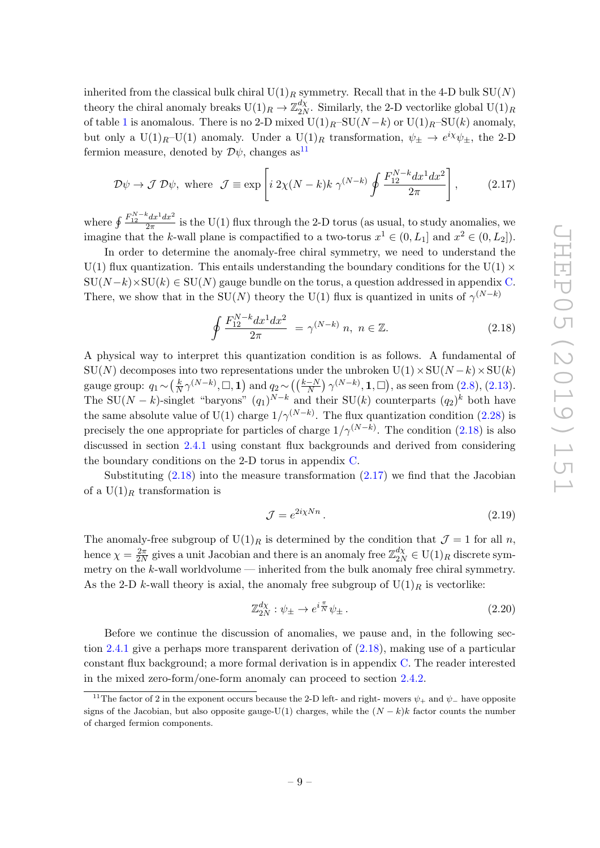inherited from the classical bulk chiral  $U(1)_R$  symmetry. Recall that in the 4-D bulk  $SU(N)$ theory the chiral anomaly breaks  $U(1)_R \to \mathbb{Z}_{2N}^{d\chi}$  $\frac{a_X}{2N}$ . Similarly, the 2-D vectorlike global  $\mathrm{U}(1)_R$ of table [1](#page-9-1) is anomalous. There is no 2-D mixed  $U(1)_R$ –SU $(N-k)$  or  $U(1)_R$ –SU $(k)$  anomaly, but only a U(1)<sub>R</sub>–U(1) anomaly. Under a U(1)<sub>R</sub> transformation,  $\psi_{\pm} \to e^{i\chi} \psi_{\pm}$ , the 2-D fermion measure, denoted by  $\mathcal{D}\psi$ , changes as<sup>[11](#page-10-2)</sup>

<span id="page-10-4"></span>
$$
\mathcal{D}\psi \to \mathcal{J} \,\mathcal{D}\psi, \text{ where } \mathcal{J} \equiv \exp\left[i\,2\chi(N-k)k\,\gamma^{(N-k)}\oint \frac{F_{12}^{N-k}dx^1dx^2}{2\pi}\right],\tag{2.17}
$$

where  $\oint \frac{F_{12}^{N-k} dx^1 dx^2}{2\pi}$  is the U(1) flux through the 2-D torus (as usual, to study anomalies, we imagine that the k-wall plane is compactified to a two-torus  $x^1 \in (0, L_1]$  and  $x^2 \in (0, L_2]$ .

In order to determine the anomaly-free chiral symmetry, we need to understand the U(1) flux quantization. This entails understanding the boundary conditions for the U(1)  $\times$  $\text{SU}(N-k)\times \text{SU}(k) \in \text{SU}(N)$  gauge bundle on the torus, a question addressed in appendix [C.](#page-26-0) There, we show that in the SU(N) theory the U(1) flux is quantized in units of  $\gamma^{(N-k)}$ 

<span id="page-10-3"></span>
$$
\oint \frac{F_{12}^{N-k} dx^1 dx^2}{2\pi} = \gamma^{(N-k)} n, \ n \in \mathbb{Z}.
$$
\n(2.18)

A physical way to interpret this quantization condition is as follows. A fundamental of  $SU(N)$  decomposes into two representations under the unbroken  $U(1) \times SU(N - k) \times SU(k)$ gauge group:  $q_1 \sim (\frac{k}{N})$  $\frac{k}{N} \gamma^{(N-k)}$ ,  $\Box$ , **1**) and  $q_2 \sim \left( \left( \frac{k-N}{N} \right) \gamma^{(N-k)}$ , **1**,  $\Box \right)$ , as seen from [\(2.8\)](#page-7-3), [\(2.13\)](#page-8-3). The SU(N – k)-singlet "baryons"  $(q_1)^{N-k}$  and their SU(k) counterparts  $(q_2)^k$  both have the same absolute value of U(1) charge  $1/\gamma^{(N-k)}$ . The flux quantization condition [\(2.28\)](#page-12-1) is precisely the one appropriate for particles of charge  $1/\gamma^{(N-k)}$ . The condition [\(2.18\)](#page-10-3) is also discussed in section [2.4.1](#page-11-0) using constant flux backgrounds and derived from considering the boundary conditions on the 2-D torus in appendix [C.](#page-26-0)

Substituting  $(2.18)$  into the measure transformation  $(2.17)$  we find that the Jacobian of a  $U(1)_R$  transformation is

<span id="page-10-0"></span>
$$
\mathcal{J} = e^{2i\chi Nn} \,. \tag{2.19}
$$

The anomaly-free subgroup of  $U(1)_R$  is determined by the condition that  $\mathcal{J}=1$  for all n, hence  $\chi = \frac{2\pi}{2\lambda}$  $\frac{2\pi}{2N}$  gives a unit Jacobian and there is an anomaly free  $\mathbb{Z}_{2N}^{d\chi} \in \mathrm{U}(1)_R$  discrete symmetry on the  $k$ -wall worldvolume — inherited from the bulk anomaly free chiral symmetry. As the 2-D k-wall theory is axial, the anomaly free subgroup of  $U(1)<sub>R</sub>$  is vectorlike:

<span id="page-10-1"></span>
$$
\mathbb{Z}_{2N}^{d\chi} : \psi_{\pm} \to e^{i\frac{\pi}{N}} \psi_{\pm} \,. \tag{2.20}
$$

Before we continue the discussion of anomalies, we pause and, in the following section [2.4.1](#page-11-0) give a perhaps more transparent derivation of [\(2.18\)](#page-10-3), making use of a particular constant flux background; a more formal derivation is in appendix [C.](#page-26-0) The reader interested in the mixed zero-form/one-form anomaly can proceed to section [2.4.2.](#page-12-0)

<span id="page-10-2"></span><sup>&</sup>lt;sup>11</sup>The factor of 2 in the exponent occurs because the 2-D left- and right- movers  $\psi_+$  and  $\psi_-$  have opposite signs of the Jacobian, but also opposite gauge-U(1) charges, while the  $(N - k)k$  factor counts the number of charged fermion components.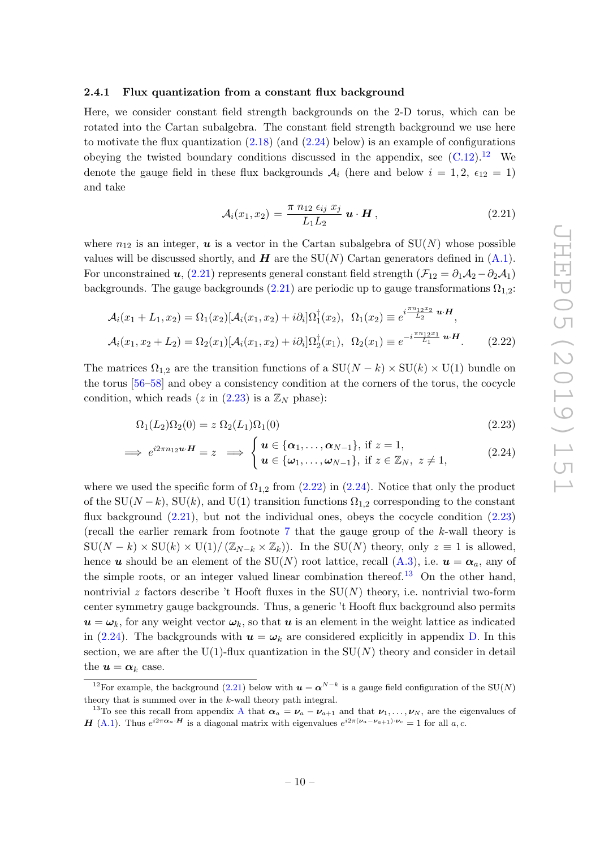#### <span id="page-11-0"></span>2.4.1 Flux quantization from a constant flux background

Here, we consider constant field strength backgrounds on the 2-D torus, which can be rotated into the Cartan subalgebra. The constant field strength background we use here to motivate the flux quantization  $(2.18)$  (and  $(2.24)$  below) is an example of configurations obeying the twisted boundary conditions discussed in the appendix, see  $(C.12).^{12}$  $(C.12).^{12}$  $(C.12).^{12}$  $(C.12).^{12}$  We denote the gauge field in these flux backgrounds  $A_i$  (here and below  $i = 1, 2, \epsilon_{12} = 1$ ) and take

<span id="page-11-5"></span><span id="page-11-4"></span><span id="page-11-3"></span>
$$
\mathcal{A}_i(x_1, x_2) = \frac{\pi n_{12} \epsilon_{ij} x_j}{L_1 L_2} \mathbf{u} \cdot \mathbf{H}, \qquad (2.21)
$$

where  $n_{12}$  is an integer, **u** is a vector in the Cartan subalgebra of  $SU(N)$  whose possible values will be discussed shortly, and  $H$  are the SU(N) Cartan generators defined in  $(A.1)$ . For unconstrained u, [\(2.21\)](#page-11-3) represents general constant field strength ( $\mathcal{F}_{12} = \partial_1 \mathcal{A}_2 - \partial_2 \mathcal{A}_1$ ) backgrounds. The gauge backgrounds [\(2.21\)](#page-11-3) are periodic up to gauge transformations  $\Omega_{1,2}$ :

$$
\mathcal{A}_i(x_1 + L_1, x_2) = \Omega_1(x_2) [\mathcal{A}_i(x_1, x_2) + i \partial_i] \Omega_1^{\dagger}(x_2), \ \ \Omega_1(x_2) \equiv e^{i \frac{\pi n_1 2 x_2}{L_2} \mathbf{u} \cdot \mathbf{H}},
$$

$$
\mathcal{A}_i(x_1, x_2 + L_2) = \Omega_2(x_1) [\mathcal{A}_i(x_1, x_2) + i \partial_i] \Omega_2^{\dagger}(x_1), \ \ \Omega_2(x_1) \equiv e^{-i \frac{\pi n_1 2 x_1}{L_1} \mathbf{u} \cdot \mathbf{H}}.
$$
(2.22)

The matrices  $\Omega_{1,2}$  are the transition functions of a  $SU(N - k) \times SU(k) \times U(1)$  bundle on the torus [\[56](#page-36-7)[–58\]](#page-36-8) and obey a consistency condition at the corners of the torus, the cocycle condition, which reads (z in [\(2.23\)](#page-11-4) is a  $\mathbb{Z}_N$  phase):

<span id="page-11-1"></span>
$$
\Omega_1(L_2)\Omega_2(0) = z \Omega_2(L_1)\Omega_1(0) \tag{2.23}
$$

$$
\implies e^{i2\pi n_1} \mathbf{u} \cdot \mathbf{H} = z \implies \begin{cases} \mathbf{u} \in \{\alpha_1, \dots, \alpha_{N-1}\}, \text{ if } z = 1, \\ \mathbf{u} \in \{\omega_1, \dots, \omega_{N-1}\}, \text{ if } z \in \mathbb{Z}_N, \ z \neq 1, \end{cases}
$$
(2.24)

where we used the specific form of  $\Omega_{1,2}$  from [\(2.22\)](#page-11-5) in [\(2.24\)](#page-11-1). Notice that only the product of the SU( $N - k$ ), SU(k), and U(1) transition functions  $\Omega_{1,2}$  corresponding to the constant flux background  $(2.21)$ , but not the individual ones, obeys the cocycle condition  $(2.23)$ (recall the earlier remark from footnote [7](#page-5-2) that the gauge group of the k-wall theory is  $\text{SU}(N-k)\times \text{SU}(k)\times \text{U}(1)/(\mathbb{Z}_{N-k}\times \mathbb{Z}_k)$ . In the  $\text{SU}(N)$  theory, only  $z\equiv 1$  is allowed, hence u should be an element of the SU(N) root lattice, recall [\(A.3\)](#page-22-1), i.e.  $u = \alpha_a$ , any of the simple roots, or an integer valued linear combination thereof.<sup>[13](#page-11-6)</sup> On the other hand, nontrivial z factors describe 't Hooft fluxes in the  $SU(N)$  theory, i.e. nontrivial two-form center symmetry gauge backgrounds. Thus, a generic 't Hooft flux background also permits  $u = \omega_k$ , for any weight vector  $\omega_k$ , so that u is an element in the weight lattice as indicated in [\(2.24\)](#page-11-1). The backgrounds with  $u = \omega_k$  are considered explicitly in appendix [D.](#page-31-0) In this section, we are after the U(1)-flux quantization in the  $SU(N)$  theory and consider in detail the  $u = \alpha_k$  case.

<span id="page-11-2"></span><sup>&</sup>lt;sup>12</sup>For example, the background [\(2.21\)](#page-11-3) below with  $u = \alpha^{N-k}$  is a gauge field configuration of the SU(N) theory that is summed over in the k-wall theory path integral.

<span id="page-11-6"></span><sup>&</sup>lt;sup>13</sup>To see this recall from appendix [A](#page-21-0) that  $\alpha_a = \nu_a - \nu_{a+1}$  and that  $\nu_1, \ldots, \nu_N$ , are the eigenvalues of **H** [\(A.1\)](#page-21-1). Thus  $e^{i2\pi\alpha_a \cdot H}$  is a diagonal matrix with eigenvalues  $e^{i2\pi(\nu_a - \nu_{a+1}) \cdot \nu_c} = 1$  for all a, c.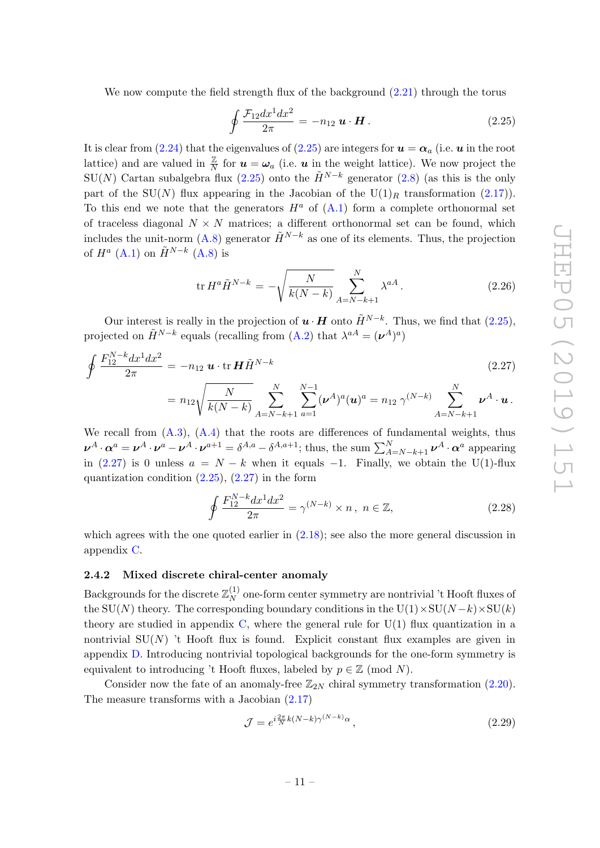We now compute the field strength flux of the background  $(2.21)$  through the torus

<span id="page-12-2"></span>
$$
\oint \frac{\mathcal{F}_{12}dx^1dx^2}{2\pi} = -n_{12} \mathbf{u} \cdot \mathbf{H}.
$$
\n(2.25)

It is clear from [\(2.24\)](#page-11-1) that the eigenvalues of [\(2.25\)](#page-12-2) are integers for  $u = \alpha_a$  (i.e. u in the root lattice) and are valued in  $\frac{z}{N}$  for  $u = \omega_a$  (i.e. u in the weight lattice). We now project the SU(N) Cartan subalgebra flux [\(2.25\)](#page-12-2) onto the  $\tilde{H}^{N-k}$  generator [\(2.8\)](#page-7-3) (as this is the only part of the SU(N) flux appearing in the Jacobian of the U(1)<sub>R</sub> transformation [\(2.17\)](#page-10-4)). To this end we note that the generators  $H^a$  of  $(A.1)$  form a complete orthonormal set of traceless diagonal  $N \times N$  matrices; a different orthonormal set can be found, which includes the unit-norm [\(A.8\)](#page-22-0) generator  $\tilde{H}^{N-k}$  as one of its elements. Thus, the projection of  $H^a$  [\(A.1\)](#page-21-1) on  $\tilde{H}^{N-k}$  [\(A.8\)](#page-22-0) is

$$
\text{tr}\,H^{a}\tilde{H}^{N-k} = -\sqrt{\frac{N}{k(N-k)}}\sum_{A=N-k+1}^{N}\lambda^{aA}.
$$
 (2.26)

Our interest is really in the projection of  $\mathbf{u} \cdot \mathbf{H}$  onto  $\tilde{H}^{N-k}$ . Thus, we find that [\(2.25\)](#page-12-2), projected on  $\tilde{H}^{N-k}$  equals (recalling from [\(A.2\)](#page-22-2) that  $\lambda^{aA} = (\nu^{A})^a$ )

<span id="page-12-3"></span>
$$
\oint \frac{F_{12}^{N-k} dx^1 dx^2}{2\pi} = -n_{12} \mathbf{u} \cdot \text{tr } \mathbf{H} \tilde{H}^{N-k}
$$
\n
$$
= n_{12} \sqrt{\frac{N}{k(N-k)}} \sum_{A=N-k+1}^{N} \sum_{a=1}^{N-1} (\nu^A)^a (\mathbf{u})^a = n_{12} \gamma^{(N-k)} \sum_{A=N-k+1}^{N} \nu^A \cdot \mathbf{u}.
$$
\n(2.27)

We recall from  $(A.3)$ ,  $(A.4)$  that the roots are differences of fundamental weights, thus  $\boldsymbol{\nu}^A\cdot\boldsymbol{\alpha}^a=\boldsymbol{\nu}^A\cdot\boldsymbol{\nu}^a-\boldsymbol{\nu}^A\cdot\boldsymbol{\nu}^{a+1}=\delta^{A,a}-\delta^{A,a+1}$ ; thus, the sum  $\sum_{A=N-k+1}^{N}\boldsymbol{\nu}^A\cdot\boldsymbol{\alpha}^a$  appearing in [\(2.27\)](#page-12-3) is 0 unless  $a = N - k$  when it equals -1. Finally, we obtain the U(1)-flux quantization condition  $(2.25)$ ,  $(2.27)$  in the form

<span id="page-12-1"></span>
$$
\oint \frac{F_{12}^{N-k} dx^1 dx^2}{2\pi} = \gamma^{(N-k)} \times n, \ n \in \mathbb{Z},
$$
\n(2.28)

which agrees with the one quoted earlier in [\(2.18\)](#page-10-3); see also the more general discussion in appendix [C.](#page-26-0)

#### <span id="page-12-0"></span>2.4.2 Mixed discrete chiral-center anomaly

Backgrounds for the discrete  $\mathbb{Z}_N^{(1)}$  $N^{(1)}$  one-form center symmetry are nontrivial 't Hooft fluxes of the SU(N) theory. The corresponding boundary conditions in the U(1)×SU(N-k)×SU(k) theory are studied in appendix [C,](#page-26-0) where the general rule for  $U(1)$  flux quantization in a nontrivial  $SU(N)$  't Hooft flux is found. Explicit constant flux examples are given in appendix [D.](#page-31-0) Introducing nontrivial topological backgrounds for the one-form symmetry is equivalent to introducing 't Hooft fluxes, labeled by  $p \in \mathbb{Z}$  (mod N).

Consider now the fate of an anomaly-free  $\mathbb{Z}_{2N}$  chiral symmetry transformation [\(2.20\)](#page-10-1). The measure transforms with a Jacobian [\(2.17\)](#page-10-4)

<span id="page-12-4"></span>
$$
\mathcal{J} = e^{i\frac{2\pi}{N}k(N-k)\gamma^{(N-k)}\alpha},\qquad(2.29)
$$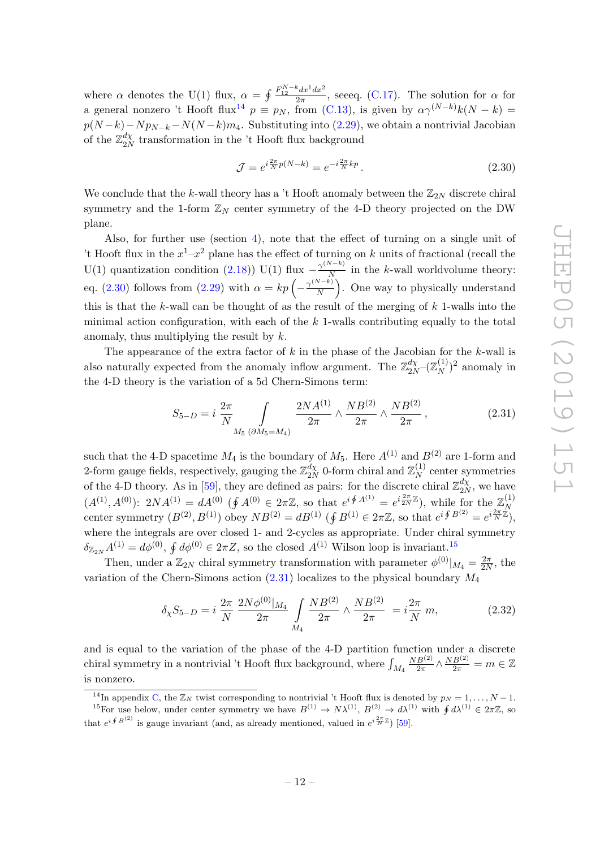where  $\alpha$  denotes the U(1) flux,  $\alpha = \oint \frac{F_{12}^{N-k} dx^1 dx^2}{2\pi}$ , see q. [\(C.17\)](#page-29-0). The solution for  $\alpha$  for a general nonzero 't Hooft flux<sup>[14](#page-13-0)</sup>  $p \equiv p_N$ , from [\(C.13\)](#page-28-1), is given by  $\alpha \gamma^{(N-k)} k(N-k)$  $p(N-k)-Np_{N-k}-N(N-k)m_4$ . Substituting into [\(2.29\)](#page-12-4), we obtain a nontrivial Jacobian of the  $\mathbb{Z}_{2\Lambda}^{d\chi}$  $\frac{a_X}{2N}$  transformation in the 't Hooft flux background

<span id="page-13-1"></span>
$$
\mathcal{J} = e^{i\frac{2\pi}{N}p(N-k)} = e^{-i\frac{2\pi}{N}kp}.
$$
\n(2.30)

We conclude that the k-wall theory has a 't Hooft anomaly between the  $\mathbb{Z}_{2N}$  discrete chiral symmetry and the 1-form  $\mathbb{Z}_N$  center symmetry of the 4-D theory projected on the DW plane.

Also, for further use (section [4\)](#page-16-0), note that the effect of turning on a single unit of 't Hooft flux in the  $x^1-x^2$  plane has the effect of turning on k units of fractional (recall the U(1) quantization condition [\(2.18\)](#page-10-3)) U(1) flux  $-\frac{\gamma^{(N-k)}}{N}$  $\frac{N}{N}$  in the k-wall worldvolume theory: eq. [\(2.30\)](#page-13-1) follows from [\(2.29\)](#page-12-4) with  $\alpha = kp \left(-\frac{\gamma^{(N-k)}}{N}\right)$  $\frac{N-k}{N}$ . One way to physically understand this is that the  $k$ -wall can be thought of as the result of the merging of  $k$  1-walls into the minimal action configuration, with each of the  $k$  1-walls contributing equally to the total anomaly, thus multiplying the result by  $k$ .

The appearance of the extra factor of  $k$  in the phase of the Jacobian for the  $k$ -wall is also naturally expected from the anomaly inflow argument. The  $\mathbb{Z}_{2N}^{d\chi}$  $\frac{d\chi}{2N}$   $(\mathbb{Z}_N^{(1)}$  $\binom{1}{N}^2$  anomaly in the 4-D theory is the variation of a 5d Chern-Simons term:

<span id="page-13-3"></span>
$$
S_{5-D} = i \frac{2\pi}{N} \int_{M_5 \, (\partial M_5 = M_4)} \frac{2NA^{(1)}}{2\pi} \wedge \frac{NB^{(2)}}{2\pi} \wedge \frac{NB^{(2)}}{2\pi}, \tag{2.31}
$$

such that the 4-D spacetime  $M_4$  is the boundary of  $M_5$ . Here  $A^{(1)}$  and  $B^{(2)}$  are 1-form and 2-form gauge fields, respectively, gauging the  $\mathbb{Z}_{2N}^{d\chi}$  $\frac{d\chi}{2N}$  0-form chiral and  $\mathbb{Z}_N^{(1)}$  $N_N^{(1)}$  center symmetries of the 4-D theory. As in [\[59\]](#page-36-9), they are defined as pairs: for the discrete chiral  $\mathbb{Z}_{2N}^{d\chi}$  $\frac{d\chi}{2N}$ , we have  $(A^{(1)}, A^{(0)})$ :  $2NA^{(1)} = dA^{(0)}$  ( $\oint A^{(0)} \in 2\pi\mathbb{Z}$ , so that  $e^{i \oint A^{(1)}} = e^{i \frac{2\pi}{2N}\mathbb{Z}}$ ), while for the  $\mathbb{Z}_N^{(1)}$ N center symmetry  $(B^{(2)}, B^{(1)})$  obey  $NB^{(2)} = dB^{(1)}$  ( $\oint B^{(1)} \in 2\pi\mathbb{Z}$ , so that  $e^{i \oint B^{(2)}} = e^{i \frac{2\pi}{N} \dot{\mathbb{Z}}},$ where the integrals are over closed 1- and 2-cycles as appropriate. Under chiral symmetry  $\delta_{\mathbb{Z}_{2N}}A^{(1)}=d\phi^{(0)},\,\oint d\phi^{(0)}\in 2\pi Z,$  so the closed  $A^{(1)}$  Wilson loop is invariant.<sup>[15](#page-13-2)</sup>

Then, under a  $\mathbb{Z}_{2N}$  chiral symmetry transformation with parameter  $\phi^{(0)}|_{M_4} = \frac{2\pi}{2N}$  $\frac{2\pi}{2N}$ , the variation of the Chern-Simons action  $(2.31)$  localizes to the physical boundary  $M_4$ 

$$
\delta_{\chi} S_{5-D} = i \frac{2\pi}{N} \frac{2N\phi^{(0)}|_{M_4}}{2\pi} \int_{M_4} \frac{NB^{(2)}}{2\pi} \wedge \frac{NB^{(2)}}{2\pi} = i \frac{2\pi}{N} m,
$$
\n(2.32)

and is equal to the variation of the phase of the 4-D partition function under a discrete chiral symmetry in a nontrivial 't Hooft flux background, where  $\int_{M_4}$  $NB^{(2)}$  $\frac{B^{(2)}}{2\pi} \wedge \frac{NB^{(2)}}{2\pi} = m \in \mathbb{Z}$ is nonzero.

<span id="page-13-2"></span><span id="page-13-0"></span><sup>&</sup>lt;sup>14</sup>In appendix [C,](#page-26-0) the  $\mathbb{Z}_N$  twist corresponding to nontrivial 't Hooft flux is denoted by  $p_N = 1, \ldots, N - 1$ . <sup>15</sup>For use below, under center symmetry we have  $B^{(1)} \to N\lambda^{(1)}$ ,  $B^{(2)} \to d\lambda^{(1)}$  with  $\oint d\lambda^{(1)} \in 2\pi\mathbb{Z}$ , so

that  $e^{i \oint B^{(2)}}$  is gauge invariant (and, as already mentioned, valued in  $e^{i \frac{2\pi}{N} \mathbb{Z}}$ ) [\[59\]](#page-36-9).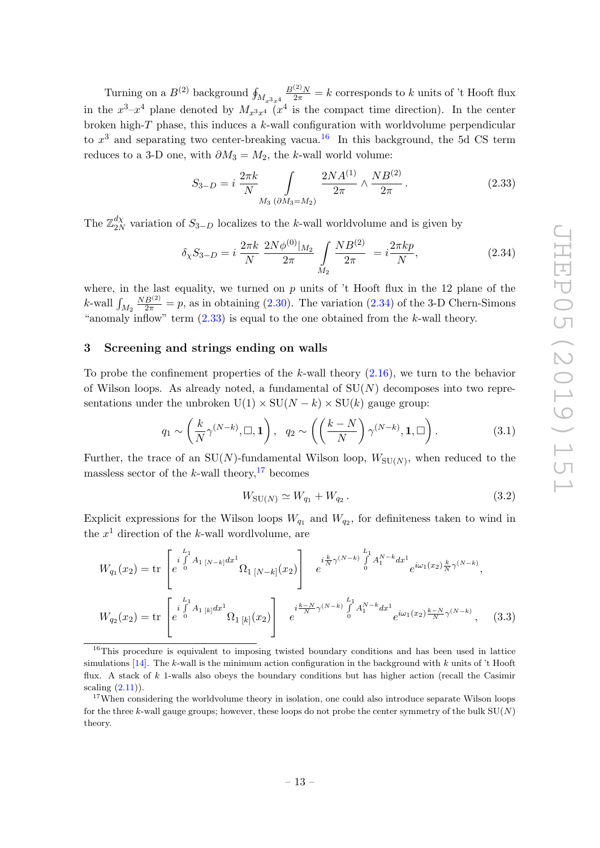Turning on a  $B^{(2)}$  background  $\oint_{M_{x^3x^4}}$  $\frac{B^{(2)}N}{2\pi} = k$  corresponds to k units of 't Hooft flux in the  $x^3-x^4$  plane denoted by  $M_{x^3x^4}$  ( $x^4$  is the compact time direction). In the center broken high- $T$  phase, this induces a  $k$ -wall configuration with worldvolume perpendicular to  $x^3$  and separating two center-breaking vacua.<sup>[16](#page-14-1)</sup> In this background, the 5d CS term reduces to a 3-D one, with  $\partial M_3 = M_2$ , the k-wall world volume:

<span id="page-14-3"></span>
$$
S_{3-D} = i \frac{2\pi k}{N} \int_{M_3 \, (\partial M_3 = M_2)} \frac{2NA^{(1)}}{2\pi} \wedge \frac{NB^{(2)}}{2\pi}.
$$
 (2.33)

The  $\mathbb{Z}_{2N}^{d\chi}$  $\frac{dX}{2N}$  variation of  $S_{3-D}$  localizes to the k-wall worldvolume and is given by

<span id="page-14-2"></span>
$$
\delta_{\chi} S_{3-D} = i \frac{2\pi k}{N} \frac{2N\phi^{(0)}|_{M_2}}{2\pi} \int_{M_2} \frac{NB^{(2)}}{2\pi} = i \frac{2\pi kp}{N},
$$
\n(2.34)

where, in the last equality, we turned on  $p$  units of 't Hooft flux in the 12 plane of the *k*-wall  $\int_{M_2}$  $\frac{NB^{(2)}}{2\pi}$  = p, as in obtaining [\(2.30\)](#page-13-1). The variation [\(2.34\)](#page-14-2) of the 3-D Chern-Simons "anomaly inflow" term  $(2.33)$  is equal to the one obtained from the k-wall theory.

## <span id="page-14-0"></span>3 Screening and strings ending on walls

To probe the confinement properties of the k-wall theory  $(2.16)$ , we turn to the behavior of Wilson loops. As already noted, a fundamental of  $SU(N)$  decomposes into two representations under the unbroken  $U(1) \times SU(N - k) \times SU(k)$  gauge group:

$$
q_1 \sim \left(\frac{k}{N}\gamma^{(N-k)}, \square, \mathbf{1}\right), \quad q_2 \sim \left(\left(\frac{k-N}{N}\right)\gamma^{(N-k)}, \mathbf{1}, \square\right). \tag{3.1}
$$

Further, the trace of an SU(N)-fundamental Wilson loop,  $W_{\text{SU}(N)}$ , when reduced to the massless sector of the  $k$ -wall theory,<sup>[17](#page-14-4)</sup> becomes

<span id="page-14-5"></span>
$$
W_{\text{SU}(N)} \simeq W_{q_1} + W_{q_2} \,. \tag{3.2}
$$

Explicit expressions for the Wilson loops  $W_{q_1}$  and  $W_{q_2}$ , for definiteness taken to wind in the  $x^1$  direction of the k-wall wordlvolume, are

$$
W_{q_1}(x_2) = \text{tr}\begin{bmatrix} i \int_{0}^{L_1} A_1 \left[ N - k \right] dx^1 \\ e^{i \int_{0}^{L_1} A_1 \left[ N - k \right]} \Omega_1 \left[ N - k \right] \left( x_2 \right) \end{bmatrix} e^{i \frac{k}{N} \gamma^{(N-k)} \int_{0}^{L_1} A_1^{N-k} dx^1} e^{i \omega_1 (x_2) \frac{k}{N} \gamma^{(N-k)}},
$$
  
\n
$$
W_{q_2}(x_2) = \text{tr}\begin{bmatrix} i \int_{0}^{L_1} A_1 \left[ k \right] dx^1 \\ e^{i \int_{0}^{L_1} A_1 \left[ k \right]} \Omega_1 \left[ k \right] \left( x_2 \right) \end{bmatrix} e^{i \frac{k - N}{N} \gamma^{(N-k)} \int_{0}^{L_1} A_1^{N-k} dx^1} e^{i \omega_1 (x_2) \frac{k - N}{N} \gamma^{(N-k)}},
$$
\n(3.3)

<span id="page-14-1"></span><sup>&</sup>lt;sup>16</sup>This procedure is equivalent to imposing twisted boundary conditions and has been used in lattice simulations  $[14]$ . The k-wall is the minimum action configuration in the background with k units of 't Hooft flux. A stack of  $k$  1-walls also obeys the boundary conditions but has higher action (recall the Casimir scaling  $(2.11)$ ).

<span id="page-14-4"></span><sup>&</sup>lt;sup>17</sup>When considering the worldvolume theory in isolation, one could also introduce separate Wilson loops for the three k-wall gauge groups; however, these loops do not probe the center symmetry of the bulk  $SU(N)$ theory.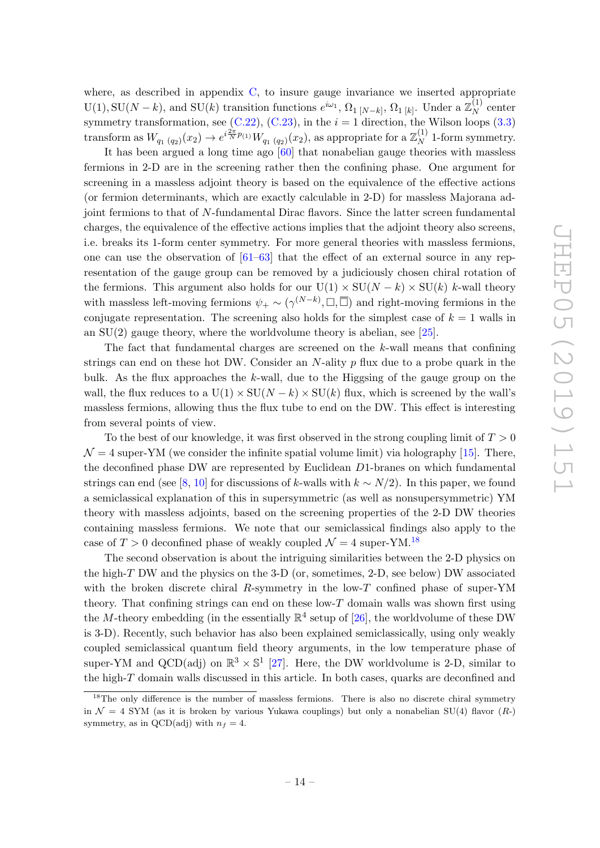where, as described in appendix  $C$ , to insure gauge invariance we inserted appropriate  $U(1), SU(N-k)$ , and  $SU(k)$  transition functions  $e^{i\omega_1}, \Omega_{1}$  [N-k],  $\Omega_{1}$  [k]. Under a  $\mathbb{Z}_N^{(1)}$  $N^{(1)}$  center symmetry transformation, see [\(C.22\)](#page-30-0), [\(C.23\)](#page-30-1), in the  $i = 1$  direction, the Wilson loops [\(3.3\)](#page-14-5) transform as  $W_{q_1 (q_2)}(x_2) \to e^{i \frac{2\pi}{N} p_{(1)}} W_{q_1 (q_2)}(x_2)$ , as appropriate for a  $\mathbb{Z}_N^{(1)}$  $N \atop N$  1-form symmetry.

It has been argued a long time ago [\[60\]](#page-36-10) that nonabelian gauge theories with massless fermions in 2-D are in the screening rather then the confining phase. One argument for screening in a massless adjoint theory is based on the equivalence of the effective actions (or fermion determinants, which are exactly calculable in 2-D) for massless Majorana adjoint fermions to that of N-fundamental Dirac flavors. Since the latter screen fundamental charges, the equivalence of the effective actions implies that the adjoint theory also screens, i.e. breaks its 1-form center symmetry. For more general theories with massless fermions, one can use the observation of  $[61–63]$  $[61–63]$  that the effect of an external source in any representation of the gauge group can be removed by a judiciously chosen chiral rotation of the fermions. This argument also holds for our  $U(1) \times SU(N - k) \times SU(k)$  k-wall theory with massless left-moving fermions  $\psi_+ \sim (\gamma^{(N-k)}, \square, \overline{\square})$  and right-moving fermions in the conjugate representation. The screening also holds for the simplest case of  $k = 1$  walls in an  $SU(2)$  gauge theory, where the worldvolume theory is abelian, see [\[25\]](#page-34-10).

The fact that fundamental charges are screened on the k-wall means that confining strings can end on these hot DW. Consider an  $N$ -ality  $p$  flux due to a probe quark in the bulk. As the flux approaches the k-wall, due to the Higgsing of the gauge group on the wall, the flux reduces to a  $U(1) \times SU(N - k) \times SU(k)$  flux, which is screened by the wall's massless fermions, allowing thus the flux tube to end on the DW. This effect is interesting from several points of view.

To the best of our knowledge, it was first observed in the strong coupling limit of  $T > 0$  $\mathcal{N} = 4$  super-YM (we consider the infinite spatial volume limit) via holography [\[15\]](#page-34-4). There, the deconfined phase DW are represented by Euclidean D1-branes on which fundamental strings can end (see [\[8,](#page-33-3) [10\]](#page-34-3) for discussions of k-walls with  $k \sim N/2$ ). In this paper, we found a semiclassical explanation of this in supersymmetric (as well as nonsupersymmetric) YM theory with massless adjoints, based on the screening properties of the 2-D DW theories containing massless fermions. We note that our semiclassical findings also apply to the case of  $T > 0$  deconfined phase of weakly coupled  $\mathcal{N} = 4$  super-YM.<sup>[18](#page-15-0)</sup>

The second observation is about the intriguing similarities between the 2-D physics on the high-T DW and the physics on the 3-D (or, sometimes, 2-D, see below) DW associated with the broken discrete chiral R-symmetry in the low-T confined phase of super-YM theory. That confining strings can end on these low- $T$  domain walls was shown first using the M-theory embedding (in the essentially  $\mathbb{R}^4$  setup of [\[26\]](#page-34-11), the worldvolume of these DW is 3-D). Recently, such behavior has also been explained semiclassically, using only weakly coupled semiclassical quantum field theory arguments, in the low temperature phase of super-YM and QCD(adj) on  $\mathbb{R}^3 \times \mathbb{S}^1$  [\[27\]](#page-34-12). Here, the DW worldvolume is 2-D, similar to the high- $T$  domain walls discussed in this article. In both cases, quarks are deconfined and

<span id="page-15-0"></span><sup>&</sup>lt;sup>18</sup>The only difference is the number of massless fermions. There is also no discrete chiral symmetry in  $\mathcal{N} = 4$  SYM (as it is broken by various Yukawa couplings) but only a nonabelian SU(4) flavor  $(R)$ symmetry, as in QCD(adj) with  $n_f = 4$ .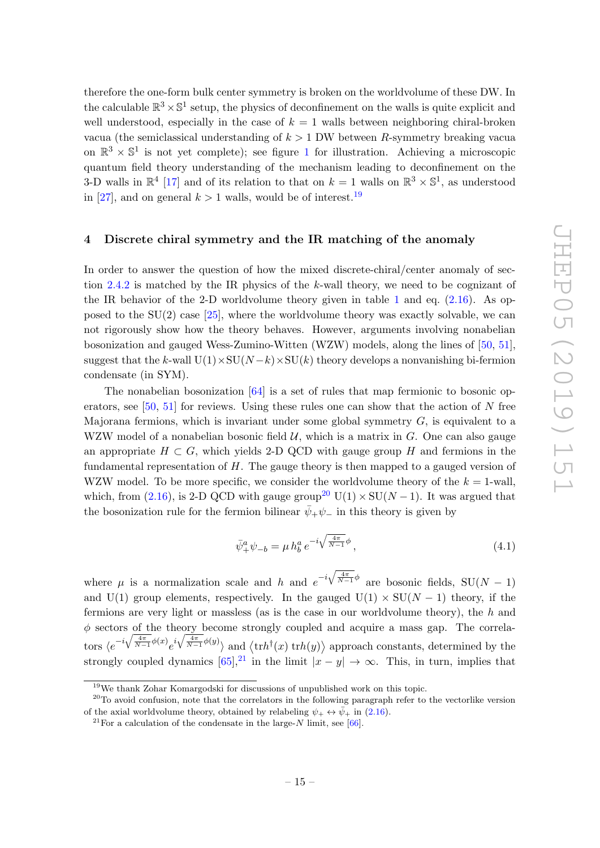therefore the one-form bulk center symmetry is broken on the worldvolume of these DW. In the calculable  $\mathbb{R}^3 \times \mathbb{S}^1$  setup, the physics of deconfinement on the walls is quite explicit and well understood, especially in the case of  $k = 1$  walls between neighboring chiral-broken vacua (the semiclassical understanding of  $k > 1$  DW between R-symmetry breaking vacua on  $\mathbb{R}^3 \times \mathbb{S}^1$  $\mathbb{R}^3 \times \mathbb{S}^1$  is not yet complete); see figure 1 for illustration. Achieving a microscopic quantum field theory understanding of the mechanism leading to deconfinement on the 3-D walls in  $\mathbb{R}^4$  [\[17\]](#page-34-6) and of its relation to that on  $k = 1$  walls on  $\mathbb{R}^3 \times \mathbb{S}^1$ , as understood in [\[27\]](#page-34-12), and on general  $k > 1$  walls, would be of interest.<sup>[19](#page-16-1)</sup>

#### <span id="page-16-0"></span>4 Discrete chiral symmetry and the IR matching of the anomaly

In order to answer the question of how the mixed discrete-chiral/center anomaly of section [2.4.2](#page-12-0) is matched by the IR physics of the k-wall theory, we need to be cognizant of the IR behavior of the 2-D worldvolume theory given in table [1](#page-9-1) and eq.  $(2.16)$ . As opposed to the  $SU(2)$  case [\[25\]](#page-34-10), where the worldvolume theory was exactly solvable, we can not rigorously show how the theory behaves. However, arguments involving nonabelian bosonization and gauged Wess-Zumino-Witten (WZW) models, along the lines of [\[50,](#page-36-1) [51\]](#page-36-2), suggest that the k-wall  $U(1)\times SU(N-k)\times SU(k)$  theory develops a nonvanishing bi-fermion condensate (in SYM).

The nonabelian bosonization [\[64\]](#page-36-13) is a set of rules that map fermionic to bosonic operators, see  $[50, 51]$  $[50, 51]$  $[50, 51]$  for reviews. Using these rules one can show that the action of N free Majorana fermions, which is invariant under some global symmetry  $G$ , is equivalent to a WZW model of a nonabelian bosonic field  $\mathcal{U}$ , which is a matrix in G. One can also gauge an appropriate  $H \subset G$ , which yields 2-D QCD with gauge group H and fermions in the fundamental representation of  $H$ . The gauge theory is then mapped to a gauged version of WZW model. To be more specific, we consider the worldvolume theory of the  $k = 1$ -wall, which, from [\(2.16\)](#page-9-2), is 2-D QCD with gauge group<sup>[20](#page-16-2)</sup> U(1) × SU(N – 1). It was argued that the bosonization rule for the fermion bilinear  $\bar{\psi}_+\psi_-$  in this theory is given by

<span id="page-16-4"></span>
$$
\bar{\psi}^a_+\psi_{-b} = \mu h^a_b e^{-i\sqrt{\frac{4\pi}{N-1}}\phi},\tag{4.1}
$$

where  $\mu$  is a normalization scale and h and  $e^{-i\sqrt{\frac{4\pi}{N-1}}\phi}$  are bosonic fields, SU(N – 1) and U(1) group elements, respectively. In the gauged U(1)  $\times$  SU(N – 1) theory, if the fermions are very light or massless (as is the case in our worldvolume theory), the  $h$  and  $\phi$  sectors of the theory become strongly coupled and acquire a mass gap. The correla- $\cos \langle e^{-i\sqrt{\frac{4\pi}{N-1}}\phi(x)}e^{i\sqrt{\frac{4\pi}{N-1}}\phi(y)}\rangle$  and  $\langle \text{tr}h^{\dagger}(x) \text{ tr}h(y)\rangle$  approach constants, determined by the strongly coupled dynamics  $[65]$ ,<sup>[21](#page-16-3)</sup> in the limit  $|x - y| \to \infty$ . This, in turn, implies that

<span id="page-16-2"></span><span id="page-16-1"></span> $^{19}{\rm{We}}$  thank Zohar Komargodski for discussions of unpublished work on this topic.

<sup>&</sup>lt;sup>20</sup>To avoid confusion, note that the correlators in the following paragraph refer to the vectorlike version of the axial worldvolume theory, obtained by relabeling  $\psi_+ \leftrightarrow \bar{\psi}_+$  in [\(2.16\)](#page-9-2).

<span id="page-16-3"></span><sup>&</sup>lt;sup>21</sup>For a calculation of the condensate in the large-N limit, see [\[66\]](#page-36-15).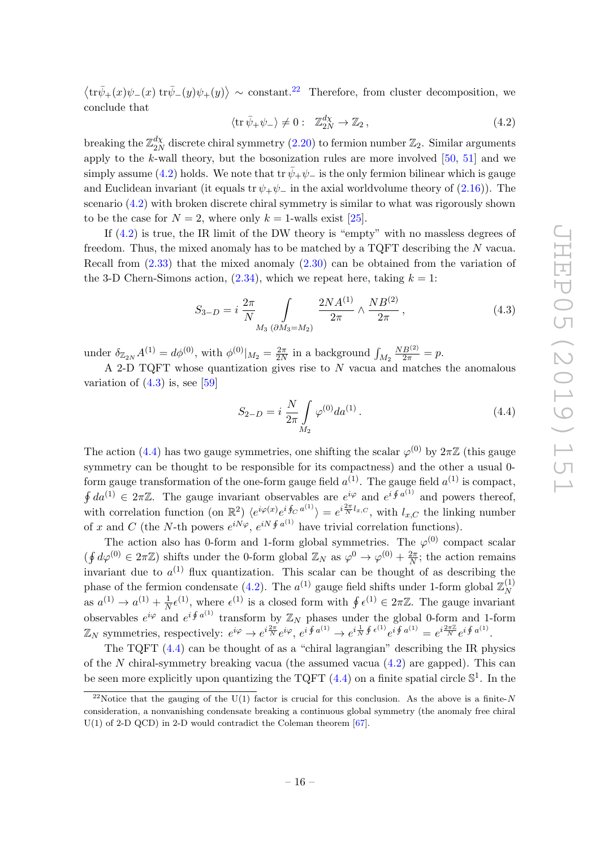$\langle \text{tr}\bar{\psi}_+(x)\psi_-(x) \text{ tr}\bar{\psi}_-(y)\psi_+(y)\rangle \sim \text{constant.}^{22}$  $\langle \text{tr}\bar{\psi}_+(x)\psi_-(x) \text{ tr}\bar{\psi}_-(y)\psi_+(y)\rangle \sim \text{constant.}^{22}$  $\langle \text{tr}\bar{\psi}_+(x)\psi_-(x) \text{ tr}\bar{\psi}_-(y)\psi_+(y)\rangle \sim \text{constant.}^{22}$  Therefore, from cluster decomposition, we conclude that

<span id="page-17-1"></span>
$$
\langle \operatorname{tr} \bar{\psi}_+ \psi_- \rangle \neq 0: \quad \mathbb{Z}_{2N}^{d\chi} \to \mathbb{Z}_2 \,, \tag{4.2}
$$

breaking the  $\mathbb{Z}_{2N}^{d\chi}$  $\frac{d\chi}{2N}$  discrete chiral symmetry [\(2.20\)](#page-10-1) to fermion number  $\mathbb{Z}_2$ . Similar arguments apply to the k-wall theory, but the bosonization rules are more involved  $[50, 51]$  $[50, 51]$  $[50, 51]$  and we simply assume [\(4.2\)](#page-17-1) holds. We note that tr  $\bar{\psi}_+\psi_-$  is the only fermion bilinear which is gauge and Euclidean invariant (it equals tr  $\psi_+\psi_-$  in the axial worldvolume theory of [\(2.16\)](#page-9-2)). The scenario [\(4.2\)](#page-17-1) with broken discrete chiral symmetry is similar to what was rigorously shown to be the case for  $N = 2$ , where only  $k = 1$ -walls exist [\[25\]](#page-34-10).

If [\(4.2\)](#page-17-1) is true, the IR limit of the DW theory is "empty" with no massless degrees of freedom. Thus, the mixed anomaly has to be matched by a TQFT describing the N vacua. Recall from [\(2.33\)](#page-14-3) that the mixed anomaly [\(2.30\)](#page-13-1) can be obtained from the variation of the 3-D Chern-Simons action,  $(2.34)$ , which we repeat here, taking  $k = 1$ :

<span id="page-17-2"></span>
$$
S_{3-D} = i \frac{2\pi}{N} \int_{M_3 \, (\partial M_3 = M_2)} \frac{2NA^{(1)}}{2\pi} \wedge \frac{NB^{(2)}}{2\pi}, \tag{4.3}
$$

under  $\delta_{\mathbb{Z}_{2N}} A^{(1)} = d\phi^{(0)}$ , with  $\phi^{(0)}|_{M_2} = \frac{2\pi}{2N}$  $\frac{2\pi}{2N}$  in a background  $\int_{M_2}$  $\frac{NB^{(2)}}{2\pi} = p.$ 

A 2-D TQFT whose quantization gives rise to N vacua and matches the anomalous variation of  $(4.3)$  is, see [\[59\]](#page-36-9)

<span id="page-17-3"></span>
$$
S_{2-D} = i \frac{N}{2\pi} \int_{M_2} \varphi^{(0)} da^{(1)}.
$$
 (4.4)

The action [\(4.4\)](#page-17-3) has two gauge symmetries, one shifting the scalar  $\varphi^{(0)}$  by  $2\pi\mathbb{Z}$  (this gauge symmetry can be thought to be responsible for its compactness) and the other a usual 0 form gauge transformation of the one-form gauge field  $a^{(1)}$ . The gauge field  $a^{(1)}$  is compact,  $\oint da^{(1)} \in 2\pi\mathbb{Z}$ . The gauge invariant observables are  $e^{i\varphi}$  and  $e^{i\oint a^{(1)}}$  and powers thereof, with correlation function (on  $\mathbb{R}^2$ )  $\langle e^{i\varphi(x)}e^{i\oint_C a^{(1)}} \rangle = e^{i\frac{2\pi}{N}l_{x,C}}$ , with  $l_{x,C}$  the linking number of x and C (the N-th powers  $e^{iN\varphi}, e^{iN\oint a^{(1)}}$  have trivial correlation functions).

The action also has 0-form and 1-form global symmetries. The  $\varphi^{(0)}$  compact scalar  $(\oint d\varphi^{(0)} \in 2\pi\mathbb{Z})$  shifts under the 0-form global  $\mathbb{Z}_N$  as  $\varphi^0 \to \varphi^{(0)} + \frac{2\pi}{N}$  $\frac{2\pi}{N}$ ; the action remains invariant due to  $a^{(1)}$  flux quantization. This scalar can be thought of as describing the phase of the fermion condensate [\(4.2\)](#page-17-1). The  $a^{(1)}$  gauge field shifts under 1-form global  $\mathbb{Z}_N^{(1)}$ N as  $a^{(1)} \to a^{(1)} + \frac{1}{\lambda}$  $\frac{1}{N} \epsilon^{(1)}$ , where  $\epsilon^{(1)}$  is a closed form with  $\oint \epsilon^{(1)} \in 2\pi \mathbb{Z}$ . The gauge invariant observables  $e^{i\varphi}$  and  $e^{i\oint a^{(1)}}$  transform by  $\mathbb{Z}_N$  phases under the global 0-form and 1-form  $\mathbb{Z}_N$  symmetries, respectively:  $e^{i\varphi} \to e^{i\frac{2\pi}{N}} e^{i\varphi}, e^{i\oint a^{(1)}} \to e^{i\frac{1}{N}\oint e^{(1)}} e^{i\oint a^{(1)}} = e^{i\frac{2\pi\mathbb{Z}}{N}} e^{i\oint a^{(1)}}.$ 

The TQFT [\(4.4\)](#page-17-3) can be thought of as a "chiral lagrangian" describing the IR physics of the N chiral-symmetry breaking vacua (the assumed vacua  $(4.2)$  are gapped). This can be seen more explicitly upon quantizing the TQFT  $(4.4)$  on a finite spatial circle  $\mathbb{S}^1$ . In the

<span id="page-17-0"></span><sup>&</sup>lt;sup>22</sup>Notice that the gauging of the U(1) factor is crucial for this conclusion. As the above is a finite-N consideration, a nonvanishing condensate breaking a continuous global symmetry (the anomaly free chiral  $U(1)$  of 2-D QCD) in 2-D would contradict the Coleman theorem [\[67\]](#page-36-16).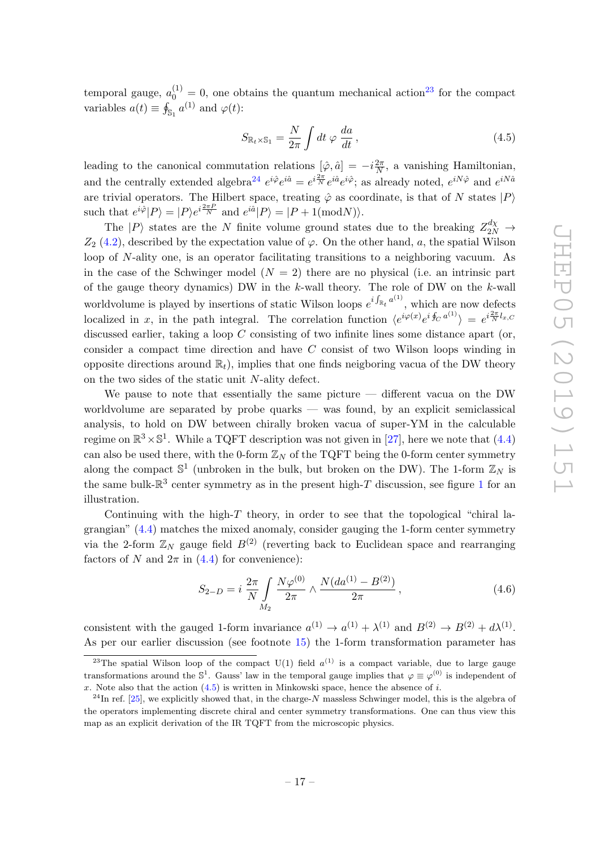temporal gauge,  $a_0^{(1)} = 0$ , one obtains the quantum mechanical action<sup>[23](#page-18-0)</sup> for the compact variables  $a(t) \equiv \oint_{\mathbb{S}_1} a^{(1)}$  and  $\varphi(t)$ :

<span id="page-18-2"></span>
$$
S_{\mathbb{R}_t \times \mathbb{S}_1} = \frac{N}{2\pi} \int dt \, \varphi \, \frac{da}{dt} \,, \tag{4.5}
$$

leading to the canonical commutation relations  $[\hat{\varphi}, \hat{a}] = -i \frac{2\pi}{N}$  $\frac{2\pi}{N}$ , a vanishing Hamiltonian, and the centrally extended algebra<sup>[24](#page-18-1)</sup>  $e^{i\hat{\varphi}}e^{i\hat{a}} = e^{i\frac{2\pi}{N}}e^{i\hat{a}}e^{i\hat{\varphi}}$ ; as already noted,  $e^{iN\hat{\varphi}}$  and  $e^{iN\hat{a}}$ are trivial operators. The Hilbert space, treating  $\hat{\varphi}$  as coordinate, is that of N states  $|P\rangle$ such that  $e^{i\hat{\varphi}}|P\rangle = |P\rangle e^{i\frac{2\pi P}{N}}$  and  $e^{i\hat{a}}|P\rangle = |P + 1(\text{mod}N)\rangle$ .

The  $|P\rangle$  states are the N finite volume ground states due to the breaking  $Z_{2N}^{d\chi} \rightarrow$  $Z_2$  [\(4.2\)](#page-17-1), described by the expectation value of  $\varphi$ . On the other hand, a, the spatial Wilson loop of N-ality one, is an operator facilitating transitions to a neighboring vacuum. As in the case of the Schwinger model  $(N = 2)$  there are no physical (i.e. an intrinsic part of the gauge theory dynamics) DW in the  $k$ -wall theory. The role of DW on the  $k$ -wall worldvolume is played by insertions of static Wilson loops  $e^{i \int_{\mathbb{R}_t} a^{(1)}}$ , which are now defects localized in x, in the path integral. The correlation function  $\langle e^{i\varphi(x)}e^{i\oint_C a^{(1)}} \rangle = e^{i\frac{2\pi}{N}l_x,c}$ discussed earlier, taking a loop C consisting of two infinite lines some distance apart (or, consider a compact time direction and have C consist of two Wilson loops winding in opposite directions around  $\mathbb{R}_t$ , implies that one finds neigboring vacua of the DW theory on the two sides of the static unit N-ality defect.

We pause to note that essentially the same picture  $-$  different vacua on the DW worldvolume are separated by probe quarks — was found, by an explicit semiclassical analysis, to hold on DW between chirally broken vacua of super-YM in the calculable regime on  $\mathbb{R}^3 \times \mathbb{S}^1$ . While a TQFT description was not given in [\[27\]](#page-34-12), here we note that [\(4.4\)](#page-17-3) can also be used there, with the 0-form  $\mathbb{Z}_N$  of the TQFT being the 0-form center symmetry along the compact  $\mathbb{S}^1$  (unbroken in the bulk, but broken on the DW). The 1-form  $\mathbb{Z}_N$  is the same bulk- $\mathbb{R}^3$  center symmetry as in the present high-T discussion, see figure [1](#page-19-1) for an illustration.

Continuing with the high- $T$  theory, in order to see that the topological "chiral lagrangian" [\(4.4\)](#page-17-3) matches the mixed anomaly, consider gauging the 1-form center symmetry via the 2-form  $\mathbb{Z}_N$  gauge field  $B^{(2)}$  (reverting back to Euclidean space and rearranging factors of N and  $2\pi$  in [\(4.4\)](#page-17-3) for convenience):

$$
S_{2-D} = i \frac{2\pi}{N} \int_{M_2} \frac{N\varphi^{(0)}}{2\pi} \wedge \frac{N(da^{(1)} - B^{(2)})}{2\pi}, \qquad (4.6)
$$

consistent with the gauged 1-form invariance  $a^{(1)} \to a^{(1)} + \lambda^{(1)}$  and  $B^{(2)} \to B^{(2)} + d\lambda^{(1)}$ . As per our earlier discussion (see footnote [15\)](#page-13-2) the 1-form transformation parameter has

<span id="page-18-0"></span><sup>&</sup>lt;sup>23</sup>The spatial Wilson loop of the compact U(1) field  $a^{(1)}$  is a compact variable, due to large gauge transformations around the  $\mathbb{S}^1$ . Gauss' law in the temporal gauge implies that  $\varphi \equiv \varphi^{(0)}$  is independent of x. Note also that the action  $(4.5)$  is written in Minkowski space, hence the absence of i.

<span id="page-18-1"></span> $^{24}$ In ref. [\[25\]](#page-34-10), we explicitly showed that, in the charge-N massless Schwinger model, this is the algebra of the operators implementing discrete chiral and center symmetry transformations. One can thus view this map as an explicit derivation of the IR TQFT from the microscopic physics.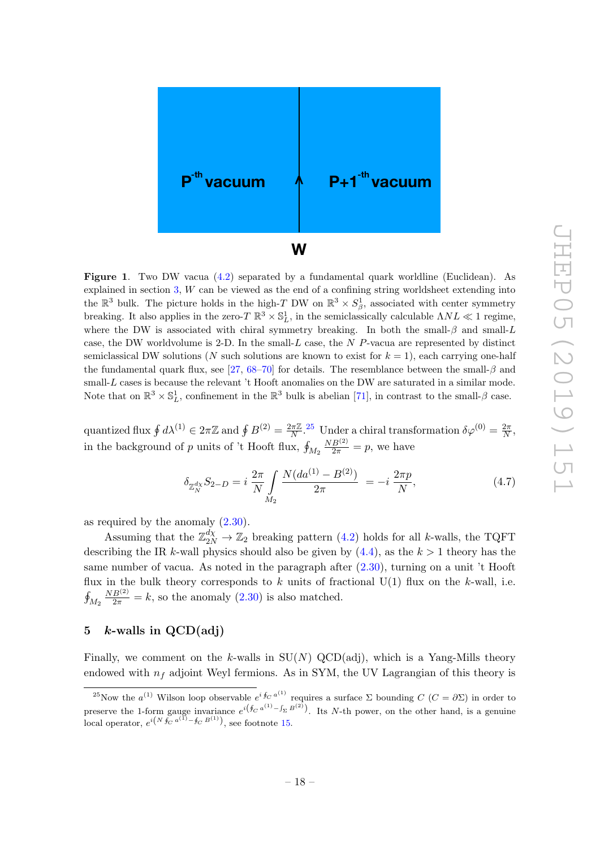

<span id="page-19-1"></span>Figure 1. Two DW vacua [\(4.2\)](#page-17-1) separated by a fundamental quark worldline (Euclidean). As explained in section [3,](#page-14-0) W can be viewed as the end of a confining string worldsheet extending into the  $\mathbb{R}^3$  bulk. The picture holds in the high-T DW on  $\mathbb{R}^3 \times S^1_{\beta}$ , associated with center symmetry breaking. It also applies in the zero- $T \mathbb{R}^3 \times \mathbb{S}^1_L$ , in the semiclassically calculable  $\Lambda NL \ll 1$  regime, where the DW is associated with chiral symmetry breaking. In both the small- $\beta$  and small-L case, the DW worldvolume is 2-D. In the small- $L$  case, the  $N$  P-vacua are represented by distinct semiclassical DW solutions (N such solutions are known to exist for  $k = 1$ ), each carrying one-half the fundamental quark flux, see [\[27,](#page-34-12) [68–](#page-37-0)[70\]](#page-37-1) for details. The resemblance between the small- $\beta$  and small-L cases is because the relevant 't Hooft anomalies on the DW are saturated in a similar mode. Note that on  $\mathbb{R}^3 \times \mathbb{S}_L^1$ , confinement in the  $\mathbb{R}^3$  bulk is abelian [\[71\]](#page-37-2), in contrast to the small- $\beta$  case.

quantized flux  $\oint d\lambda^{(1)} \in 2\pi\mathbb{Z}$  and  $\oint B^{(2)} = \frac{2\pi\mathbb{Z}}{N}$  $\frac{2\pi\mathbb{Z}}{N}$ .<sup>[25](#page-19-2)</sup> Under a chiral transformation  $\delta\varphi^{(0)} = \frac{2\pi}{N}$  $\frac{2\pi}{N},$ in the background of  $p$  units of 't Hooft flux,  $\oint_{M_2}$  $\frac{NB^{(2)}}{2\pi} = p$ , we have

$$
\delta_{\mathbb{Z}_N^{d_X}} S_{2-D} = i \frac{2\pi}{N} \int_{M_2} \frac{N(da^{(1)} - B^{(2)})}{2\pi} = -i \frac{2\pi p}{N},\tag{4.7}
$$

as required by the anomaly [\(2.30\)](#page-13-1).

Assuming that the  $\mathbb{Z}_{2N}^{d\chi} \to \mathbb{Z}_2$  breaking pattern [\(4.2\)](#page-17-1) holds for all k-walls, the TQFT describing the IR k-wall physics should also be given by  $(4.4)$ , as the  $k > 1$  theory has the same number of vacua. As noted in the paragraph after [\(2.30\)](#page-13-1), turning on a unit 't Hooft flux in the bulk theory corresponds to  $k$  units of fractional  $U(1)$  flux on the  $k$ -wall, i.e.  $\oint_{M_2}$  $\frac{NB^{(2)}}{2\pi} = k$ , so the anomaly [\(2.30\)](#page-13-1) is also matched.

## <span id="page-19-0"></span>5  $k$ -walls in QCD(adj)

Finally, we comment on the k-walls in  $SU(N)$  QCD(adj), which is a Yang-Mills theory endowed with  $n_f$  adjoint Weyl fermions. As in SYM, the UV Lagrangian of this theory is

<span id="page-19-2"></span><sup>&</sup>lt;sup>25</sup>Now the  $a^{(1)}$  Wilson loop observable  $e^{i \oint_C a^{(1)}}$  requires a surface  $\Sigma$  bounding  $C$   $(C = \partial \Sigma)$  in order to preserve the 1-form gauge invariance  $e^{i(\oint_C a^{(1)} - \int_{\Sigma} B^{(2)})}$ . Its N-th power, on the other hand, is a genuine local operator,  $e^{i(N \oint_C a^{(1)} - \oint_C B^{(1)})}$ , see footnote [15.](#page-13-2)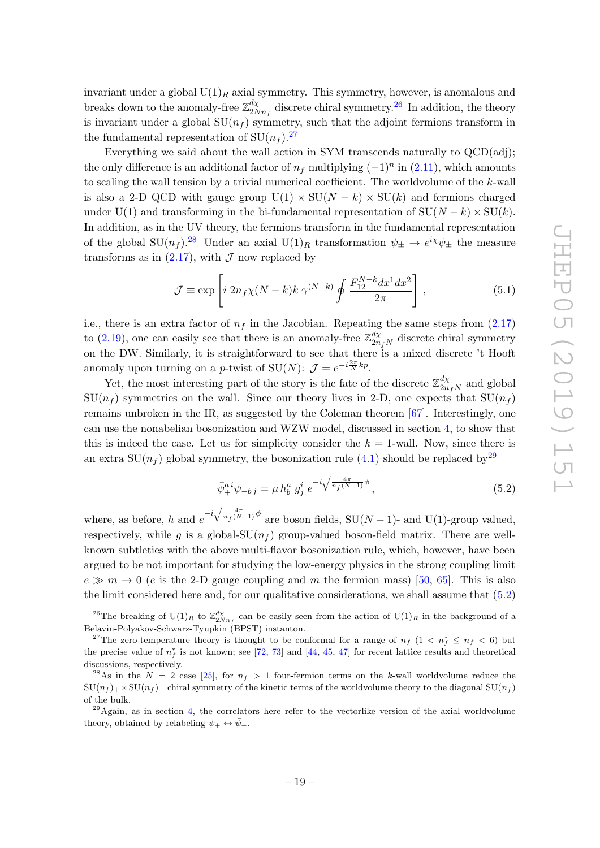invariant under a global  $U(1)_R$  axial symmetry. This symmetry, however, is anomalous and breaks down to the anomaly-free  $\mathbb{Z}_{2N}^{d\chi}$  $\frac{d\chi}{2Nn_f}$  discrete chiral symmetry.<sup>[26](#page-20-0)</sup> In addition, the theory is invariant under a global  $SU(n_f)$  symmetry, such that the adjoint fermions transform in the fundamental representation of  $SU(n_f)$ .<sup>[27](#page-20-1)</sup>

Everything we said about the wall action in SYM transcends naturally to QCD(adj); the only difference is an additional factor of  $n_f$  multiplying  $(-1)^n$  in  $(2.11)$ , which amounts to scaling the wall tension by a trivial numerical coefficient. The worldvolume of the  $k$ -wall is also a 2-D QCD with gauge group  $U(1) \times SU(N - k) \times SU(k)$  and fermions charged under U(1) and transforming in the bi-fundamental representation of  $SU(N - k) \times SU(k)$ . In addition, as in the UV theory, the fermions transform in the fundamental representation of the global  $SU(n_f)$ .<sup>[28](#page-20-2)</sup> Under an axial  $U(1)_R$  transformation  $\psi_{\pm} \to e^{i\chi}\psi_{\pm}$  the measure transforms as in  $(2.17)$ , with  $\mathcal J$  now replaced by

$$
\mathcal{J} \equiv \exp\left[i \ 2n_f \chi(N-k)k \ \gamma^{(N-k)} \oint \frac{F_{12}^{N-k} dx^1 dx^2}{2\pi}\right],\tag{5.1}
$$

i.e., there is an extra factor of  $n_f$  in the Jacobian. Repeating the same steps from  $(2.17)$ to [\(2.19\)](#page-10-0), one can easily see that there is an anomaly-free  $\mathbb{Z}_{2n}^{d\chi}$  $\frac{dX}{2n_fN}$  discrete chiral symmetry on the DW. Similarly, it is straightforward to see that there is a mixed discrete 't Hooft anomaly upon turning on a *p*-twist of SU(N):  $\mathcal{J} = e^{-i\frac{2\pi}{N}kp}$ .

Yet, the most interesting part of the story is the fate of the discrete  $\mathbb{Z}_{2n}^{d\chi}$  $\frac{a\chi}{2n_fN}$  and global  $SU(n_f)$  symmetries on the wall. Since our theory lives in 2-D, one expects that  $SU(n_f)$ remains unbroken in the IR, as suggested by the Coleman theorem [\[67\]](#page-36-16). Interestingly, one can use the nonabelian bosonization and WZW model, discussed in section [4,](#page-16-0) to show that this is indeed the case. Let us for simplicity consider the  $k = 1$ -wall. Now, since there is an extra  $SU(n_f)$  global symmetry, the bosonization rule [\(4.1\)](#page-16-4) should be replaced by<sup>[29](#page-20-3)</sup>

<span id="page-20-4"></span>
$$
\bar{\psi}_+^{a i} \psi_{-b j} = \mu h_b^a g_j^i e^{-i \sqrt{\frac{4\pi}{n_f(N-1)}} \phi}, \qquad (5.2)
$$

where, as before, h and  $e^{-i\sqrt{\frac{4\pi}{n_f(N-1)}}\phi}$  are boson fields, SU(N – 1)- and U(1)-group valued, respectively, while g is a global-SU( $n_f$ ) group-valued boson-field matrix. There are wellknown subtleties with the above multi-flavor bosonization rule, which, however, have been argued to be not important for studying the low-energy physics in the strong coupling limit  $e \gg m \to 0$  (e is the 2-D gauge coupling and m the fermion mass) [\[50,](#page-36-1) [65\]](#page-36-14). This is also the limit considered here and, for our qualitative considerations, we shall assume that [\(5.2\)](#page-20-4)

<span id="page-20-0"></span><sup>&</sup>lt;sup>26</sup>The breaking of U(1)<sub>R</sub> to  $\mathbb{Z}_{2Nn_f}^{d\chi}$  can be easily seen from the action of U(1)<sub>R</sub> in the background of a Belavin-Polyakov-Schwarz-Tyupkin (BPST) instanton.

<span id="page-20-1"></span><sup>&</sup>lt;sup>27</sup>The zero-temperature theory is thought to be conformal for a range of  $n_f$  (1 <  $n_f \leq n_f$  < 6) but the precise value of  $n_f^*$  is not known; see [\[72,](#page-37-3) [73\]](#page-37-4) and [\[44,](#page-35-3) [45,](#page-35-4) [47\]](#page-35-5) for recent lattice results and theoretical discussions, respectively.

<span id="page-20-2"></span><sup>&</sup>lt;sup>28</sup>As in the  $N = 2$  case [\[25\]](#page-34-10), for  $n_f > 1$  four-fermion terms on the k-wall worldvolume reduce the  $\text{SU}(n_f)$  + ×  $\text{SU}(n_f)$  chiral symmetry of the kinetic terms of the worldvolume theory to the diagonal  $\text{SU}(n_f)$ of the bulk.

<span id="page-20-3"></span> $^{29}$ Again, as in section [4,](#page-16-0) the correlators here refer to the vectorlike version of the axial worldvolume theory, obtained by relabeling  $\psi_+ \leftrightarrow \bar{\psi}_+$ .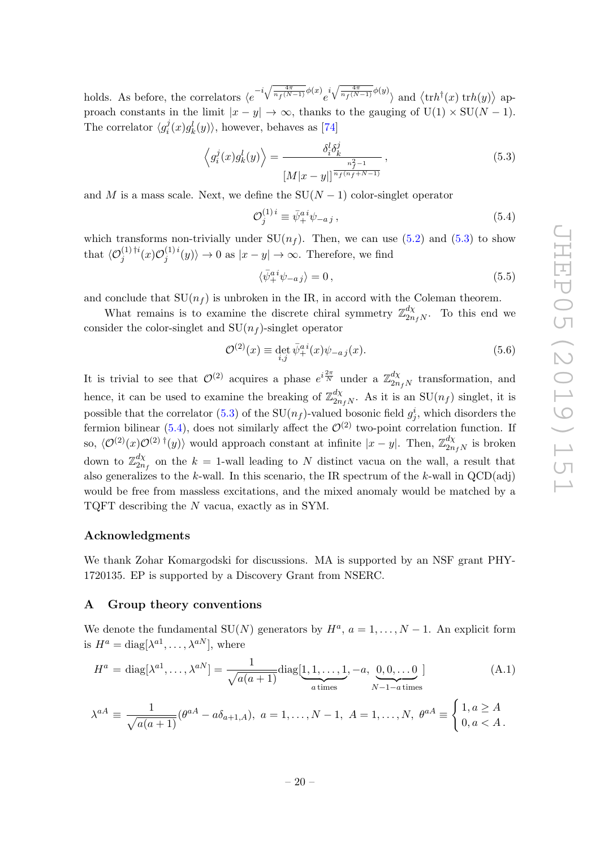holds. As before, the correlators  $\langle e^{-i\sqrt{\frac{4\pi}{n_f(N-1)}}\phi(x)}e^{i\sqrt{\frac{4\pi}{n_f(N-1)}}\phi(y)}\rangle$  and  $\langle \text{tr}h^{\dagger}(x) \text{ tr}h(y)\rangle$  approach constants in the limit  $|x - y| \to \infty$ , thanks to the gauging of  $U(1) \times SU(N - 1)$ . The correlator  $\langle g_i^j \rangle$  $\langle i(x)g_k^l(y)\rangle$ , however, behaves as [\[74\]](#page-37-5)

<span id="page-21-2"></span>
$$
\left\langle g_i^j(x)g_k^l(y)\right\rangle = \frac{\delta_i^l \delta_k^j}{\left|M|x-y|\right|^{\frac{n_f^2-1}{n_f(n_f+N-1)}}},\tag{5.3}
$$

and M is a mass scale. Next, we define the  $SU(N-1)$  color-singlet operator

<span id="page-21-3"></span>
$$
\mathcal{O}_j^{(1)\,i} \equiv \bar{\psi}_+^{a\,i} \psi_{-a\,j} \,,\tag{5.4}
$$

which transforms non-trivially under  $SU(n_f)$ . Then, we can use [\(5.2\)](#page-20-4) and [\(5.3\)](#page-21-2) to show that  $\langle \mathcal{O}_j^{(1)\dagger i}(x) \mathcal{O}_j^{(1)\, i}$  $\langle y_j^{(1)}(y) \rangle \to 0$  as  $|x - y| \to \infty$ . Therefore, we find

$$
\langle \bar{\psi}_+^{ai}\psi_{-aj}\rangle = 0\,,\tag{5.5}
$$

and conclude that  $SU(n_f)$  is unbroken in the IR, in accord with the Coleman theorem.

What remains is to examine the discrete chiral symmetry  $\mathbb{Z}_{2n}^{d\chi}$  $\int_{2n_fN}^{a\chi}$ . To this end we consider the color-singlet and  $SU(n_f)$ -singlet operator

$$
\mathcal{O}^{(2)}(x) \equiv \det_{i,j} \bar{\psi}_+^{ai}(x)\psi_{-aj}(x). \tag{5.6}
$$

It is trivial to see that  $\mathcal{O}^{(2)}$  acquires a phase  $e^{i\frac{2\pi}{N}}$  under a  $\mathbb{Z}_{2n}^{d\chi}$  $\frac{dX}{2n_fN}$  transformation, and hence, it can be used to examine the breaking of  $\mathbb{Z}_{2n}^{d\chi}$  $\sum_{2n_fN}^{a\chi}$ . As it is an SU $(n_f)$  singlet, it is possible that the correlator [\(5.3\)](#page-21-2) of the SU( $n_f$ )-valued bosonic field  $g_j^i$ , which disorders the fermion bilinear [\(5.4\)](#page-21-3), does not similarly affect the  $\mathcal{O}^{(2)}$  two-point correlation function. If so,  $\langle \mathcal{O}^{(2)}(x)\mathcal{O}^{(2)}(x) \rangle$  would approach constant at infinite  $|x-y|$ . Then,  $\mathbb{Z}_{2n}^{d\chi}$  $\frac{a\chi}{2n_fN}$  is broken down to  $\mathbb{Z}_{2n}^{d\chi}$  $\frac{dX}{2n_f}$  on the  $k = 1$ -wall leading to N distinct vacua on the wall, a result that also generalizes to the k-wall. In this scenario, the IR spectrum of the k-wall in  $QCD(\text{adj})$ would be free from massless excitations, and the mixed anomaly would be matched by a TQFT describing the N vacua, exactly as in SYM.

#### Acknowledgments

We thank Zohar Komargodski for discussions. MA is supported by an NSF grant PHY-1720135. EP is supported by a Discovery Grant from NSERC.

#### <span id="page-21-0"></span>A Group theory conventions

We denote the fundamental SU(N) generators by  $H^a$ ,  $a = 1, ..., N - 1$ . An explicit form is  $H^a = \text{diag}[\lambda^{a_1}, \dots, \lambda^{a_N}],$  where

<span id="page-21-1"></span>
$$
H^{a} = \text{diag}[\lambda^{a1}, \dots, \lambda^{aN}] = \frac{1}{\sqrt{a(a+1)}} \text{diag}[\underbrace{1, 1, \dots, 1}_{a \text{ times}}, -a, \underbrace{0, 0, \dots, 0}_{N-1-a \text{ times}}]
$$
(A.1)

$$
\lambda^{aA} \equiv \frac{1}{\sqrt{a(a+1)}} (\theta^{aA} - a\delta_{a+1,A}), \ a = 1, \dots, N-1, \ A = 1, \dots, N, \ \theta^{aA} \equiv \begin{cases} 1, a \ge A \\ 0, a < A \end{cases}.
$$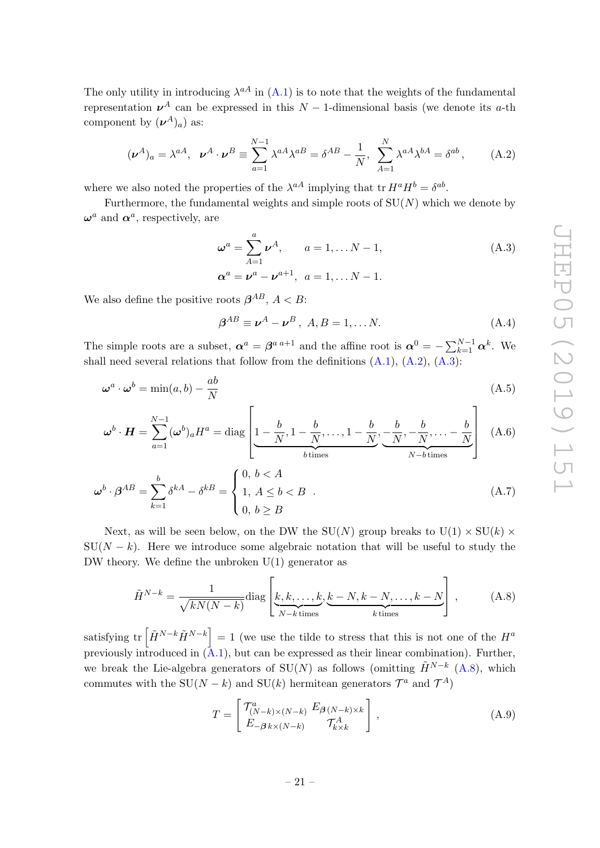The only utility in introducing  $\lambda^{aA}$  in [\(A.1\)](#page-21-1) is to note that the weights of the fundamental representation  $\nu^{A}$  can be expressed in this  $N-1$ -dimensional basis (we denote its a-th component by  $(\boldsymbol{\nu}^A)_a$  as:

<span id="page-22-2"></span>
$$
(\nu^A)_a = \lambda^{aA}, \quad \nu^A \cdot \nu^B \equiv \sum_{a=1}^{N-1} \lambda^{aA} \lambda^{aB} = \delta^{AB} - \frac{1}{N}, \quad \sum_{A=1}^{N} \lambda^{aA} \lambda^{bA} = \delta^{ab}, \tag{A.2}
$$

where we also noted the properties of the  $\lambda^{aA}$  implying that tr  $H^a H^b = \delta^{ab}$ .

Furthermore, the fundamental weights and simple roots of  $SU(N)$  which we denote by  $\boldsymbol{\omega}^a$  and  $\boldsymbol{\alpha}^a$ , respectively, are

<span id="page-22-1"></span>
$$
\omega^{a} = \sum_{A=1}^{a} \nu^{A}, \qquad a = 1, \dots N - 1,
$$
  
\n
$$
\alpha^{a} = \nu^{a} - \nu^{a+1}, \quad a = 1, \dots N - 1.
$$
\n(A.3)

We also define the positive roots  $\beta^{AB}$ ,  $A < B$ :

<span id="page-22-3"></span>
$$
\beta^{AB} \equiv \boldsymbol{\nu}^A - \boldsymbol{\nu}^B \,,\ A, B = 1, \dots N. \tag{A.4}
$$

The simple roots are a subset,  $\alpha^a = \beta^{a a+1}$  and the affine root is  $\alpha^0 = -\sum_{k=1}^{N-1} \alpha^k$ . We shall need several relations that follow from the definitions  $(A.1)$ ,  $(A.2)$ ,  $(A.3)$ :

$$
\omega^a \cdot \omega^b = \min(a, b) - \frac{ab}{N}
$$
 (A.5)

$$
\boldsymbol{\omega}^{b} \cdot \boldsymbol{H} = \sum_{a=1}^{N-1} (\boldsymbol{\omega}^{b})_{a} H^{a} = \text{diag} \left[ \underbrace{1 - \frac{b}{N}, 1 - \frac{b}{N}, \dots, 1 - \frac{b}{N}}_{b \text{ times}}, \underbrace{-\frac{b}{N}, -\frac{b}{N}, \dots - \frac{b}{N}}_{N-b \text{ times}} \right] \quad (A.6)
$$

$$
\omega^{b} \cdot \beta^{AB} = \sum_{k=1}^{b} \delta^{kA} - \delta^{kB} = \begin{cases} 0, \ b < A \\ 1, \ A \le b < B \\ 0, \ b \ge B \end{cases} .
$$
 (A.7)

Next, as will be seen below, on the DW the SU(N) group breaks to U(1)  $\times$  SU(k)  $\times$  $SU(N - k)$ . Here we introduce some algebraic notation that will be useful to study the DW theory. We define the unbroken  $U(1)$  generator as

<span id="page-22-0"></span>
$$
\tilde{H}^{N-k} = \frac{1}{\sqrt{kN(N-k)}} \text{diag}\left[\underbrace{k, k, \dots, k}_{N-k \text{ times}}, \underbrace{k-N, k-N, \dots, k-N}_{k \text{ times}}\right],\tag{A.8}
$$

satisfying tr  $\left[ \tilde{H}^{N-k} \tilde{H}^{N-k} \right] = 1$  (we use the tilde to stress that this is not one of the  $H^a$ previously introduced in  $(\overline{A.1})$ , but can be expressed as their linear combination). Further, we break the Lie-algebra generators of SU(N) as follows (omitting  $\tilde{H}^{N-k}$  [\(A.8\)](#page-22-0), which commutes with the SU( $N - k$ ) and SU(k) hermitean generators  $\mathcal{T}^a$  and  $\mathcal{T}^A$ )

<span id="page-22-4"></span>
$$
T = \begin{bmatrix} \mathcal{T}_{(N-k)\times(N-k)}^a & E_{\beta(N-k)\times k} \\ E_{-\beta k \times (N-k)} & \mathcal{T}_{k \times k}^A \end{bmatrix},\tag{A.9}
$$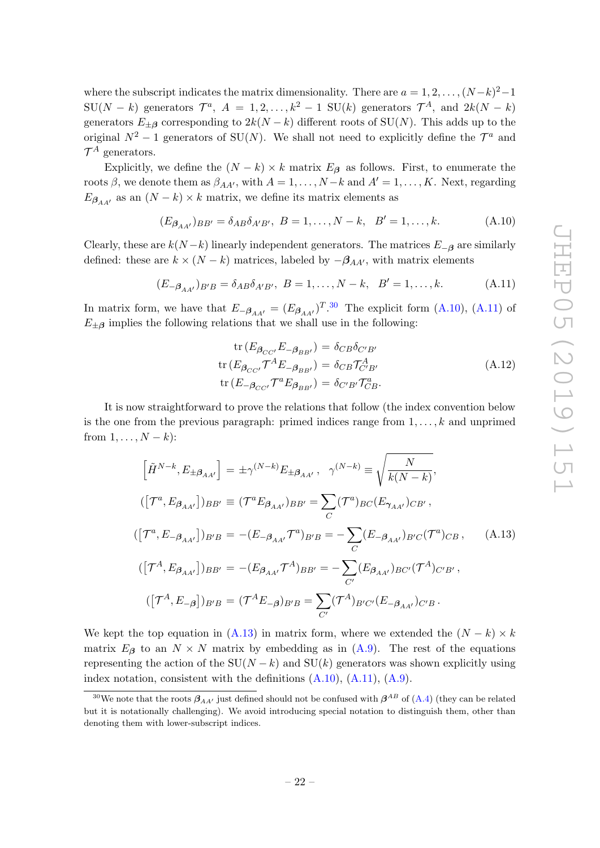where the subscript indicates the matrix dimensionality. There are  $a = 1, 2, ..., (N-k)^2-1$  $\text{SU}(N-k)$  generators  $\mathcal{T}^a$ ,  $A = 1, 2, ..., k^2 - 1$   $\text{SU}(k)$  generators  $\mathcal{T}^A$ , and  $2k(N-k)$ generators  $E_{\pm \beta}$  corresponding to  $2k(N - k)$  different roots of SU(N). This adds up to the original  $N^2 - 1$  generators of SU(N). We shall not need to explicitly define the  $\mathcal{T}^a$  and  $\mathcal{T}^A$  generators.

Explicitly, we define the  $(N - k) \times k$  matrix  $E_{\beta}$  as follows. First, to enumerate the roots  $\beta$ , we denote them as  $\beta_{AA'}$ , with  $A = 1, \ldots, N-k$  and  $A' = 1, \ldots, K$ . Next, regarding  $E_{\beta_{AA'}}$  as an  $(N-k)\times k$  matrix, we define its matrix elements as

<span id="page-23-2"></span>
$$
(E_{\beta_{AA'}})_{BB'} = \delta_{AB}\delta_{A'B'}, \ B = 1, \dots, N - k, \ B' = 1, \dots, k.
$$
 (A.10)

Clearly, these are  $k(N-k)$  linearly independent generators. The matrices  $E_{-\beta}$  are similarly defined: these are  $k \times (N - k)$  matrices, labeled by  $-\beta_{AA'}$ , with matrix elements

<span id="page-23-3"></span>
$$
(E_{-\beta_{AA'}})_{B'B} = \delta_{AB}\delta_{A'B'}, \ B = 1, \dots, N - k, \ B' = 1, \dots, k.
$$
 (A.11)

In matrix form, we have that  $E_{-\beta_{AA'}} = (E_{\beta_{AA'}})^{T.30}$  $E_{-\beta_{AA'}} = (E_{\beta_{AA'}})^{T.30}$  $E_{-\beta_{AA'}} = (E_{\beta_{AA'}})^{T.30}$  The explicit form [\(A.10\)](#page-23-2), [\(A.11\)](#page-23-3) of  $E_{\pm\beta}$  implies the following relations that we shall use in the following:

$$
\text{tr}\left(E_{\beta_{CC'}}E_{-\beta_{BB'}}\right) = \delta_{CB}\delta_{C'B'}
$$
\n
$$
\text{tr}\left(E_{\beta_{CC'}}\mathcal{T}^A E_{-\beta_{BB'}}\right) = \delta_{CB}\mathcal{T}^A_{C'B'}
$$
\n
$$
\text{tr}\left(E_{-\beta_{CC'}}\mathcal{T}^a E_{\beta_{BB'}}\right) = \delta_{C'B'}\mathcal{T}^a_{CB}.
$$
\n(A.12)

It is now straightforward to prove the relations that follow (the index convention below is the one from the previous paragraph: primed indices range from  $1, \ldots, k$  and unprimed from  $1, \ldots, N-k$ :

<span id="page-23-0"></span>
$$
\left[\tilde{H}^{N-k}, E_{\pm \beta_{AA'}}\right] = \pm \gamma^{(N-k)} E_{\pm \beta_{AA'}}, \quad \gamma^{(N-k)} \equiv \sqrt{\frac{N}{k(N-k)}},
$$
\n
$$
\left([\mathcal{T}^a, E_{\beta_{AA'}}]\right)_{BB'} \equiv (\mathcal{T}^a E_{\beta_{AA'}})_{BB'} = \sum_C (\mathcal{T}^a)_{BC} (E_{\gamma_{AA'}})_{CB'},
$$
\n
$$
\left([\mathcal{T}^a, E_{-\beta_{AA'}}]\right)_{B'B} = -(E_{-\beta_{AA'}} \mathcal{T}^a)_{B'B} = -\sum_C (E_{-\beta_{AA'}})_{B'C} (\mathcal{T}^a)_{CB}, \quad \text{(A.13)}
$$
\n
$$
\left([\mathcal{T}^A, E_{\beta_{AA'}}]\right)_{BB'} = -(E_{\beta_{AA'}} \mathcal{T}^A)_{BB'} = -\sum_{C'} (E_{\beta_{AA'}})_{BC'} (\mathcal{T}^A)_{C'B'},
$$
\n
$$
\left([\mathcal{T}^A, E_{-\beta}]\right)_{B'B} = (\mathcal{T}^A E_{-\beta})_{B'B} = \sum_{C'} (\mathcal{T}^A)_{B'C'} (E_{-\beta_{AA'}})_{C'B}.
$$

We kept the top equation in [\(A.13\)](#page-23-0) in matrix form, where we extended the  $(N - k) \times k$ matrix  $E_{\beta}$  to an  $N \times N$  matrix by embedding as in  $(A.9)$ . The rest of the equations representing the action of the  $SU(N - k)$  and  $SU(k)$  generators was shown explicitly using index notation, consistent with the definitions  $(A.10)$ ,  $(A.11)$ ,  $(A.9)$ .

<span id="page-23-1"></span><sup>&</sup>lt;sup>30</sup>We note that the roots  $\beta_{AA'}$  just defined should not be confused with  $\beta^{AB}$  of [\(A.4\)](#page-22-3) (they can be related but it is notationally challenging). We avoid introducing special notation to distinguish them, other than denoting them with lower-subscript indices.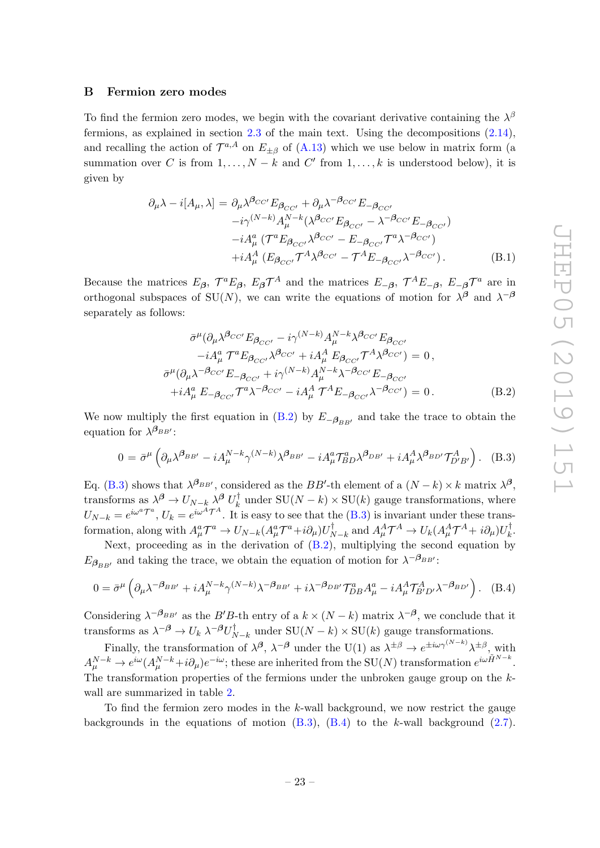#### <span id="page-24-0"></span>B Fermion zero modes

To find the fermion zero modes, we begin with the covariant derivative containing the  $\lambda^{\beta}$ fermions, as explained in section  $2.3$  of the main text. Using the decompositions  $(2.14)$ , and recalling the action of  $\mathcal{T}^{a,A}$  on  $E_{\pm\beta}$  of [\(A.13\)](#page-23-0) which we use below in matrix form (a summation over C is from  $1, \ldots, N-k$  and C' from  $1, \ldots, k$  is understood below), it is given by

$$
\partial_{\mu}\lambda - i[A_{\mu}, \lambda] = \partial_{\mu}\lambda^{\beta_{CC'}} E_{\beta_{CC'}} + \partial_{\mu}\lambda^{-\beta_{CC'}} E_{-\beta_{CC'}} \n- i\gamma^{(N-k)} A_{\mu}^{N-k} (\lambda^{\beta_{CC'}} E_{\beta_{CC'}} - \lambda^{-\beta_{CC'}} E_{-\beta_{CC'}}) \n- i A_{\mu}^{a} (\mathcal{T}^{a} E_{\beta_{CC'}} \lambda^{\beta_{CC'}} - E_{-\beta_{CC'}} \mathcal{T}^{a} \lambda^{-\beta_{CC'}}) \n+ i A_{\mu}^{A} (E_{\beta_{CC'}} \mathcal{T}^{A} \lambda^{\beta_{CC'}} - \mathcal{T}^{A} E_{-\beta_{CC'}} \lambda^{-\beta_{CC'}}).
$$
\n(B.1)

Because the matrices  $E_{\beta}$ ,  $\mathcal{T}^a E_{\beta}$ ,  $E_{\beta} \mathcal{T}^A$  and the matrices  $E_{-\beta}$ ,  $\mathcal{T}^A E_{-\beta}$ ,  $E_{-\beta} \mathcal{T}^a$  are in orthogonal subspaces of SU(N), we can write the equations of motion for  $\lambda^{\beta}$  and  $\lambda^{-\beta}$ separately as follows:

<span id="page-24-1"></span>
$$
\bar{\sigma}^{\mu}(\partial_{\mu}\lambda^{\beta_{CC'}}E_{\beta_{CC'}} - i\gamma^{(N-k)}A_{\mu}^{N-k}\lambda^{\beta_{CC'}}E_{\beta_{CC'}}\n-iA_{\mu}^{a} \mathcal{T}^{a}E_{\beta_{CC'}}\lambda^{\beta_{CC'}} + iA_{\mu}^{A} E_{\beta_{CC'}}\mathcal{T}^{A}\lambda^{\beta_{CC'}}) = 0,\n\bar{\sigma}^{\mu}(\partial_{\mu}\lambda^{-\beta_{CC'}}E_{-\beta_{CC'}} + i\gamma^{(N-k)}A_{\mu}^{N-k}\lambda^{-\beta_{CC'}}E_{-\beta_{CC'}}\n+iA_{\mu}^{a} E_{-\beta_{CC'}}\mathcal{T}^{a}\lambda^{-\beta_{CC'}} - iA_{\mu}^{A} \mathcal{T}^{A}E_{-\beta_{CC'}}\lambda^{-\beta_{CC'}}) = 0.
$$
\n(B.2)

We now multiply the first equation in [\(B.2\)](#page-24-1) by  $E_{-\beta_{BB'}}$  and take the trace to obtain the equation for  $\lambda^{\beta_{BB'}}$ :

<span id="page-24-2"></span>
$$
0 = \bar{\sigma}^{\mu} \left( \partial_{\mu} \lambda^{\beta_{BB'}} - i A_{\mu}^{N-k} \gamma^{(N-k)} \lambda^{\beta_{BB'}} - i A_{\mu}^{a} \mathcal{T}_{BD}^{a} \lambda^{\beta_{DB'}} + i A_{\mu}^{A} \lambda^{\beta_{BD'}} \mathcal{T}_{D'B'}^{A} \right). \tag{B.3}
$$

Eq. [\(B.3\)](#page-24-2) shows that  $\lambda^{\beta_{BB'}}$ , considered as the BB'-th element of a  $(N-k) \times k$  matrix  $\lambda^{\beta}$ , transforms as  $\lambda^{\beta} \to U_{N-k} \lambda^{\beta} U_{k}^{\dagger}$  $\chi_k^{\dagger}$  under  $SU(N-k) \times SU(k)$  gauge transformations, where  $U_{N-k} = e^{i\omega^a \mathcal{T}^a}$ ,  $U_k = e^{i\omega^A \mathcal{T}^A}$ . It is easy to see that the [\(B.3\)](#page-24-2) is invariant under these transformation, along with  $A^a_\mu \mathcal{T}^a \to U_{N-k} (A^a_\mu \mathcal{T}^a + i \partial_\mu) U_N^\dagger$  $N_{N-k}$  and  $A^A_\mu \mathcal{T}^A \to U_k (A^A_\mu \mathcal{T}^A + i \partial_\mu) U^\dagger_k$  $\frac{1}{k}$ .

Next, proceeding as in the derivation of [\(B.2\)](#page-24-1), multiplying the second equation by  $E_{\beta_{BB'}}$  and taking the trace, we obtain the equation of motion for  $\lambda^{-\beta_{BB'}}$ :

<span id="page-24-3"></span>
$$
0 = \bar{\sigma}^{\mu} \left( \partial_{\mu} \lambda^{-\beta_{BB'}} + i A_{\mu}^{N-k} \gamma^{(N-k)} \lambda^{-\beta_{BB'}} + i \lambda^{-\beta_{DB'}} \mathcal{T}_{DB}^{a} A_{\mu}^{a} - i A_{\mu}^{A} \mathcal{T}_{B'D'}^{A} \lambda^{-\beta_{BD'}} \right). \tag{B.4}
$$

Considering  $\lambda^{-\beta_{BB'}}$  as the B'B-th entry of a  $k \times (N-k)$  matrix  $\lambda^{-\beta}$ , we conclude that it transforms as  $\lambda^{-\beta} \to U_k \lambda^{-\beta} U_N^{\dagger}$  $_{N-k}^{T}$  under SU $(N-k) \times$  SU $(k)$  gauge transformations.

Finally, the transformation of  $\lambda^{\beta}$ ,  $\lambda^{-\beta}$  under the U(1) as  $\lambda^{\pm\beta} \to e^{\pm i\omega \gamma^{(N-k)}} \lambda^{\pm \beta}$ , with  $A_{\mu}^{N-k} \to e^{i\omega} (A_{\mu}^{N-k} + i\partial_{\mu})e^{-i\omega}$ ; these are inherited from the  $\mathrm{SU}(N)$  transformation  $e^{i\omega \tilde{H}^{N-k}}$ . The transformation properties of the fermions under the unbroken gauge group on the kwall are summarized in table [2.](#page-25-0)

To find the fermion zero modes in the k-wall background, we now restrict the gauge backgrounds in the equations of motion  $(B.3)$ ,  $(B.4)$  to the k-wall background  $(2.7)$ .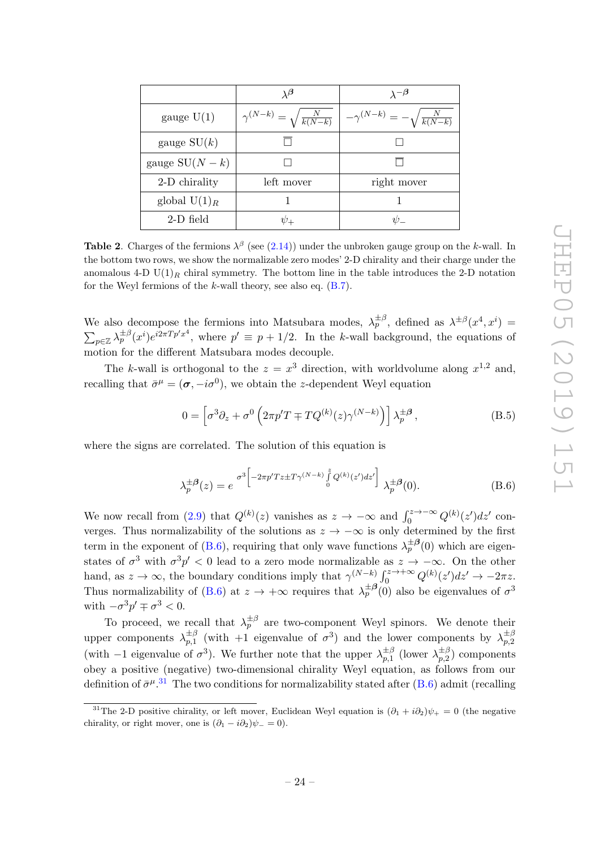|                 | $\lambda^{\boldsymbol{\beta}}$             | $\lambda^{-\beta}$                         |
|-----------------|--------------------------------------------|--------------------------------------------|
| gauge $U(1)$    | $\gamma^{(N-k)} = \sqrt{\frac{N}{k(N-k)}}$ | $-\gamma^{(N-k)}=-\sqrt{\frac{N}{k(N-k)}}$ |
| gauge $SU(k)$   |                                            |                                            |
| gauge $SU(N-k)$ |                                            |                                            |
| 2-D chirality   | left mover                                 | right mover                                |
| global $U(1)_R$ |                                            |                                            |
| 2-D field       |                                            |                                            |

<span id="page-25-0"></span>**Table 2**. Charges of the fermions  $\lambda^{\beta}$  (see [\(2.14\)](#page-8-2)) under the unbroken gauge group on the k-wall. In the bottom two rows, we show the normalizable zero modes' 2-D chirality and their charge under the anomalous 4-D  $U(1)_R$  chiral symmetry. The bottom line in the table introduces the 2-D notation for the Weyl fermions of the  $k$ -wall theory, see also eq.  $(B.7)$ .

We also decompose the fermions into Matsubara modes,  $\lambda_p^{\pm\beta}$ , defined as  $\lambda^{\pm\beta}(x^4, x^i)$  =  $\sum_{p\in\mathbb{Z}}\lambda_p^{\pm\beta}(x^i)e^{i2\pi T p' x^4}$ , where  $p'\equiv p+1/2$ . In the k-wall background, the equations of motion for the different Matsubara modes decouple.

The k-wall is orthogonal to the  $z = x^3$  direction, with worldvolume along  $x^{1,2}$  and, recalling that  $\bar{\sigma}^{\mu} = (\sigma, -i\sigma^{0}),$  we obtain the z-dependent Weyl equation

$$
0 = \left[\sigma^3 \partial_z + \sigma^0 \left(2\pi p' T + T Q^{(k)}(z) \gamma^{(N-k)}\right)\right] \lambda_p^{\pm \beta}, \tag{B.5}
$$

where the signs are correlated. The solution of this equation is

<span id="page-25-1"></span>
$$
\lambda_p^{\pm \beta}(z) = e^{-\sigma^3 \left[ -2\pi p' T z \pm T \gamma^{(N-k)} \int_0^z Q^{(k)}(z') dz' \right]} \lambda_p^{\pm \beta}(0). \tag{B.6}
$$

We now recall from [\(2.9\)](#page-7-1) that  $Q^{(k)}(z)$  vanishes as  $z \to -\infty$  and  $\int_0^{z \to -\infty} Q^{(k)}(z') dz'$  converges. Thus normalizability of the solutions as  $z \to -\infty$  is only determined by the first term in the exponent of [\(B.6\)](#page-25-1), requiring that only wave functions  $\lambda_p^{\pm \beta}(0)$  which are eigenstates of  $\sigma^3$  with  $\sigma^3 p' < 0$  lead to a zero mode normalizable as  $z \to -\infty$ . On the other hand, as  $z \to \infty$ , the boundary conditions imply that  $\gamma^{(N-k)} \int_0^{z \to +\infty} Q^{(k)}(z') dz' \to -2\pi z$ . Thus normalizability of [\(B.6\)](#page-25-1) at  $z \to +\infty$  requires that  $\lambda_p^{\pm \beta}(0)$  also be eigenvalues of  $\sigma^3$ with  $-\sigma^3 p' \mp \sigma^3 < 0$ .

To proceed, we recall that  $\lambda_p^{\pm \beta}$  are two-component Weyl spinors. We denote their upper components  $\lambda_{n,1}^{\pm\beta}$  $\pm \beta \atop p,1$  (with +1 eigenvalue of  $\sigma^3$ ) and the lower components by  $\lambda_{p,2}^{\pm \beta}$ p,2 (with  $-1$  eigenvalue of  $\sigma^3$ ). We further note that the upper  $\lambda_{n,1}^{\pm \beta}$  $\sum_{p,1}^{\pm\beta}$  (lower  $\lambda_{p,2}^{\pm\beta}$  $p_{p,2}^{\pm p}$  components obey a positive (negative) two-dimensional chirality Weyl equation, as follows from our definition of  $\bar{\sigma}^{\mu}$ .<sup>[31](#page-25-2)</sup> The two conditions for normalizability stated after [\(B.6\)](#page-25-1) admit (recalling

<span id="page-25-2"></span><sup>&</sup>lt;sup>31</sup>The 2-D positive chirality, or left mover, Euclidean Weyl equation is  $(\partial_1 + i\partial_2)\psi_+ = 0$  (the negative chirality, or right mover, one is  $(\partial_1 - i \partial_2)\psi_0 = 0$ .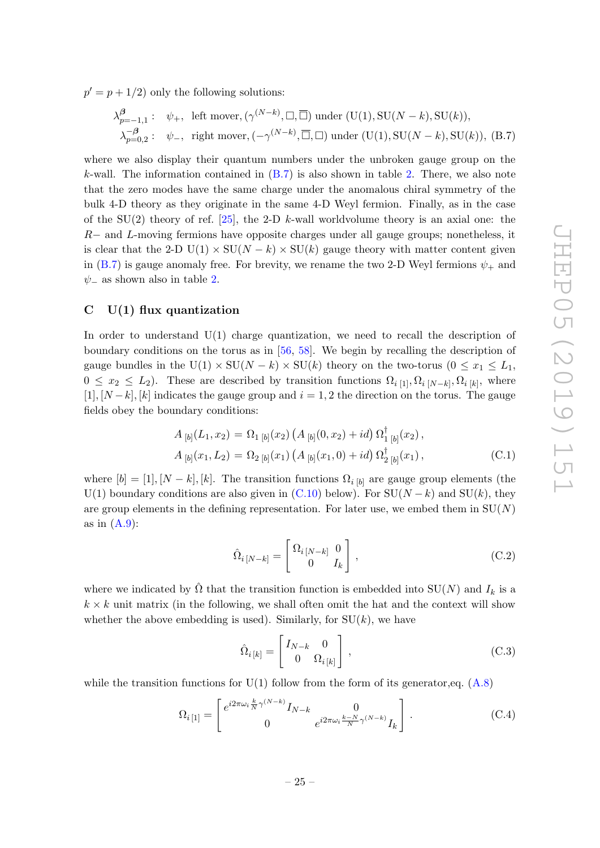$p' = p + 1/2$  only the following solutions:

<span id="page-26-1"></span>
$$
\lambda_{p=-1,1}^{\beta} : \psi_+, \text{ left mover}, (\gamma^{(N-k)}, \square, \overline{\square}) \text{ under } (\text{U}(1), \text{SU}(N-k), \text{SU}(k)),
$$
  

$$
\lambda_{p=0,2}^{-\beta} : \psi_-, \text{ right mover}, (-\gamma^{(N-k)}, \overline{\square}, \square) \text{ under } (\text{U}(1), \text{SU}(N-k), \text{SU}(k)), \text{ (B.7)}
$$

where we also display their quantum numbers under the unbroken gauge group on the k-wall. The information contained in  $(B.7)$  is also shown in table [2.](#page-25-0) There, we also note that the zero modes have the same charge under the anomalous chiral symmetry of the bulk 4-D theory as they originate in the same 4-D Weyl fermion. Finally, as in the case of the SU(2) theory of ref. [\[25\]](#page-34-10), the 2-D k-wall worldvolume theory is an axial one: the R− and L-moving fermions have opposite charges under all gauge groups; nonetheless, it is clear that the 2-D U(1)  $\times$  SU(N – k)  $\times$  SU(k) gauge theory with matter content given in [\(B.7\)](#page-26-1) is gauge anomaly free. For brevity, we rename the two 2-D Weyl fermions  $\psi_{+}$  and  $\psi$ <sub>−</sub> as shown also in table [2.](#page-25-0)

#### <span id="page-26-0"></span> $C$  U(1) flux quantization

In order to understand  $U(1)$  charge quantization, we need to recall the description of boundary conditions on the torus as in [\[56,](#page-36-7) [58\]](#page-36-8). We begin by recalling the description of gauge bundles in the U(1) × SU(N – k) × SU(k) theory on the two-torus ( $0 \le x_1 \le L_1$ ,  $0 \leq x_2 \leq L_2$ ). These are described by transition functions  $\Omega_{i}$  [1],  $\Omega_{i}$  [N−k],  $\Omega_{i}$  [k], where [1],  $[N-k]$ ,  $[k]$  indicates the gauge group and  $i = 1, 2$  the direction on the torus. The gauge fields obey the boundary conditions:

<span id="page-26-2"></span>
$$
A_{[b]}(L_1, x_2) = \Omega_{1\,[b]}(x_2) \left( A_{[b]}(0, x_2) + id \right) \Omega_{1\,[b]}^{\dagger}(x_2),
$$
  
\n
$$
A_{[b]}(x_1, L_2) = \Omega_{2\,[b]}(x_1) \left( A_{[b]}(x_1, 0) + id \right) \Omega_{2\,[b]}^{\dagger}(x_1),
$$
\n(C.1)

where  $[b] = [1], [N - k], [k]$ . The transition functions  $\Omega_{i,[b]}$  are gauge group elements (the U(1) boundary conditions are also given in [\(C.10\)](#page-28-2) below). For  $SU(N-k)$  and  $SU(k)$ , they are group elements in the defining representation. For later use, we embed them in  $SU(N)$ as in  $(A.9)$ :

$$
\hat{\Omega}_{i[N-k]} = \begin{bmatrix} \Omega_{i[N-k]} & 0\\ 0 & I_k \end{bmatrix},
$$
\n(C.2)

where we indicated by  $\hat{\Omega}$  that the transition function is embedded into  $SU(N)$  and  $I_k$  is a  $k \times k$  unit matrix (in the following, we shall often omit the hat and the context will show whether the above embedding is used). Similarly, for  $SU(k)$ , we have

$$
\hat{\Omega}_{i\,[k]} = \begin{bmatrix} I_{N-k} & 0\\ 0 & \Omega_{i\,[k]} \end{bmatrix},\tag{C.3}
$$

while the transition functions for  $U(1)$  follow from the form of its generator, eq. [\(A.8\)](#page-22-0)

<span id="page-26-3"></span>
$$
\Omega_{i\,[1]} = \begin{bmatrix} e^{i2\pi\omega_i \frac{k}{N}\gamma^{(N-k)}} I_{N-k} & 0\\ 0 & e^{i2\pi\omega_i \frac{k-N}{N}\gamma^{(N-k)}} I_k \end{bmatrix} . \tag{C.4}
$$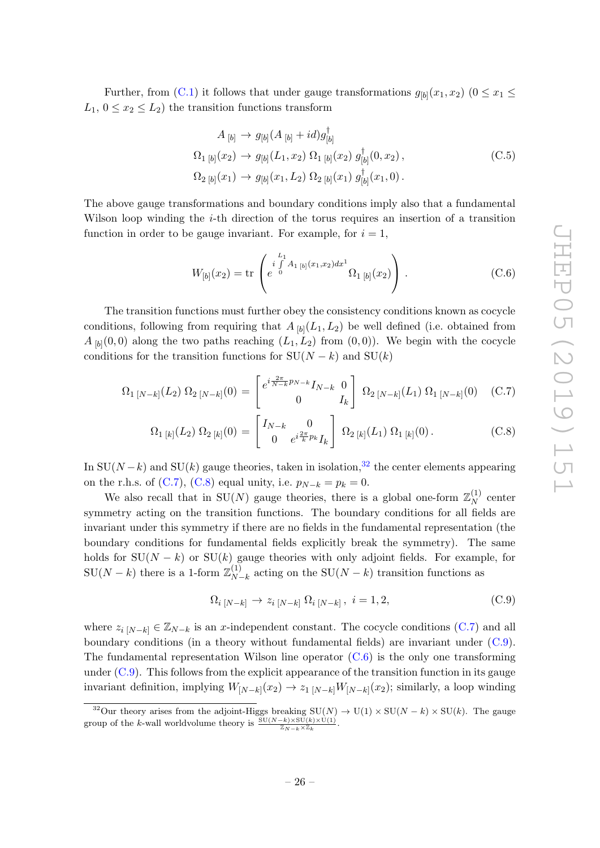Further, from [\(C.1\)](#page-26-2) it follows that under gauge transformations  $g_{[b]}(x_1, x_2)$  ( $0 \le x_1 \le$  $L_1, 0 \leq x_2 \leq L_2$ ) the transition functions transform

$$
A_{[b]} \to g_{[b]}(A_{[b]} + id)g_{[b]}^{\dagger}
$$
  
\n
$$
\Omega_{1 [b]}(x_2) \to g_{[b]}(L_1, x_2) \Omega_{1 [b]}(x_2) g_{[b]}^{\dagger}(0, x_2),
$$
  
\n
$$
\Omega_{2 [b]}(x_1) \to g_{[b]}(x_1, L_2) \Omega_{2 [b]}(x_1) g_{[b]}^{\dagger}(x_1, 0).
$$
\n(C.5)

The above gauge transformations and boundary conditions imply also that a fundamental Wilson loop winding the  $i$ -th direction of the torus requires an insertion of a transition function in order to be gauge invariant. For example, for  $i = 1$ ,

<span id="page-27-3"></span>
$$
W_{[b]}(x_2) = \text{tr}\left(e^{i\int\limits_{0}^{L_1} A_{1\,[b]}(x_1,x_2)dx^1} \Omega_{1\,[b]}(x_2)\right).
$$
 (C.6)

The transition functions must further obey the consistency conditions known as cocycle conditions, following from requiring that  $A_{[b]}(L_1, L_2)$  be well defined (i.e. obtained from  $A_{[b]}(0,0)$  along the two paths reaching  $(L_1, L_2)$  from  $(0,0)$ ). We begin with the cocycle conditions for the transition functions for  $SU(N - k)$  and  $SU(k)$ 

<span id="page-27-1"></span>
$$
\Omega_{1\,[N-k]}(L_2)\,\Omega_{2\,[N-k]}(0) = \begin{bmatrix} e^{i\frac{2\pi}{N-k}p_{N-k}}I_{N-k} & 0\\ 0 & I_k \end{bmatrix} \,\Omega_{2\,[N-k]}(L_1)\,\Omega_{1\,[N-k]}(0) \quad (C.7)
$$

$$
\Omega_{1 [k]}(L_2) \Omega_{2 [k]}(0) = \begin{bmatrix} I_{N-k} & 0 \\ 0 & e^{i\frac{2\pi}{k}p_k} I_k \end{bmatrix} \Omega_{2 [k]}(L_1) \Omega_{1 [k]}(0). \tag{C.8}
$$

In  $SU(N-k)$  and  $SU(k)$  gauge theories, taken in isolation,<sup>[32](#page-27-0)</sup> the center elements appearing on the r.h.s. of [\(C.7\)](#page-27-1), [\(C.8\)](#page-27-1) equal unity, i.e.  $p_{N-k} = p_k = 0$ .

We also recall that in SU(N) gauge theories, there is a global one-form  $\mathbb{Z}_N^{(1)}$  $N^{(1)}$  center symmetry acting on the transition functions. The boundary conditions for all fields are invariant under this symmetry if there are no fields in the fundamental representation (the boundary conditions for fundamental fields explicitly break the symmetry). The same holds for  $SU(N - k)$  or  $SU(k)$  gauge theories with only adjoint fields. For example, for  $\text{SU}(N-k)$  there is a 1-form  $\mathbb{Z}_N^{(1)}$  $_{N-k}^{(1)}$  acting on the SU( $N-k$ ) transition functions as

<span id="page-27-2"></span>
$$
\Omega_{i\,[N-k]}\to z_{i\,[N-k]}\,\Omega_{i\,[N-k]}\,,\ i=1,2,\tag{C.9}
$$

where  $z_{i}$  [N−k]  $\in \mathbb{Z}_{N-k}$  is an x-independent constant. The cocycle conditions [\(C.7\)](#page-27-1) and all boundary conditions (in a theory without fundamental fields) are invariant under  $(C.9)$ . The fundamental representation Wilson line operator  $(C.6)$  is the only one transforming under  $(C.9)$ . This follows from the explicit appearance of the transition function in its gauge invariant definition, implying  $W_{[N-k]}(x_2) \to z_{1}{}_{[N-k]}W_{[N-k]}(x_2)$ ; similarly, a loop winding

<span id="page-27-0"></span><sup>&</sup>lt;sup>32</sup>Our theory arises from the adjoint-Higgs breaking  $SU(N) \to U(1) \times SU(N - k) \times SU(k)$ . The gauge group of the k-wall worldvolume theory is  $\frac{\mathrm{SU}(N-k)\times\mathrm{SU}(k)\times\mathrm{U}(1)}{\mathbb{Z}_{N-k}\times\mathbb{Z}_k}$ .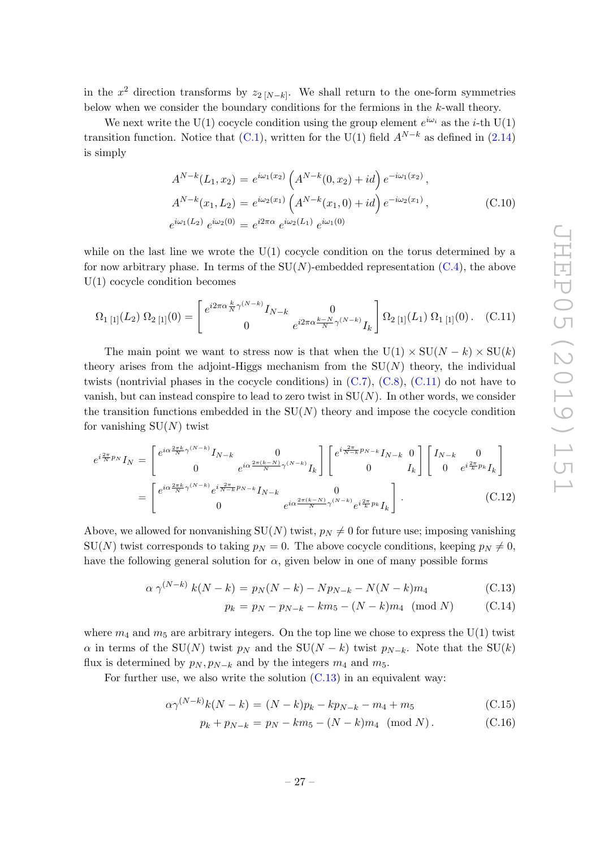in the  $x^2$  direction transforms by  $z_{2}$  [N−k]. We shall return to the one-form symmetries below when we consider the boundary conditions for the fermions in the k-wall theory.

We next write the U(1) cocycle condition using the group element  $e^{i\omega_i}$  as the *i*-th U(1) transition function. Notice that  $(C.1)$ , written for the U(1) field  $A^{N-k}$  as defined in [\(2.14\)](#page-8-2) is simply

<span id="page-28-2"></span>
$$
A^{N-k}(L_1, x_2) = e^{i\omega_1(x_2)} \left( A^{N-k}(0, x_2) + id \right) e^{-i\omega_1(x_2)},
$$
  
\n
$$
A^{N-k}(x_1, L_2) = e^{i\omega_2(x_1)} \left( A^{N-k}(x_1, 0) + id \right) e^{-i\omega_2(x_1)},
$$
  
\n
$$
e^{i\omega_1(L_2)} e^{i\omega_2(0)} = e^{i2\pi\alpha} e^{i\omega_2(L_1)} e^{i\omega_1(0)}
$$
\n(C.10)

while on the last line we wrote the  $U(1)$  cocycle condition on the torus determined by a for now arbitrary phase. In terms of the  $SU(N)$ -embedded representation [\(C.4\)](#page-26-3), the above U(1) cocycle condition becomes

<span id="page-28-3"></span>
$$
\Omega_{1\,[1]}(L_2)\,\Omega_{2\,[1]}(0) = \begin{bmatrix} e^{i2\pi\alpha\frac{k}{N}\gamma^{(N-k)}}I_{N-k} & 0\\ 0 & e^{i2\pi\alpha\frac{k-N}{N}\gamma^{(N-k)}}I_k \end{bmatrix} \Omega_{2\,[1]}(L_1)\,\Omega_{1\,[1]}(0). \quad \text{(C.11)}
$$

The main point we want to stress now is that when the  $U(1) \times SU(N - k) \times SU(k)$ theory arises from the adjoint-Higgs mechanism from the  $SU(N)$  theory, the individual twists (nontrivial phases in the cocycle conditions) in  $(C.7)$ ,  $(C.8)$ ,  $(C.11)$  do not have to vanish, but can instead conspire to lead to zero twist in  $SU(N)$ . In other words, we consider the transition functions embedded in the  $SU(N)$  theory and impose the cocycle condition for vanishing  $SU(N)$  twist

<span id="page-28-0"></span>
$$
e^{i\frac{2\pi}{N}p_N}I_N = \begin{bmatrix} e^{i\alpha\frac{2\pi k}{N}\gamma^{(N-k)}}I_{N-k} & 0\\ 0 & e^{i\alpha\frac{2\pi(k-N)}{N}\gamma^{(N-k)}}I_k \end{bmatrix} \begin{bmatrix} e^{i\frac{2\pi}{N-k}p_{N-k}}I_{N-k} & 0\\ 0 & I_k \end{bmatrix} \begin{bmatrix} I_{N-k} & 0\\ 0 & e^{i\frac{2\pi}{k}p_k}I_k \end{bmatrix}
$$

$$
= \begin{bmatrix} e^{i\alpha\frac{2\pi k}{N}\gamma^{(N-k)}}e^{i\frac{2\pi}{N-k}p_{N-k}}I_{N-k} & 0\\ 0 & e^{i\alpha\frac{2\pi(k-N)}{N}\gamma^{(N-k)}}e^{i\frac{2\pi}{k}p_k}I_k \end{bmatrix}.
$$
(C.12)

Above, we allowed for nonvanishing  $SU(N)$  twist,  $p_N \neq 0$  for future use; imposing vanishing  $SU(N)$  twist corresponds to taking  $p_N = 0$ . The above cocycle conditions, keeping  $p_N \neq 0$ , have the following general solution for  $\alpha$ , given below in one of many possible forms

<span id="page-28-1"></span>
$$
\alpha \gamma^{(N-k)} k(N-k) = p_N(N-k) - Np_{N-k} - N(N-k)m_4
$$
\n(C.13)

$$
p_k = p_N - p_{N-k} - km_5 - (N - k)m_4 \pmod{N} \tag{C.14}
$$

where  $m_4$  and  $m_5$  are arbitrary integers. On the top line we chose to express the U(1) twist  $\alpha$  in terms of the SU(N) twist  $p_N$  and the SU(N – k) twist  $p_{N-k}$ . Note that the SU(k) flux is determined by  $p_N, p_{N-k}$  and by the integers  $m_4$  and  $m_5$ .

For further use, we also write the solution  $(C.13)$  in an equivalent way:

<span id="page-28-4"></span>
$$
\alpha \gamma^{(N-k)} k(N-k) = (N-k)p_k - kp_{N-k} - m_4 + m_5 \tag{C.15}
$$

$$
p_k + p_{N-k} = p_N - km_5 - (N - k)m_4 \pmod{N}.
$$
 (C.16)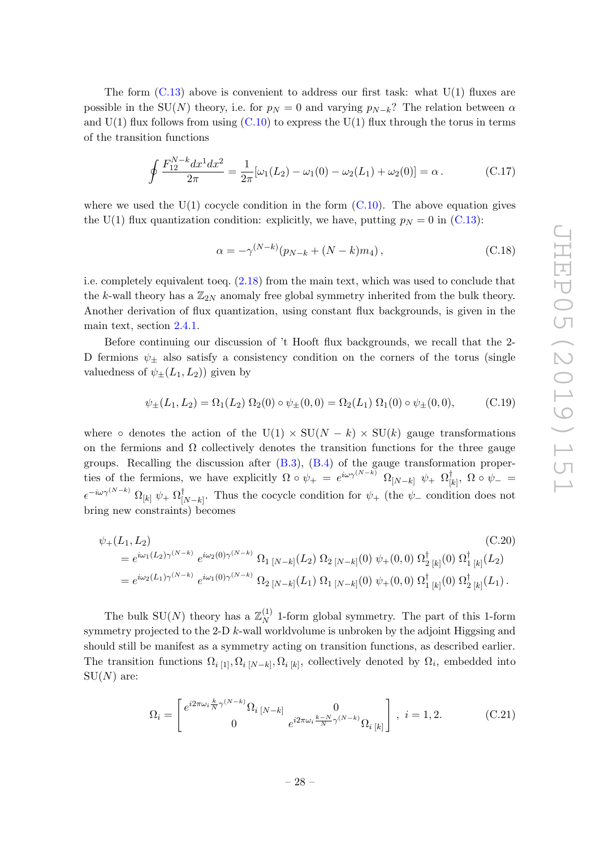The form  $(C.13)$  above is convenient to address our first task: what  $U(1)$  fluxes are possible in the SU(N) theory, i.e. for  $p_N = 0$  and varying  $p_{N-k}$ ? The relation between  $\alpha$ and  $U(1)$  flux follows from using  $(C.10)$  to express the  $U(1)$  flux through the torus in terms of the transition functions

<span id="page-29-0"></span>
$$
\oint \frac{F_{12}^{N-k} dx^1 dx^2}{2\pi} = \frac{1}{2\pi} [\omega_1(L_2) - \omega_1(0) - \omega_2(L_1) + \omega_2(0)] = \alpha.
$$
 (C.17)

where we used the  $U(1)$  cocycle condition in the form  $(C.10)$ . The above equation gives the U(1) flux quantization condition: explicitly, we have, putting  $p_N = 0$  in [\(C.13\)](#page-28-1):

$$
\alpha = -\gamma^{(N-k)}(p_{N-k} + (N-k)m_4), \qquad (C.18)
$$

i.e. completely equivalent toeq. [\(2.18\)](#page-10-3) from the main text, which was used to conclude that the k-wall theory has a  $\mathbb{Z}_{2N}$  anomaly free global symmetry inherited from the bulk theory. Another derivation of flux quantization, using constant flux backgrounds, is given in the main text, section [2.4.1.](#page-11-0)

Before continuing our discussion of 't Hooft flux backgrounds, we recall that the 2- D fermions  $\psi_{\pm}$  also satisfy a consistency condition on the corners of the torus (single valuedness of  $\psi_{\pm}(L_1, L_2)$  given by

$$
\psi_{\pm}(L_1, L_2) = \Omega_1(L_2) \Omega_2(0) \circ \psi_{\pm}(0, 0) = \Omega_2(L_1) \Omega_1(0) \circ \psi_{\pm}(0, 0), \tag{C.19}
$$

where ∘ denotes the action of the U(1)  $\times$  SU(N – k)  $\times$  SU(k) gauge transformations on the fermions and  $\Omega$  collectively denotes the transition functions for the three gauge groups. Recalling the discussion after [\(B.3\)](#page-24-2), [\(B.4\)](#page-24-3) of the gauge transformation properties of the fermions, we have explicitly  $\Omega \circ \psi_+ = e^{i\omega \gamma^{(N-k)}} \Omega_{[N-k]} \psi_+ \Omega_{[N-k]}^{\dagger}$  $_{[k]}^{\intercal},\;\Omega\circ\psi_{-}\,=\,$  $\epsilon^{-i\omega\gamma^{(N-k)}}\ \Omega_{[k]}\ \psi_+\ \Omega_{[k]}^\dagger$  $\iota_{[N-k]}^{\dagger}$ . Thus the cocycle condition for  $\psi_{+}$  (the  $\psi_{-}$  condition does not bring new constraints) becomes

<span id="page-29-2"></span>
$$
\psi_{+}(L_{1}, L_{2})
$$
\n
$$
= e^{i\omega_{1}(L_{2})\gamma^{(N-k)}} e^{i\omega_{2}(0)\gamma^{(N-k)}} \Omega_{1 \{N-k\}}(L_{2}) \Omega_{2 \{N-k\}}(0) \psi_{+}(0,0) \Omega_{2 \{k\}}^{\dagger}(0) \Omega_{1 \{k\}}^{\dagger}(L_{2})
$$
\n
$$
= e^{i\omega_{2}(L_{1})\gamma^{(N-k)}} e^{i\omega_{1}(0)\gamma^{(N-k)}} \Omega_{2 \{N-k\}}(L_{1}) \Omega_{1 \{N-k\}}(0) \psi_{+}(0,0) \Omega_{1 \{k\}}^{\dagger}(0) \Omega_{2 \{k\}}^{\dagger}(L_{1}).
$$
\n(C.20)

The bulk SU(N) theory has a  $\mathbb{Z}_N^{(1)}$  $_{N}^{(1)}$  1-form global symmetry. The part of this 1-form symmetry projected to the 2-D  $k$ -wall worldvolume is unbroken by the adjoint Higgsing and should still be manifest as a symmetry acting on transition functions, as described earlier. The transition functions  $\Omega_{i}$  [1],  $\Omega_{i}$  [N−k],  $\Omega_{i}$  [k], collectively denoted by  $\Omega_{i}$ , embedded into  $SU(N)$  are:

<span id="page-29-1"></span>
$$
\Omega_{i} = \begin{bmatrix} e^{i2\pi\omega_{i}\frac{k}{N}\gamma^{(N-k)}}\Omega_{i\,[N-k]} & 0\\ 0 & e^{i2\pi\omega_{i}\frac{k-N}{N}\gamma^{(N-k)}}\Omega_{i\,[k]} \end{bmatrix},\ i = 1, 2.
$$
 (C.21)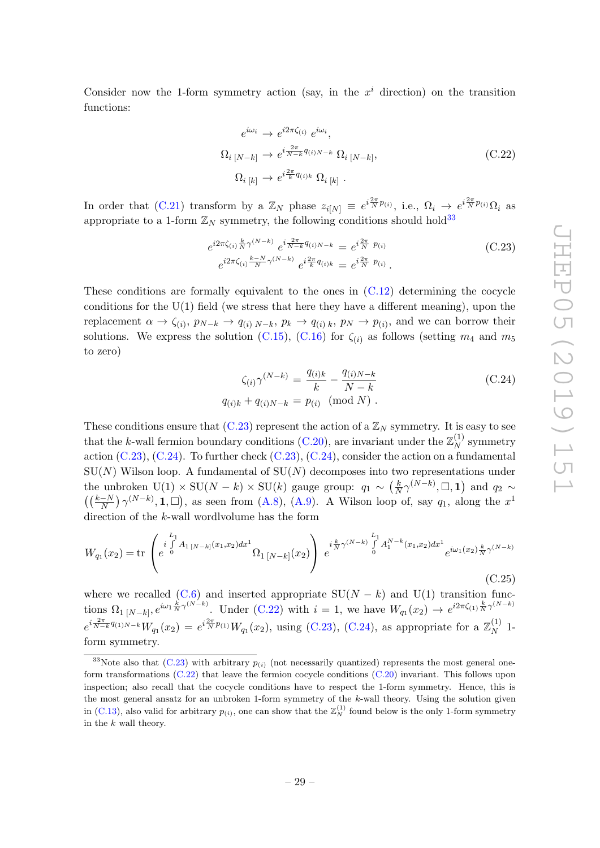Consider now the 1-form symmetry action (say, in the  $x^i$  direction) on the transition functions:

<span id="page-30-0"></span>
$$
e^{i\omega_i} \rightarrow e^{i2\pi\zeta_{(i)}} e^{i\omega_i},
$$
  
\n
$$
\Omega_i_{[N-k]} \rightarrow e^{i\frac{2\pi}{N-k}q_{(i)N-k}} \Omega_i_{[N-k]},
$$
  
\n
$$
\Omega_i_{[k]} \rightarrow e^{i\frac{2\pi}{k}q_{(i)k}} \Omega_i_{[k]}.
$$
\n(C.22)

In order that  $(C.21)$  transform by a  $\mathbb{Z}_N$  phase  $z_{i[N]} \equiv e^{i\frac{2\pi}{N}p_{(i)}},$  i.e.,  $\Omega_i \to e^{i\frac{2\pi}{N}p_{(i)}}\Omega_i$  as appropriate to a 1-form  $\mathbb{Z}_N$  symmetry, the following conditions should hold<sup>[33](#page-30-2)</sup>

<span id="page-30-1"></span>
$$
e^{i2\pi\zeta_{(i)}\frac{k}{N}\gamma^{(N-k)}}e^{i\frac{2\pi}{N-k}q_{(i)N-k}} = e^{i\frac{2\pi}{N}p_{(i)}}\\e^{i2\pi\zeta_{(i)}\frac{k-N}{N}\gamma^{(N-k)}}e^{i\frac{2\pi}{k}q_{(i)k}} = e^{i\frac{2\pi}{N}p_{(i)}}.
$$
\n(C.23)

These conditions are formally equivalent to the ones in  $(C.12)$  determining the cocycle conditions for the  $U(1)$  field (we stress that here they have a different meaning), upon the replacement  $\alpha \to \zeta_{(i)}$ ,  $p_{N-k} \to q_{(i) N-k}$ ,  $p_k \to q_{(i) k}$ ,  $p_N \to p_{(i)}$ , and we can borrow their solutions. We express the solution [\(C.15\)](#page-28-4), [\(C.16\)](#page-28-4) for  $\zeta_{(i)}$  as follows (setting  $m_4$  and  $m_5$ to zero)

<span id="page-30-3"></span>
$$
\zeta_{(i)} \gamma^{(N-k)} = \frac{q_{(i)k}}{k} - \frac{q_{(i)N-k}}{N-k}
$$
\n(C.24)\n  
\n
$$
q_{(i)k} + q_{(i)N-k} = p_{(i)} \pmod{N}.
$$

These conditions ensure that  $(C.23)$  represent the action of a  $\mathbb{Z}_N$  symmetry. It is easy to see that the k-wall fermion boundary conditions [\(C.20\)](#page-29-2), are invariant under the  $\mathbb{Z}_N^{(1)}$  $N_N^{(1)}$  symmetry action  $(C.23)$ ,  $(C.24)$ . To further check  $(C.23)$ ,  $(C.24)$ , consider the action on a fundamental  $SU(N)$  Wilson loop. A fundamental of  $SU(N)$  decomposes into two representations under the unbroken U(1) × SU(N – k) × SU(k) gauge group:  $q_1 \sim \left(\frac{k}{N}\right)$  $\frac{k}{N} \gamma^{(N-k)}$ ,  $\Box$ , 1) and  $q_2 \sim$  $((\frac{k-N}{N})\gamma^{(N-k)}, 1, \Box)$ , as seen from [\(A.8\)](#page-22-0), [\(A.9\)](#page-22-4). A Wilson loop of, say  $q_1$ , along the  $x^1$ direction of the k-wall wordlvolume has the form

$$
W_{q_1}(x_2) = \text{tr}\begin{pmatrix} i \int_0^{L_1} A_{1\,[N-k]}(x_1,x_2) dx^1 \\ e^{-\delta} \int_0^{L_1} \Omega_{1\,[N-k]}(x_2) dx^1 \end{pmatrix} e^{i \frac{k}{N} \gamma^{(N-k)} \int_0^{L_1} A_1^{N-k}(x_1,x_2) dx^1} e^{i \omega_1(x_2) \frac{k}{N} \gamma^{(N-k)}} \tag{C.25}
$$

where we recalled [\(C.6\)](#page-27-3) and inserted appropriate  $SU(N - k)$  and  $U(1)$  transition functions  $\Omega_1|_{[N-k]}$ ,  $e^{i\omega_1 \frac{k}{N}\gamma^{(N-k)}}$ . Under [\(C.22\)](#page-30-0) with  $i=1$ , we have  $W_{q_1}(x_2) \to e^{i2\pi\zeta_{(1)}\frac{k}{N}\gamma^{(N-k)}}$  $e^{i\frac{2\pi}{N-k}q_{(1)N-k}}W_{q_1}(x_2) = e^{i\frac{2\pi}{N}p_{(1)}}W_{q_1}(x_2)$ , using [\(C.23\)](#page-30-1), [\(C.24\)](#page-30-3), as appropriate for a  $\mathbb{Z}_N^{(1)}$  $\frac{1}{N}$  1form symmetry.

<span id="page-30-2"></span><sup>&</sup>lt;sup>33</sup>Note also that [\(C.23\)](#page-30-1) with arbitrary  $p_{(i)}$  (not necessarily quantized) represents the most general oneform transformations [\(C.22\)](#page-30-0) that leave the fermion cocycle conditions [\(C.20\)](#page-29-2) invariant. This follows upon inspection; also recall that the cocycle conditions have to respect the 1-form symmetry. Hence, this is the most general ansatz for an unbroken 1-form symmetry of the k-wall theory. Using the solution given in [\(C.13\)](#page-28-1), also valid for arbitrary  $p_{(i)}$ , one can show that the  $\mathbb{Z}_N^{(1)}$  found below is the only 1-form symmetry in the k wall theory.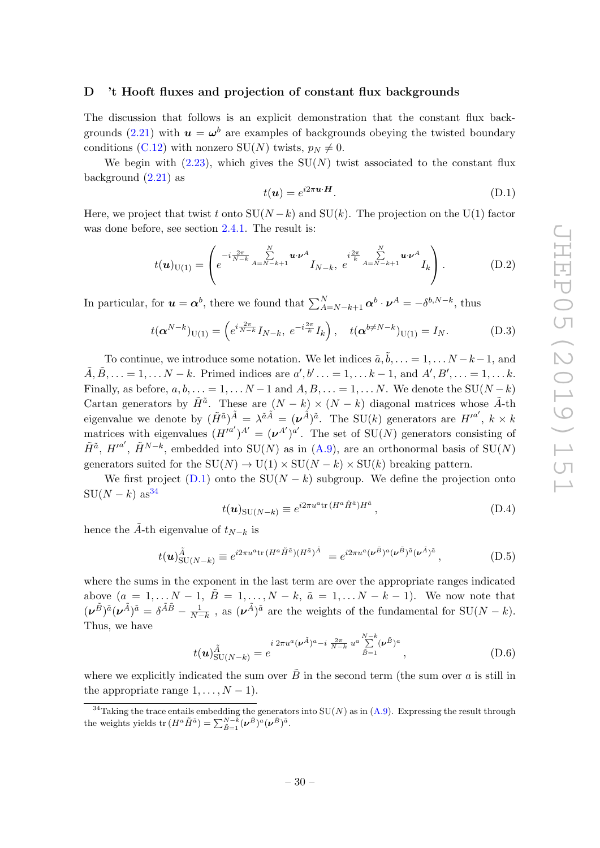#### <span id="page-31-0"></span>D 't Hooft fluxes and projection of constant flux backgrounds

The discussion that follows is an explicit demonstration that the constant flux back-grounds [\(2.21\)](#page-11-3) with  $u = \omega^b$  are examples of backgrounds obeying the twisted boundary conditions [\(C.12\)](#page-28-0) with nonzero SU(N) twists,  $p_N \neq 0$ .

We begin with  $(2.23)$ , which gives the SU(N) twist associated to the constant flux background [\(2.21\)](#page-11-3) as

<span id="page-31-1"></span>
$$
t(\mathbf{u}) = e^{i2\pi\mathbf{u}\cdot\mathbf{H}}.\tag{D.1}
$$

Here, we project that twist t onto  $SU(N-k)$  and  $SU(k)$ . The projection on the U(1) factor was done before, see section [2.4.1.](#page-11-0) The result is:

<span id="page-31-3"></span>
$$
t(\boldsymbol{u})_{\mathrm{U}(1)} = \left( e^{-i\frac{2\pi}{N-k}} \sum_{A=N-k+1}^{N} \boldsymbol{u} \cdot \boldsymbol{\nu}^{A} I_{N-k}, \ e^{-i\frac{2\pi}{k}} \sum_{A=N-k+1}^{N} \boldsymbol{u} \cdot \boldsymbol{\nu}^{A} I_{k} \right). \tag{D.2}
$$

In particular, for  $u = \alpha^b$ , there we found that  $\sum_{A=N-k+1}^{N} \alpha^b \cdot \nu^A = -\delta^{b,N-k}$ , thus

<span id="page-31-4"></span>
$$
t(\alpha^{N-k})_{U(1)} = \left(e^{i\frac{2\pi}{N-k}}I_{N-k},\ e^{-i\frac{2\pi}{k}}I_k\right),\ \ t(\alpha^{b\neq N-k})_{U(1)} = I_N. \tag{D.3}
$$

To continue, we introduce some notation. We let indices  $\tilde{a}, \tilde{b}, \ldots = 1, \ldots N - k - 1$ , and  $\tilde{A}, \tilde{B}, \ldots = 1, \ldots N - k$ . Primed indices are  $a', b' \ldots = 1, \ldots k - 1$ , and  $A', B', \ldots = 1, \ldots k$ . Finally, as before,  $a, b, \ldots = 1, \ldots N-1$  and  $A, B, \ldots = 1, \ldots N$ . We denote the SU( $N - k$ ) Cartan generators by  $\tilde{H}^{\tilde{a}}$ . These are  $(N-k) \times (N-k)$  diagonal matrices whose  $\tilde{A}$ -th eigenvalue we denote by  $(\tilde{H}^{\tilde{a}})^{\tilde{A}} = \lambda^{\tilde{a}\tilde{A}} = (\nu^{\tilde{A}})^{\tilde{a}}$ . The SU(k) generators are  $H'^{a'}$ ,  $k \times k$ matrices with eigenvalues  $(H'^{a'})^{A'} = (\nu^{A'})^{a'}$ . The set of  $SU(N)$  generators consisting of  $\tilde{H}^{\tilde{a}}$ ,  $H'^{a'}$ ,  $\tilde{H}^{N-k}$ , embedded into SU(N) as in [\(A.9\)](#page-22-4), are an orthonormal basis of SU(N) generators suited for the  $SU(N) \to U(1) \times SU(N - k) \times SU(k)$  breaking pattern.

We first project [\(D.1\)](#page-31-1) onto the  $SU(N - k)$  subgroup. We define the projection onto  $SU(N-k)$  as<sup>[34](#page-31-2)</sup>

$$
t(\mathbf{u})_{\text{SU}(N-k)} \equiv e^{i2\pi u^a \text{tr}\,(H^a \tilde{H}^{\tilde{a}})H^{\tilde{a}}},\tag{D.4}
$$

hence the  $\tilde{A}$ -th eigenvalue of  $t_{N-k}$  is

$$
t(\mathbf{u})_{\text{SU}(N-k)}^{\tilde{A}} \equiv e^{i2\pi u^a \text{tr}\left(H^a \tilde{H}^{\tilde{a}}\right)(H^{\tilde{a}})^{\tilde{A}}} = e^{i2\pi u^a (\mathbf{v}^{\tilde{B}})^a (\mathbf{v}^{\tilde{B}})^{\tilde{a}} (\mathbf{v}^{\tilde{A}})^{\tilde{a}}},\tag{D.5}
$$

where the sums in the exponent in the last term are over the appropriate ranges indicated above  $(a = 1, \ldots N-1, \tilde{B} = 1, \ldots, N-k, \tilde{a} = 1, \ldots N-k-1)$ . We now note that  $(\nu^{\tilde{B}})^{\tilde{a}}(\nu^{\tilde{A}})^{\tilde{a}} = \delta^{\tilde{A}\tilde{B}} - \frac{1}{N-k}$ , as  $(\nu^{\tilde{A}})^{\tilde{a}}$  are the weights of the fundamental for  $SU(N-k)$ . Thus, we have

$$
t(u)_{\text{SU}(N-k)}^{\tilde{A}} = e^{i 2\pi u^a (\boldsymbol{\nu}^{\tilde{A}})^a - i \frac{2\pi}{N-k} u^a \sum_{\tilde{B}=1}^{N-k} (\boldsymbol{\nu}^{\tilde{B}})^a}, \tag{D.6}
$$

where we explicitly indicated the sum over  $\tilde{B}$  in the second term (the sum over a is still in the appropriate range  $1, \ldots, N-1$ .

<span id="page-31-2"></span><sup>&</sup>lt;sup>34</sup>Taking the trace entails embedding the generators into  $SU(N)$  as in  $(A.9)$ . Expressing the result through the weights yields  $\text{tr}\,(H^a\tilde{H}^{\tilde{a}})=\sum_{\tilde{B}=1}^{N-k}(\boldsymbol{\nu}^{\tilde{B}})^a(\boldsymbol{\nu}^{\tilde{B}})^{\tilde{a}}.$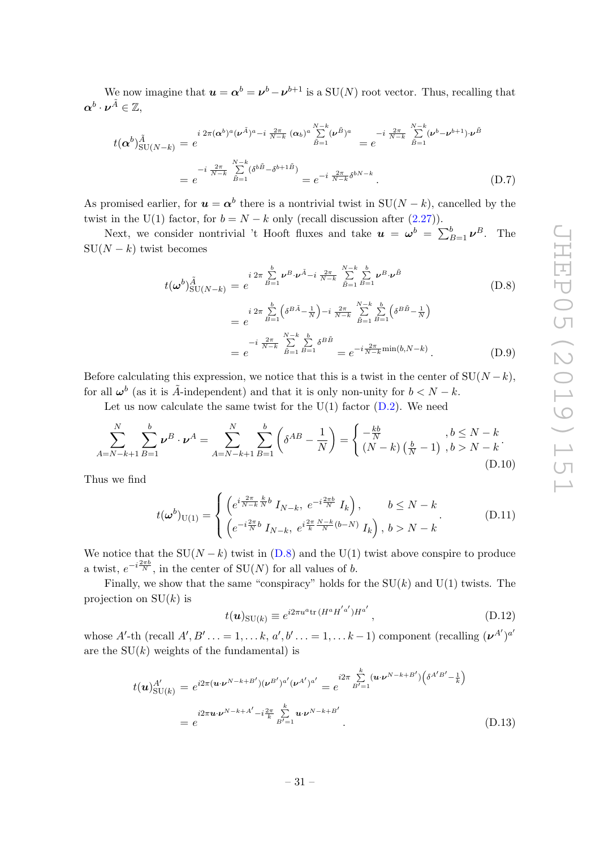We now imagine that  $u = \alpha^{b} = \nu^{b} - \nu^{b+1}$  is a  $SU(N)$  root vector. Thus, recalling that  $\boldsymbol{\alpha}^b\cdot \boldsymbol{\nu}^{\tilde{A}}\in\mathbb{Z},$ 

$$
t(\alpha^{b})_{\text{SU}(N-k)}^{\tilde{A}} = e^{i 2\pi (\alpha^{b})^{a} (\nu^{\tilde{A}})^{a} - i \frac{2\pi}{N-k} (\alpha_{b})^{a} \sum_{\tilde{B}=1}^{N-k} (\nu^{\tilde{B}})^{a}} = e^{-i \frac{2\pi}{N-k} \sum_{\tilde{B}=1}^{N-k} (\nu^{b} - \nu^{b+1}) \cdot \nu^{\tilde{B}}}
$$

$$
= e^{-i \frac{2\pi}{N-k} \sum_{\tilde{B}=1}^{N-k} (\delta^{b\tilde{B}} - \delta^{b+1\tilde{B}})} = e^{-i \frac{2\pi}{N-k} \delta^{bN-k}}.
$$
(D.7)

As promised earlier, for  $u = \alpha^b$  there is a nontrivial twist in SU(N – k), cancelled by the twist in the U(1) factor, for  $b = N - k$  only (recall discussion after [\(2.27\)](#page-12-3)).

Next, we consider nontrivial 't Hooft fluxes and take  $u = \omega^b = \sum_{B=1}^b \nu^B$ . The  $SU(N - k)$  twist becomes

<span id="page-32-0"></span>
$$
t(\omega^{b})_{SU(N-k)}^{\tilde{A}} = e^{i 2\pi \sum_{B=1}^{b} \nu^{B} \cdot \nu^{\tilde{A}} - i \frac{2\pi}{N-k} \sum_{\tilde{B}=1}^{N-k} \sum_{B=1}^{b} \nu^{B} \cdot \nu^{\tilde{B}}}
$$
\n
$$
= e^{i 2\pi \sum_{B=1}^{b} \left( \delta^{B\tilde{A}} - \frac{1}{N} \right) - i \frac{2\pi}{N-k} \sum_{\tilde{B}=1}^{N-k} \sum_{B=1}^{b} \left( \delta^{B\tilde{B}} - \frac{1}{N} \right)}
$$
\n
$$
= e^{-i \frac{2\pi}{N-k} \sum_{\tilde{B}=1}^{N-k} \sum_{B=1}^{b} \delta^{B\tilde{B}}} = e^{-i \frac{2\pi}{N-k} \min(b, N-k)}.
$$
\n(D.9)

Before calculating this expression, we notice that this is a twist in the center of  $SU(N - k)$ , for all  $\omega^b$  (as it is  $\tilde{A}$ -independent) and that it is only non-unity for  $b < N - k$ .

Let us now calculate the same twist for the  $U(1)$  factor  $(D.2)$ . We need

$$
\sum_{A=N-k+1}^{N} \sum_{B=1}^{b} \nu^{B} \cdot \nu^{A} = \sum_{A=N-k+1}^{N} \sum_{B=1}^{b} \left( \delta^{AB} - \frac{1}{N} \right) = \begin{cases} -\frac{kb}{N} & , b \le N-k \\ (N-k) \left( \frac{b}{N} - 1 \right) & , b > N-k \end{cases} (D.10)
$$

Thus we find

$$
t(\omega^{b})_{U(1)} = \begin{cases} \left( e^{i \frac{2\pi}{N-k} \frac{k}{N} b} I_{N-k}, \ e^{-i \frac{2\pi b}{N}} I_{k} \right), & b \le N-k \\ \left( e^{-i \frac{2\pi}{N} b} I_{N-k}, \ e^{i \frac{2\pi}{k} \frac{N-k}{N} (b-N)} I_{k} \right), \ b > N-k \end{cases}
$$
(D.11)

We notice that the  $SU(N - k)$  twist in  $(D.8)$  and the U(1) twist above conspire to produce a twist,  $e^{-i\frac{2\pi b}{N}}$ , in the center of  $SU(N)$  for all values of b.

Finally, we show that the same "conspiracy" holds for the  $SU(k)$  and  $U(1)$  twists. The projection on  $SU(k)$  is

<span id="page-32-2"></span>
$$
t(\boldsymbol{u})_{\mathrm{SU}(k)} \equiv e^{i2\pi u^a \mathrm{tr}\,(H^a H^{'a'})H^{a'}},\tag{D.12}
$$

whose A'-th (recall  $A', B' \ldots = 1, \ldots k, a', b' \ldots = 1, \ldots k-1$ ) component (recalling  $(\nu^{A'})^{a'}$ are the  $SU(k)$  weights of the fundamental) is

<span id="page-32-1"></span>
$$
t(\mathbf{u})_{\text{SU}(k)}^{A'} = e^{i2\pi(\mathbf{u}\cdot\mathbf{v}^{N-k+B')}(\mathbf{v}^{B'})^{a'}(\mathbf{v}^{A'})^{a'}} = e^{i2\pi\sum_{B'=1}^{k}(\mathbf{u}\cdot\mathbf{v}^{N-k+B'})\left(\delta^{A'B'}-\frac{1}{k}\right)}
$$
  
= 
$$
e^{i2\pi\mathbf{u}\cdot\mathbf{v}^{N-k+A'}-i\frac{2\pi}{k}\sum_{B'=1}^{k}\mathbf{u}\cdot\mathbf{v}^{N-k+B'}}
$$
 (D.13)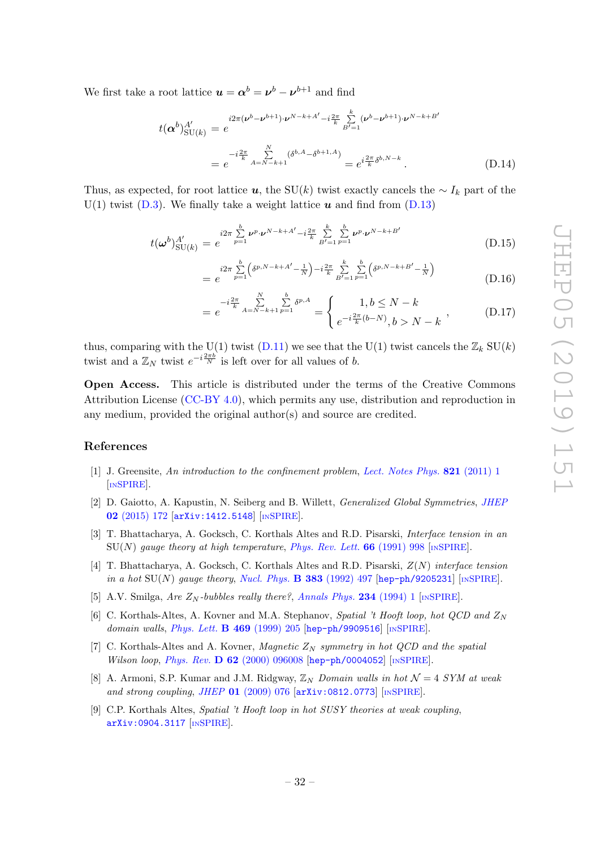We first take a root lattice  $u = \alpha^b = \nu^b - \nu^{b+1}$  and find

$$
t(\boldsymbol{\alpha}^{b})_{\text{SU}(k)}^{A'} = e^{i2\pi(\boldsymbol{\nu}^{b}-\boldsymbol{\nu}^{b+1})\cdot\boldsymbol{\nu}^{N-k+A'}-i\frac{2\pi}{k}\sum_{B'=1}^{k}(\boldsymbol{\nu}^{b}-\boldsymbol{\nu}^{b+1})\cdot\boldsymbol{\nu}^{N-k+B'}}{e^{-i\frac{2\pi}{k}\sum_{B'=1}^{N}(\delta^{b,A}-\delta^{b+1,A})}=e^{i\frac{2\pi}{k}\delta^{b,N-k}}.
$$
\n(D.14)

Thus, as expected, for root lattice u, the SU(k) twist exactly cancels the  $\sim I_k$  part of the U(1) twist  $(D,3)$ . We finally take a weight lattice  $u$  and find from  $(D,13)$ 

$$
t(\boldsymbol{\omega}^{b})_{\text{SU}(k)}^{A'} = e^{i2\pi \sum\limits_{p=1}^{b} \nu^{p} \cdot \boldsymbol{\nu}^{N-k+A'} - i\frac{2\pi}{k} \sum\limits_{B'=1}^{k} \sum\limits_{p=1}^{b} \nu^{p} \cdot \boldsymbol{\nu}^{N-k+B'}}(D.15)
$$

$$
= e^{i2\pi \sum_{p=1}^{b} \left( \delta^{p,N-k+A'} - \frac{1}{N} \right) - i\frac{2\pi}{k} \sum_{B'=1}^{k} \sum_{p=1}^{b} \left( \delta^{p,N-k+B'} - \frac{1}{N} \right)}
$$
(D.16)

$$
= e^{-i\frac{2\pi}{k} \sum_{A=N-k+1}^{N} \sum_{p=1}^{b} \delta^{p,A}} = \begin{cases} 1, b \le N-k \\ e^{-i\frac{2\pi}{k}(b-N)}, b > N-k \end{cases}
$$
 (D.17)

thus, comparing with the U(1) twist [\(D.11\)](#page-32-2) we see that the U(1) twist cancels the  $\mathbb{Z}_k$  SU(k) twist and a  $\mathbb{Z}_N$  twist  $e^{-i\frac{2\pi b}{N}}$  is left over for all values of b.

Open Access. This article is distributed under the terms of the Creative Commons Attribution License [\(CC-BY 4.0\)](https://creativecommons.org/licenses/by/4.0/), which permits any use, distribution and reproduction in any medium, provided the original author(s) and source are credited.

#### References

- <span id="page-33-0"></span>[1] J. Greensite, An introduction to the confinement problem, [Lect. Notes Phys.](https://doi.org/10.1007/978-3-642-14382-3) **821** (2011) 1 [IN[SPIRE](https://inspirehep.net/search?p=find+J+%22Lect.Notes%20Phys.,821,1%22)].
- <span id="page-33-1"></span>[2] D. Gaiotto, A. Kapustin, N. Seiberg and B. Willett, Generalized Global Symmetries, [JHEP](https://doi.org/10.1007/JHEP02(2015)172) 02 [\(2015\) 172](https://doi.org/10.1007/JHEP02(2015)172) [[arXiv:1412.5148](https://arxiv.org/abs/1412.5148)] [IN[SPIRE](https://inspirehep.net/search?p=find+EPRINT+arXiv:1412.5148)].
- <span id="page-33-2"></span>[3] T. Bhattacharya, A. Gocksch, C. Korthals Altes and R.D. Pisarski, *Interface tension in an*  $\text{SU}(N)$  gauge theory at high temperature, [Phys. Rev. Lett.](https://doi.org/10.1103/PhysRevLett.66.998) 66 (1991) 998 [IN[SPIRE](https://inspirehep.net/search?p=find+J+%22Phys.Rev.Lett.,66,998%22)].
- [4] T. Bhattacharya, A. Gocksch, C. Korthals Altes and R.D. Pisarski,  $Z(N)$  interface tension in a hot  $SU(N)$  gauge theory, [Nucl. Phys.](https://doi.org/10.1016/0550-3213(92)90086-Q) **B** 383 (1992) 497 [[hep-ph/9205231](https://arxiv.org/abs/hep-ph/9205231)] [IN[SPIRE](https://inspirehep.net/search?p=find+EPRINT+hep-ph/9205231)].
- [5] A.V. Smilga, Are  $Z_N$ -bubbles really there?, [Annals Phys.](https://doi.org/10.1006/aphy.1994.1073) 234 (1994) 1 [IN[SPIRE](https://inspirehep.net/search?p=find+J+%22AnnalsPhys.,234,1%22)].
- [6] C. Korthals-Altes, A. Kovner and M.A. Stephanov, Spatial 't Hooft loop, hot QCD and  $Z_N$ domain walls, *[Phys. Lett.](https://doi.org/10.1016/S0370-2693(99)01242-3)* **B 469** (1999) 205 [[hep-ph/9909516](https://arxiv.org/abs/hep-ph/9909516)] [IN[SPIRE](https://inspirehep.net/search?p=find+EPRINT+hep-ph/9909516)].
- [7] C. Korthals-Altes and A. Kovner, *Magnetic*  $Z_N$  *symmetry in hot QCD and the spatial* Wilson loop, Phys. Rev. D 62 [\(2000\) 096008](https://doi.org/10.1103/PhysRevD.62.096008) [[hep-ph/0004052](https://arxiv.org/abs/hep-ph/0004052)] [IN[SPIRE](https://inspirehep.net/search?p=find+EPRINT+hep-ph/0004052)].
- <span id="page-33-3"></span>[8] A. Armoni, S.P. Kumar and J.M. Ridgway,  $\mathbb{Z}_N$  Domain walls in hot  $\mathcal{N}=4$  SYM at weak and strong coupling, JHEP 01 [\(2009\) 076](https://doi.org/10.1088/1126-6708/2009/01/076) [[arXiv:0812.0773](https://arxiv.org/abs/0812.0773)] [IN[SPIRE](https://inspirehep.net/search?p=find+EPRINT+arXiv:0812.0773)].
- [9] C.P. Korthals Altes, Spatial 't Hooft loop in hot SUSY theories at weak coupling, [arXiv:0904.3117](https://arxiv.org/abs/0904.3117) [IN[SPIRE](https://inspirehep.net/search?p=find+EPRINT+arXiv:0904.3117)].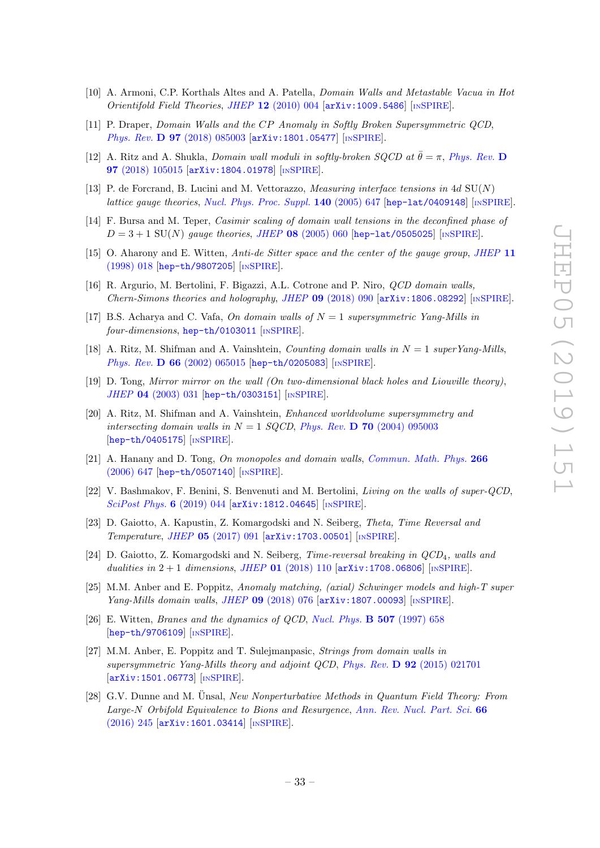- <span id="page-34-3"></span>[10] A. Armoni, C.P. Korthals Altes and A. Patella, Domain Walls and Metastable Vacua in Hot Orientifold Field Theories, JHEP 12 [\(2010\) 004](https://doi.org/10.1007/JHEP12(2010)004) [[arXiv:1009.5486](https://arxiv.org/abs/1009.5486)] [IN[SPIRE](https://inspirehep.net/search?p=find+EPRINT+arXiv:1009.5486)].
- [11] P. Draper, Domain Walls and the CP Anomaly in Softly Broken Supersymmetric QCD, Phys. Rev. D 97 [\(2018\) 085003](https://doi.org/10.1103/PhysRevD.97.085003) [[arXiv:1801.05477](https://arxiv.org/abs/1801.05477)] [IN[SPIRE](https://inspirehep.net/search?p=find+EPRINT+arXiv:1801.05477)].
- <span id="page-34-0"></span>[12] A. Ritz and A. Shukla, Domain wall moduli in softly-broken SQCD at  $\bar{\theta} = \pi$ , [Phys. Rev.](https://doi.org/10.1103/PhysRevD.97.105015) D 97 [\(2018\) 105015](https://doi.org/10.1103/PhysRevD.97.105015) [[arXiv:1804.01978](https://arxiv.org/abs/1804.01978)] [IN[SPIRE](https://inspirehep.net/search?p=find+EPRINT+arXiv:1804.01978)].
- <span id="page-34-1"></span>[13] P. de Forcrand, B. Lucini and M. Vettorazzo, *Measuring interface tensions in 4d*  $SU(N)$ lattice gauge theories, [Nucl. Phys. Proc. Suppl.](https://doi.org/10.1016/j.nuclphysBPS.2004.11.260)  $140$  (2005) 647 [[hep-lat/0409148](https://arxiv.org/abs/hep-lat/0409148)] [IN[SPIRE](https://inspirehep.net/search?p=find+EPRINT+hep-lat/0409148)].
- <span id="page-34-2"></span>[14] F. Bursa and M. Teper, Casimir scaling of domain wall tensions in the deconfined phase of  $D = 3 + 1$  SU(N) gauge theories, JHEP 08 [\(2005\) 060](https://doi.org/10.1088/1126-6708/2005/08/060) [hep-1at/0505025] [IN[SPIRE](https://inspirehep.net/search?p=find+EPRINT+hep-lat/0505025)].
- <span id="page-34-4"></span>[15] O. Aharony and E. Witten, Anti-de Sitter space and the center of the gauge group, [JHEP](https://doi.org/10.1088/1126-6708/1998/11/018) 11 [\(1998\) 018](https://doi.org/10.1088/1126-6708/1998/11/018) [[hep-th/9807205](https://arxiv.org/abs/hep-th/9807205)] [IN[SPIRE](https://inspirehep.net/search?p=find+EPRINT+hep-th/9807205)].
- <span id="page-34-5"></span>[16] R. Argurio, M. Bertolini, F. Bigazzi, A.L. Cotrone and P. Niro, QCD domain walls, Chern-Simons theories and holography, JHEP  $09$  [\(2018\) 090](https://doi.org/10.1007/JHEP09(2018)090) [[arXiv:1806.08292](https://arxiv.org/abs/1806.08292)] [IN[SPIRE](https://inspirehep.net/search?p=find+EPRINT+arXiv:1806.08292)].
- <span id="page-34-6"></span>[17] B.S. Acharya and C. Vafa, On domain walls of  $N = 1$  supersymmetric Yang-Mills in four-dimensions, [hep-th/0103011](https://arxiv.org/abs/hep-th/0103011) [IN[SPIRE](https://inspirehep.net/search?p=find+EPRINT+hep-th/0103011)].
- [18] A. Ritz, M. Shifman and A. Vainshtein, *Counting domain walls in*  $N = 1$  superYang-Mills, Phys. Rev. D 66 [\(2002\) 065015](https://doi.org/10.1103/PhysRevD.66.065015) [[hep-th/0205083](https://arxiv.org/abs/hep-th/0205083)] [IN[SPIRE](https://inspirehep.net/search?p=find+EPRINT+hep-th/0205083)].
- [19] D. Tong, Mirror mirror on the wall (On two-dimensional black holes and Liouville theory), JHEP 04 [\(2003\) 031](https://doi.org/10.1088/1126-6708/2003/04/031) [[hep-th/0303151](https://arxiv.org/abs/hep-th/0303151)] [IN[SPIRE](https://inspirehep.net/search?p=find+EPRINT+hep-th/0303151)].
- [20] A. Ritz, M. Shifman and A. Vainshtein, Enhanced worldvolume supersymmetry and intersecting domain walls in  $N = 1$  SQCD, Phys. Rev. **D** 70 [\(2004\) 095003](https://doi.org/10.1103/PhysRevD.70.095003) [[hep-th/0405175](https://arxiv.org/abs/hep-th/0405175)] [IN[SPIRE](https://inspirehep.net/search?p=find+EPRINT+hep-th/0405175)].
- [21] A. Hanany and D. Tong, On monopoles and domain walls, [Commun. Math. Phys.](https://doi.org/10.1007/s00220-006-0056-7) 266 [\(2006\) 647](https://doi.org/10.1007/s00220-006-0056-7) [[hep-th/0507140](https://arxiv.org/abs/hep-th/0507140)] [IN[SPIRE](https://inspirehep.net/search?p=find+EPRINT+hep-th/0507140)].
- <span id="page-34-7"></span>[22] V. Bashmakov, F. Benini, S. Benvenuti and M. Bertolini, Living on the walls of super-QCD, [SciPost Phys.](https://doi.org/10.21468/SciPostPhys.6.4.044) 6 (2019) 044 [[arXiv:1812.04645](https://arxiv.org/abs/1812.04645)] [IN[SPIRE](https://inspirehep.net/search?p=find+EPRINT+arXiv:1812.04645)].
- <span id="page-34-8"></span>[23] D. Gaiotto, A. Kapustin, Z. Komargodski and N. Seiberg, Theta, Time Reversal and Temperature, JHEP 05 [\(2017\) 091](https://doi.org/10.1007/JHEP05(2017)091) [[arXiv:1703.00501](https://arxiv.org/abs/1703.00501)] [IN[SPIRE](https://inspirehep.net/search?p=find+EPRINT+arXiv:1703.00501)].
- <span id="page-34-9"></span>[24] D. Gaiotto, Z. Komargodski and N. Seiberg, Time-reversal breaking in  $QCD<sub>4</sub>$ , walls and dualities in  $2 + 1$  dimensions, JHEP 01 [\(2018\) 110](https://doi.org/10.1007/JHEP01(2018)110)  $[\text{arXiv}:1708.06806]$  [IN[SPIRE](https://inspirehep.net/search?p=find+EPRINT+arXiv:1708.06806)].
- <span id="page-34-10"></span>[25] M.M. Anber and E. Poppitz, Anomaly matching, (axial) Schwinger models and high-T super Yang-Mills domain walls, JHEP 09 [\(2018\) 076](https://doi.org/10.1007/JHEP09(2018)076) [[arXiv:1807.00093](https://arxiv.org/abs/1807.00093)] [IN[SPIRE](https://inspirehep.net/search?p=find+EPRINT+arXiv:1807.00093)].
- <span id="page-34-11"></span>[26] E. Witten, Branes and the dynamics of QCD, [Nucl. Phys.](https://doi.org/10.1016/S0550-3213(97)00648-2) B 507 (1997) 658 [[hep-th/9706109](https://arxiv.org/abs/hep-th/9706109)] [IN[SPIRE](https://inspirehep.net/search?p=find+EPRINT+hep-th/9706109)].
- <span id="page-34-12"></span>[27] M.M. Anber, E. Poppitz and T. Sulejmanpasic, Strings from domain walls in supersymmetric Yang-Mills theory and adjoint QCD, Phys. Rev. D 92 [\(2015\) 021701](https://doi.org/10.1103/PhysRevD.92.021701) [[arXiv:1501.06773](https://arxiv.org/abs/1501.06773)] [IN[SPIRE](https://inspirehep.net/search?p=find+EPRINT+arXiv:1501.06773)].
- <span id="page-34-13"></span>[28] G.V. Dunne and M. Unsal, New Nonperturbative Methods in Quantum Field Theory: From Large-N Orbifold Equivalence to Bions and Resurgence, [Ann. Rev. Nucl. Part. Sci.](https://doi.org/10.1146/annurev-nucl-102115-044755) 66 [\(2016\) 245](https://doi.org/10.1146/annurev-nucl-102115-044755) [[arXiv:1601.03414](https://arxiv.org/abs/1601.03414)] [IN[SPIRE](https://inspirehep.net/search?p=find+EPRINT+arXiv:1601.03414)].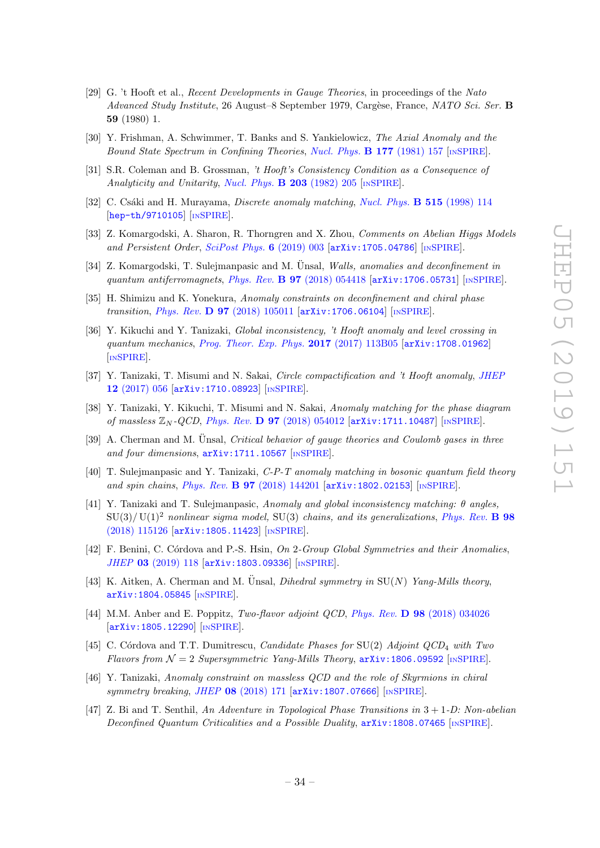- <span id="page-35-0"></span>[29] G. 't Hooft et al., Recent Developments in Gauge Theories, in proceedings of the Nato Advanced Study Institute, 26 August–8 September 1979, Cargèse, France, NATO Sci. Ser. B 59 (1980) 1.
- [30] Y. Frishman, A. Schwimmer, T. Banks and S. Yankielowicz, The Axial Anomaly and the Bound State Spectrum in Confining Theories, [Nucl. Phys.](https://doi.org/10.1016/0550-3213(81)90268-6) **B 177** (1981) 157 [IN[SPIRE](https://inspirehep.net/search?p=find+J+%22Nucl.Phys.,B177,157%22)].
- [31] S.R. Coleman and B. Grossman, 't Hooft's Consistency Condition as a Consequence of Analyticity and Unitarity, [Nucl. Phys.](https://doi.org/10.1016/0550-3213(82)90028-1) **B** 203 (1982) 205 [IN[SPIRE](https://inspirehep.net/search?p=find+J+%22Nucl.Phys.,B203,205%22)].
- <span id="page-35-1"></span>[32] C. Csáki and H. Murayama, *Discrete anomaly matching*, *[Nucl. Phys.](https://doi.org/10.1016/S0550-3213(97)00839-0)* **B 515** (1998) 114 [[hep-th/9710105](https://arxiv.org/abs/hep-th/9710105)] [IN[SPIRE](https://inspirehep.net/search?p=find+EPRINT+hep-th/9710105)].
- <span id="page-35-2"></span>[33] Z. Komargodski, A. Sharon, R. Thorngren and X. Zhou, Comments on Abelian Higgs Models and Persistent Order, [SciPost Phys.](https://doi.org/10.21468/SciPostPhys.6.1.003) 6 (2019) 003 [[arXiv:1705.04786](https://arxiv.org/abs/1705.04786)] [IN[SPIRE](https://inspirehep.net/search?p=find+EPRINT+arXiv:1705.04786)].
- [34] Z. Komargodski, T. Sulejmanpasic and M. Ünsal, Walls, anomalies and deconfinement in quantum antiferromagnets, Phys. Rev.  $\bf{B}$  97 [\(2018\) 054418](https://doi.org/10.1103/PhysRevB.97.054418)  $\bf{arXiv:1706.05731}$  $\bf{arXiv:1706.05731}$  $\bf{arXiv:1706.05731}$  [IN[SPIRE](https://inspirehep.net/search?p=find+EPRINT+arXiv:1706.05731)].
- [35] H. Shimizu and K. Yonekura, Anomaly constraints on deconfinement and chiral phase transition, *Phys. Rev.* **D 97** [\(2018\) 105011](https://doi.org/10.1103/PhysRevD.97.105011) [[arXiv:1706.06104](https://arxiv.org/abs/1706.06104)] [IN[SPIRE](https://inspirehep.net/search?p=find+EPRINT+arXiv:1706.06104)].
- [36] Y. Kikuchi and Y. Tanizaki, Global inconsistency, 't Hooft anomaly and level crossing in quantum mechanics, [Prog. Theor. Exp. Phys.](https://doi.org/10.1093/ptep/ptx148) 2017 (2017) 113B05 [[arXiv:1708.01962](https://arxiv.org/abs/1708.01962)] [IN[SPIRE](https://inspirehep.net/search?p=find+EPRINT+arXiv:1708.01962)].
- [37] Y. Tanizaki, T. Misumi and N. Sakai, *Circle compactification and 't Hooft anomaly, [JHEP](https://doi.org/10.1007/JHEP12(2017)056)* 12 [\(2017\) 056](https://doi.org/10.1007/JHEP12(2017)056) [[arXiv:1710.08923](https://arxiv.org/abs/1710.08923)] [IN[SPIRE](https://inspirehep.net/search?p=find+EPRINT+arXiv:1710.08923)].
- [38] Y. Tanizaki, Y. Kikuchi, T. Misumi and N. Sakai, Anomaly matching for the phase diagram of massless  $\mathbb{Z}_N$ -QCD, Phys. Rev. **D 97** [\(2018\) 054012](https://doi.org/10.1103/PhysRevD.97.054012) [[arXiv:1711.10487](https://arxiv.org/abs/1711.10487)] [IN[SPIRE](https://inspirehep.net/search?p=find+EPRINT+arXiv:1711.10487)].
- [39] A. Cherman and M. Unsal, *Critical behavior of gauge theories and Coulomb gases in three* and four dimensions,  $arXiv:1711.10567$  [IN[SPIRE](https://inspirehep.net/search?p=find+EPRINT+arXiv:1711.10567)].
- [40] T. Suleimanpasic and Y. Tanizaki,  $C-P-T$  anomaly matching in bosonic quantum field theory and spin chains, Phys. Rev. B 97 [\(2018\) 144201](https://doi.org/10.1103/PhysRevB.97.144201) [[arXiv:1802.02153](https://arxiv.org/abs/1802.02153)] [IN[SPIRE](https://inspirehep.net/search?p=find+EPRINT+arXiv:1802.02153)].
- [41] Y. Tanizaki and T. Sulejmanpasic, Anomaly and global inconsistency matching: θ angles,  $SU(3)/U(1)^2$  nonlinear sigma model,  $SU(3)$  chains, and its generalizations, [Phys. Rev.](https://doi.org/10.1103/PhysRevB.98.115126) **B** 98 [\(2018\) 115126](https://doi.org/10.1103/PhysRevB.98.115126) [[arXiv:1805.11423](https://arxiv.org/abs/1805.11423)] [IN[SPIRE](https://inspirehep.net/search?p=find+EPRINT+arXiv:1805.11423)].
- [42] F. Benini, C. Córdova and P.-S. Hsin, On 2-Group Global Symmetries and their Anomalies, JHEP 03 [\(2019\) 118](https://doi.org/10.1007/JHEP03(2019)118) [[arXiv:1803.09336](https://arxiv.org/abs/1803.09336)] [IN[SPIRE](https://inspirehep.net/search?p=find+EPRINT+arXiv:1803.09336)].
- [43] K. Aitken, A. Cherman and M. Unsal, *Dihedral symmetry in*  $SU(N)$  Yang-Mills theory, [arXiv:1804.05845](https://arxiv.org/abs/1804.05845) [IN[SPIRE](https://inspirehep.net/search?p=find+EPRINT+arXiv:1804.05845)].
- <span id="page-35-3"></span>[44] M.M. Anber and E. Poppitz, Two-flavor adjoint QCD, Phys. Rev. D 98 [\(2018\) 034026](https://doi.org/10.1103/PhysRevD.98.034026) [[arXiv:1805.12290](https://arxiv.org/abs/1805.12290)] [IN[SPIRE](https://inspirehep.net/search?p=find+EPRINT+arXiv:1805.12290)].
- <span id="page-35-4"></span>[45] C. Córdova and T.T. Dumitrescu, *Candidate Phases for*  $SU(2)$  *Adjoint QCD<sub>4</sub> with Two* Flavors from  $\mathcal{N} = 2$  Supersymmetric Yang-Mills Theory,  $\ar{xiv:1806.09592}$  [IN[SPIRE](https://inspirehep.net/search?p=find+EPRINT+arXiv:1806.09592)].
- [46] Y. Tanizaki, Anomaly constraint on massless QCD and the role of Skyrmions in chiral symmetry breaking, JHEP 08 [\(2018\) 171](https://doi.org/10.1007/JHEP08(2018)171) [[arXiv:1807.07666](https://arxiv.org/abs/1807.07666)] [IN[SPIRE](https://inspirehep.net/search?p=find+EPRINT+arXiv:1807.07666)].
- <span id="page-35-5"></span>[47] Z. Bi and T. Senthil, An Adventure in Topological Phase Transitions in 3 + 1-D: Non-abelian Deconfined Quantum Criticalities and a Possible Duality,  $arXiv:1808.07465$  [IN[SPIRE](https://inspirehep.net/search?p=find+EPRINT+arXiv:1808.07465)].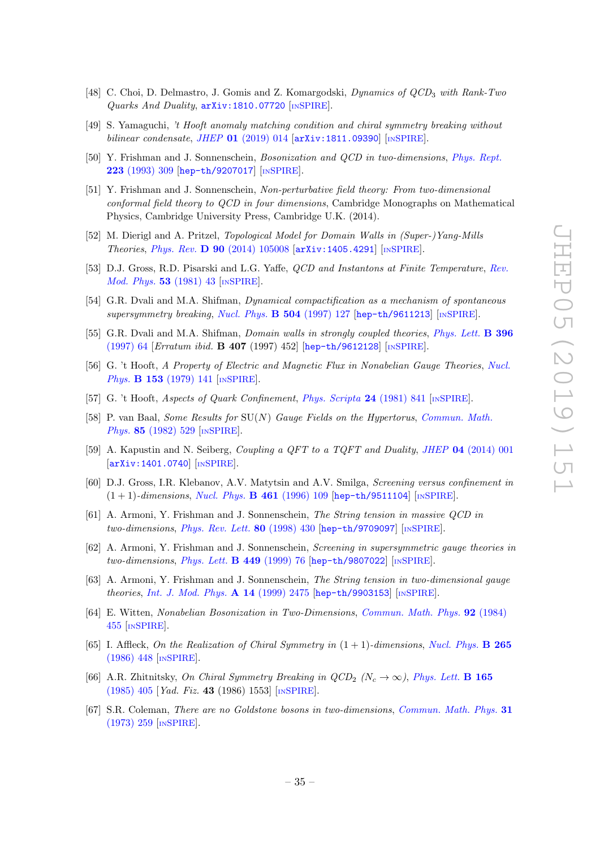- [48] C. Choi, D. Delmastro, J. Gomis and Z. Komargodski, *Dynamics of QCD*<sub>3</sub> with Rank-Two Quarks And Duality, [arXiv:1810.07720](https://arxiv.org/abs/1810.07720) [IN[SPIRE](https://inspirehep.net/search?p=find+EPRINT+arXiv:1810.07720)].
- <span id="page-36-0"></span>[49] S. Yamaguchi, 't Hooft anomaly matching condition and chiral symmetry breaking without bilinear condensate, JHEP 01 [\(2019\) 014](https://doi.org/10.1007/JHEP01(2019)014)  $\left[$ [arXiv:1811.09390](https://arxiv.org/abs/1811.09390) $\right]$   $\left[$ IN[SPIRE](https://inspirehep.net/search?p=find+EPRINT+arXiv:1811.09390) $\right]$ .
- <span id="page-36-1"></span>[50] Y. Frishman and J. Sonnenschein, Bosonization and QCD in two-dimensions, [Phys. Rept.](https://doi.org/10.1016/0370-1573(93)90145-4) 223 [\(1993\) 309](https://doi.org/10.1016/0370-1573(93)90145-4) [[hep-th/9207017](https://arxiv.org/abs/hep-th/9207017)] [IN[SPIRE](https://inspirehep.net/search?p=find+EPRINT+hep-th/9207017)].
- <span id="page-36-2"></span>[51] Y. Frishman and J. Sonnenschein, Non-perturbative field theory: From two-dimensional conformal field theory to QCD in four dimensions, Cambridge Monographs on Mathematical Physics, Cambridge University Press, Cambridge U.K. (2014).
- <span id="page-36-3"></span>[52] M. Dierigl and A. Pritzel, Topological Model for Domain Walls in (Super-)Yang-Mills Theories, Phys. Rev. D 90 [\(2014\) 105008](https://doi.org/10.1103/PhysRevD.90.105008) [[arXiv:1405.4291](https://arxiv.org/abs/1405.4291)] [IN[SPIRE](https://inspirehep.net/search?p=find+EPRINT+arXiv:1405.4291)].
- <span id="page-36-4"></span>[53] D.J. Gross, R.D. Pisarski and L.G. Yaffe, QCD and Instantons at Finite Temperature, [Rev.](https://doi.org/10.1103/RevModPhys.53.43) *[Mod. Phys.](https://doi.org/10.1103/RevModPhys.53.43)* **53** (1981) 43 [IN[SPIRE](https://inspirehep.net/search?p=find+J+%22Rev.Mod.Phys.,53,43%22)].
- <span id="page-36-5"></span>[54] G.R. Dvali and M.A. Shifman, Dynamical compactification as a mechanism of spontaneous supersymmetry breaking, [Nucl. Phys.](https://doi.org/10.1016/S0550-3213(97)00420-3)  $B$  504 (1997) 127 [[hep-th/9611213](https://arxiv.org/abs/hep-th/9611213)] [IN[SPIRE](https://inspirehep.net/search?p=find+EPRINT+hep-th/9611213)].
- <span id="page-36-6"></span>[55] G.R. Dvali and M.A. Shifman, *Domain walls in strongly coupled theories*, *[Phys. Lett.](https://doi.org/10.1016/S0370-2693(97)00808-3)* **B** 396 [\(1997\) 64](https://doi.org/10.1016/S0370-2693(97)00808-3) [Erratum ibid. B 407 (1997) 452] [[hep-th/9612128](https://arxiv.org/abs/hep-th/9612128)] [IN[SPIRE](https://inspirehep.net/search?p=find+EPRINT+hep-th/9612128)].
- <span id="page-36-7"></span>[56] G. 't Hooft, A Property of Electric and Magnetic Flux in Nonabelian Gauge Theories, [Nucl.](https://doi.org/10.1016/0550-3213(79)90595-9) Phys. **B 153** [\(1979\) 141](https://doi.org/10.1016/0550-3213(79)90595-9) [IN[SPIRE](https://inspirehep.net/search?p=find+J+%22Nucl.Phys.,B153,141%22)].
- [57] G. 't Hooft, Aspects of Quark Confinement, [Phys. Scripta](https://doi.org/10.1088/0031-8949/24/5/007) 24 (1981) 841 [IN[SPIRE](https://inspirehep.net/search?p=find+J+%22Phys.Scripta,24,841%22)].
- <span id="page-36-8"></span>[58] P. van Baal, Some Results for SU(N) Gauge Fields on the Hypertorus, [Commun. Math.](https://doi.org/10.1007/BF01403503) Phys. 85 [\(1982\) 529](https://doi.org/10.1007/BF01403503) [IN[SPIRE](https://inspirehep.net/search?p=find+J+%22Comm.Math.Phys.,85,529%22)].
- <span id="page-36-9"></span>[59] A. Kapustin and N. Seiberg, Coupling a QFT to a TQFT and Duality, JHEP 04 [\(2014\) 001](https://doi.org/10.1007/JHEP04(2014)001) [[arXiv:1401.0740](https://arxiv.org/abs/1401.0740)] [IN[SPIRE](https://inspirehep.net/search?p=find+EPRINT+arXiv:1401.0740)].
- <span id="page-36-10"></span>[60] D.J. Gross, I.R. Klebanov, A.V. Matytsin and A.V. Smilga, Screening versus confinement in  $(1 + 1)$ -dimensions, [Nucl. Phys.](https://doi.org/10.1016/0550-3213(95)00655-9) **B** 461 (1996) 109 [[hep-th/9511104](https://arxiv.org/abs/hep-th/9511104)] [IN[SPIRE](https://inspirehep.net/search?p=find+EPRINT+hep-th/9511104)].
- <span id="page-36-11"></span>[61] A. Armoni, Y. Frishman and J. Sonnenschein, The String tension in massive QCD in two-dimensions, [Phys. Rev. Lett.](https://doi.org/10.1103/PhysRevLett.80.430)  $80$  (1998) 430 [[hep-th/9709097](https://arxiv.org/abs/hep-th/9709097)] [IN[SPIRE](https://inspirehep.net/search?p=find+EPRINT+hep-th/9709097)].
- [62] A. Armoni, Y. Frishman and J. Sonnenschein, Screening in supersymmetric gauge theories in two-dimensions, [Phys. Lett.](https://doi.org/10.1016/S0370-2693(99)00018-0) **B 449** (1999) 76 [[hep-th/9807022](https://arxiv.org/abs/hep-th/9807022)] [IN[SPIRE](https://inspirehep.net/search?p=find+EPRINT+hep-th/9807022)].
- <span id="page-36-12"></span>[63] A. Armoni, Y. Frishman and J. Sonnenschein, The String tension in two-dimensional gauge theories, [Int. J. Mod. Phys.](https://doi.org/10.1142/S0217751X99001226) A 14 (1999) 2475 [[hep-th/9903153](https://arxiv.org/abs/hep-th/9903153)] [IN[SPIRE](https://inspirehep.net/search?p=find+EPRINT+hep-th/9903153)].
- <span id="page-36-13"></span>[64] E. Witten, Nonabelian Bosonization in Two-Dimensions, [Commun. Math. Phys.](https://doi.org/10.1007/BF01215276) 92 (1984) [455](https://doi.org/10.1007/BF01215276) [IN[SPIRE](https://inspirehep.net/search?p=find+J+%22Comm.Math.Phys.,92,455%22)].
- <span id="page-36-14"></span>[65] I. Affleck, On the Realization of Chiral Symmetry in  $(1 + 1)$ -dimensions, [Nucl. Phys.](https://doi.org/10.1016/0550-3213(86)90168-9) **B** 265 [\(1986\) 448](https://doi.org/10.1016/0550-3213(86)90168-9) [IN[SPIRE](https://inspirehep.net/search?p=find+J+%22Nucl.Phys.,B265,448%22)].
- <span id="page-36-15"></span>[66] A.R. Zhitnitsky, On Chiral Symmetry Breaking in  $QCD_2$  (N<sub>c</sub>  $\rightarrow \infty$ ), [Phys. Lett.](https://doi.org/10.1016/0370-2693(85)91255-9) **B 165** [\(1985\) 405](https://doi.org/10.1016/0370-2693(85)91255-9) [Yad. Fiz. 43 (1986) 1553] [IN[SPIRE](https://inspirehep.net/search?p=find+J+%22Phys.Lett.,B165,405%22)].
- <span id="page-36-16"></span>[67] S.R. Coleman, There are no Goldstone bosons in two-dimensions, [Commun. Math. Phys.](https://doi.org/10.1007/BF01646487) 31 [\(1973\) 259](https://doi.org/10.1007/BF01646487) [IN[SPIRE](https://inspirehep.net/search?p=find+J+%22Comm.Math.Phys.,31,259%22)].